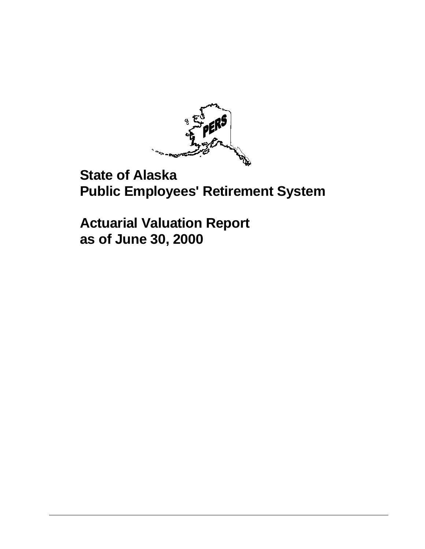

# **State of Alaska Public Employees' Retirement System**

**Actuarial Valuation Report as of June 30, 2000**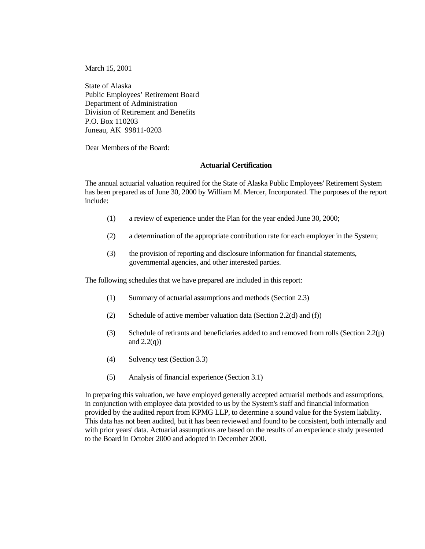March 15, 2001

State of Alaska Public Employees' Retirement Board Department of Administration Division of Retirement and Benefits P.O. Box 110203 Juneau, AK 99811-0203

Dear Members of the Board:

#### **Actuarial Certification**

The annual actuarial valuation required for the State of Alaska Public Employees' Retirement System has been prepared as of June 30, 2000 by William M. Mercer, Incorporated. The purposes of the report include:

- (1) a review of experience under the Plan for the year ended June 30, 2000;
- (2) a determination of the appropriate contribution rate for each employer in the System;
- (3) the provision of reporting and disclosure information for financial statements, governmental agencies, and other interested parties.

The following schedules that we have prepared are included in this report:

- (1) Summary of actuarial assumptions and methods (Section 2.3)
- (2) Schedule of active member valuation data (Section 2.2(d) and (f))
- (3) Schedule of retirants and beneficiaries added to and removed from rolls (Section 2.2(p) and  $2.2(q)$ )
- (4) Solvency test (Section 3.3)
- (5) Analysis of financial experience (Section 3.1)

In preparing this valuation, we have employed generally accepted actuarial methods and assumptions, in conjunction with employee data provided to us by the System's staff and financial information provided by the audited report from KPMG LLP, to determine a sound value for the System liability. This data has not been audited, but it has been reviewed and found to be consistent, both internally and with prior years' data. Actuarial assumptions are based on the results of an experience study presented to the Board in October 2000 and adopted in December 2000.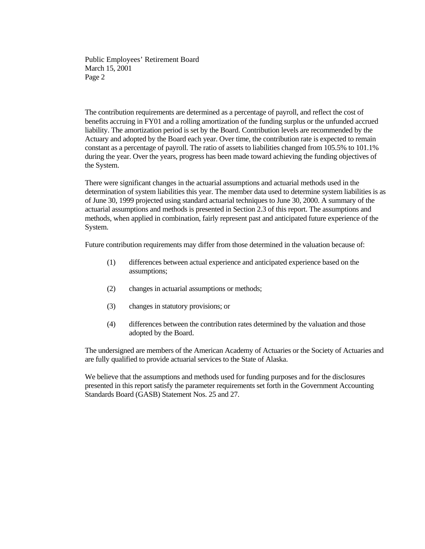Public Employees' Retirement Board March 15, 2001 Page 2

The contribution requirements are determined as a percentage of payroll, and reflect the cost of benefits accruing in FY01 and a rolling amortization of the funding surplus or the unfunded accrued liability. The amortization period is set by the Board. Contribution levels are recommended by the Actuary and adopted by the Board each year. Over time, the contribution rate is expected to remain constant as a percentage of payroll. The ratio of assets to liabilities changed from 105.5% to 101.1% during the year. Over the years, progress has been made toward achieving the funding objectives of the System.

There were significant changes in the actuarial assumptions and actuarial methods used in the determination of system liabilities this year. The member data used to determine system liabilities is as of June 30, 1999 projected using standard actuarial techniques to June 30, 2000. A summary of the actuarial assumptions and methods is presented in Section 2.3 of this report. The assumptions and methods, when applied in combination, fairly represent past and anticipated future experience of the System.

Future contribution requirements may differ from those determined in the valuation because of:

- (1) differences between actual experience and anticipated experience based on the assumptions;
- (2) changes in actuarial assumptions or methods;
- (3) changes in statutory provisions; or
- (4) differences between the contribution rates determined by the valuation and those adopted by the Board.

The undersigned are members of the American Academy of Actuaries or the Society of Actuaries and are fully qualified to provide actuarial services to the State of Alaska.

We believe that the assumptions and methods used for funding purposes and for the disclosures presented in this report satisfy the parameter requirements set forth in the Government Accounting Standards Board (GASB) Statement Nos. 25 and 27.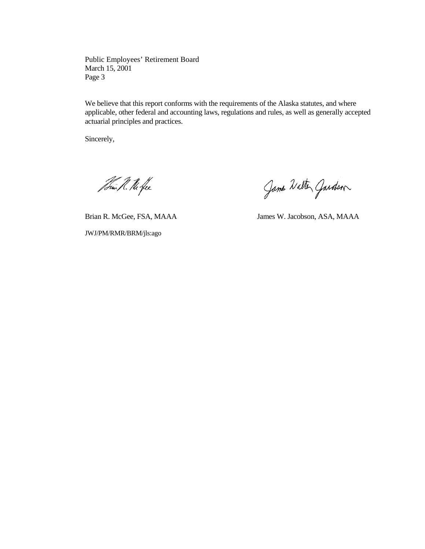Public Employees' Retirement Board March 15, 2001 Page 3

We believe that this report conforms with the requirements of the Alaska statutes, and where applicable, other federal and accounting laws, regulations and rules, as well as generally accepted actuarial principles and practices.

Sincerely,

Tomi R. The fee

JWJ/PM/RMR/BRM/jls:ago

Jame Walter Garden

Brian R. McGee, FSA, MAAA James W. Jacobson, ASA, MAAA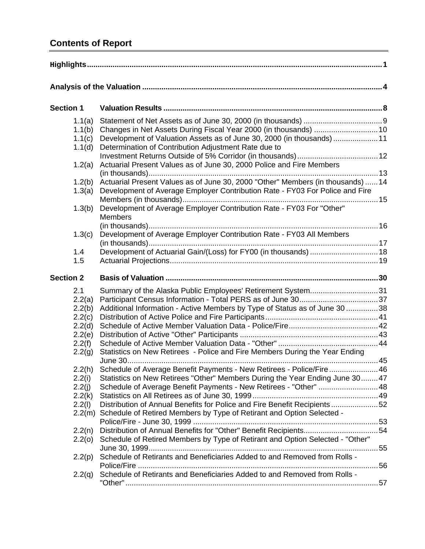# **Contents of Report**

| <b>Section 1</b>                                                          |                                                                                                                                                                                                                                                                                                      |  |
|---------------------------------------------------------------------------|------------------------------------------------------------------------------------------------------------------------------------------------------------------------------------------------------------------------------------------------------------------------------------------------------|--|
| 1.1(a)<br>1.1(b)<br>1.1(c)<br>1.1(d)                                      | Development of Valuation Assets as of June 30, 2000 (in thousands)  11<br>Determination of Contribution Adjustment Rate due to                                                                                                                                                                       |  |
| 1.2(a)                                                                    | Actuarial Present Values as of June 30, 2000 Police and Fire Members                                                                                                                                                                                                                                 |  |
| 1.2(b)<br>1.3(a)                                                          | Actuarial Present Values as of June 30, 2000 "Other" Members (in thousands)  14<br>Development of Average Employer Contribution Rate - FY03 For Police and Fire                                                                                                                                      |  |
| 1.3(b)                                                                    | Development of Average Employer Contribution Rate - FY03 For "Other"<br><b>Members</b>                                                                                                                                                                                                               |  |
| 1.3(c)                                                                    | Development of Average Employer Contribution Rate - FY03 All Members                                                                                                                                                                                                                                 |  |
| 1.4<br>1.5                                                                | Development of Actuarial Gain/(Loss) for FY00 (in thousands)  18                                                                                                                                                                                                                                     |  |
| <b>Section 2</b>                                                          |                                                                                                                                                                                                                                                                                                      |  |
| 2.1<br>2.2(a)<br>2.2(b)<br>2.2(c)<br>2.2(d)<br>2.2(e)<br>2.2(f)<br>2.2(g) | Summary of the Alaska Public Employees' Retirement System31<br>Additional Information - Active Members by Type of Status as of June 30 38<br>Statistics on New Retirees - Police and Fire Members During the Year Ending                                                                             |  |
| 2.2(h)<br>2.2(i)<br>2.2(j)<br>2.2(k)<br>2.2(l)                            | Schedule of Average Benefit Payments - New Retirees - Police/Fire 46<br>Statistics on New Retirees "Other" Members During the Year Ending June 3047<br>Schedule of Average Benefit Payments - New Retirees - "Other"  48<br>Distribution of Annual Benefits for Police and Fire Benefit Recipients52 |  |
| 2.2(n)                                                                    | 2.2(m) Schedule of Retired Members by Type of Retirant and Option Selected -<br>Distribution of Annual Benefits for "Other" Benefit Recipients54                                                                                                                                                     |  |
| 2.2(0)<br>2.2(p)                                                          | Schedule of Retired Members by Type of Retirant and Option Selected - "Other"<br>Schedule of Retirants and Beneficiaries Added to and Removed from Rolls -                                                                                                                                           |  |
| 2.2(q)                                                                    | Schedule of Retirants and Beneficiaries Added to and Removed from Rolls -                                                                                                                                                                                                                            |  |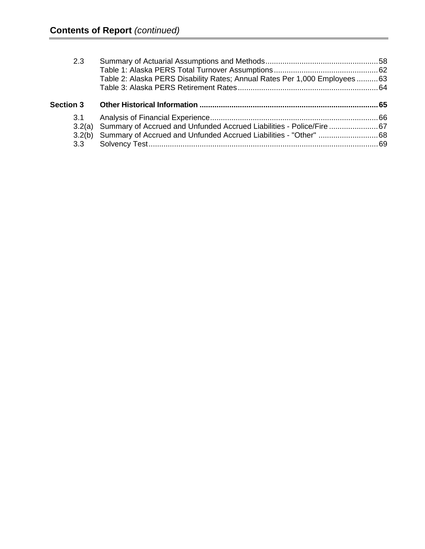| 2.3              |                                                                              |  |
|------------------|------------------------------------------------------------------------------|--|
|                  |                                                                              |  |
|                  | Table 2: Alaska PERS Disability Rates; Annual Rates Per 1,000 Employees  63  |  |
|                  |                                                                              |  |
| <b>Section 3</b> |                                                                              |  |
| 3.1              |                                                                              |  |
|                  | 3.2(a) Summary of Accrued and Unfunded Accrued Liabilities - Police/Fire  67 |  |
| 3.2(b)           |                                                                              |  |
| 3.3 <sup>2</sup> |                                                                              |  |
|                  |                                                                              |  |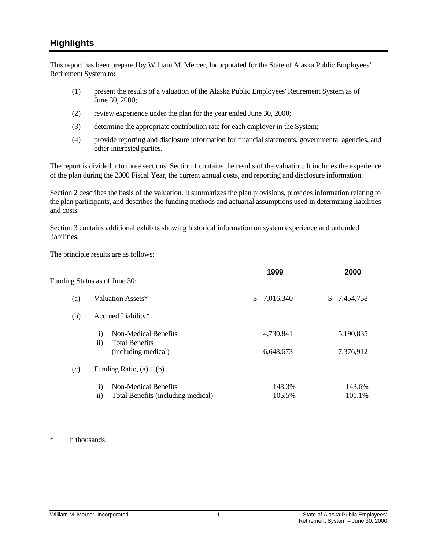## <span id="page-6-0"></span>**Highlights**

This report has been prepared by William M. Mercer, Incorporated for the State of Alaska Public Employees' Retirement System to:

- (1) present the results of a valuation of the Alaska Public Employees' Retirement System as of June 30, 2000;
- (2) review experience under the plan for the year ended June 30, 2000;
- (3) determine the appropriate contribution rate for each employer in the System;
- (4) provide reporting and disclosure information for financial statements, governmental agencies, and other interested parties.

The report is divided into three sections. Section 1 contains the results of the valuation. It includes the experience of the plan during the 2000 Fiscal Year, the current annual costs, and reporting and disclosure information.

Section 2 describes the basis of the valuation. It summarizes the plan provisions, provides information relating to the plan participants, and describes the funding methods and actuarial assumptions used in determining liabilities and costs.

Section 3 contains additional exhibits showing historical information on system experience and unfunded liabilities.

The principle results are as follows:

| 2000            |
|-----------------|
| \$<br>7,454,758 |
|                 |
| 5,190,835       |
| 7,376,912       |
|                 |
| 143.6%          |
| 101.1%          |
|                 |

\* In thousands.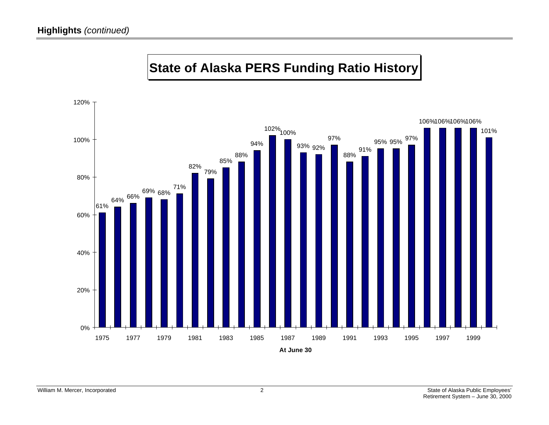

# **State of Alaska PERS Funding Ratio History**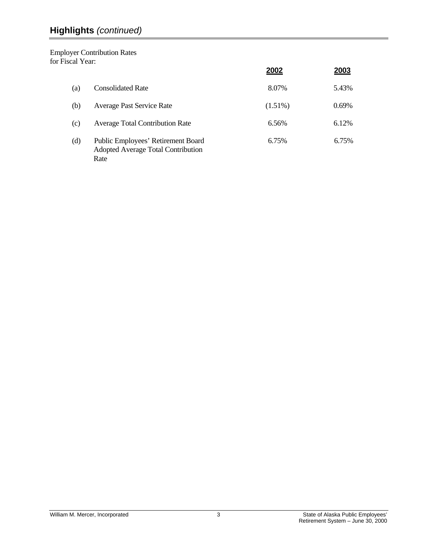# **Highlights** *(continued)*

Employer Contribution Rates for Fiscal Year:

|     |                                                                                         | 2002       | 2003  |
|-----|-----------------------------------------------------------------------------------------|------------|-------|
| (a) | <b>Consolidated Rate</b>                                                                | 8.07%      | 5.43% |
| (b) | <b>Average Past Service Rate</b>                                                        | $(1.51\%)$ | 0.69% |
| (c) | <b>Average Total Contribution Rate</b>                                                  | 6.56%      | 6.12% |
| (d) | Public Employees' Retirement Board<br><b>Adopted Average Total Contribution</b><br>Rate | 6.75%      | 6.75% |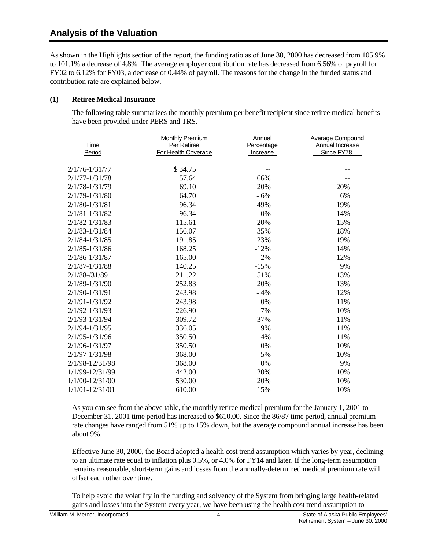## <span id="page-9-0"></span>**Analysis of the Valuation**

As shown in the Highlights section of the report, the funding ratio as of June 30, 2000 has decreased from 105.9% to 101.1% a decrease of 4.8%. The average employer contribution rate has decreased from 6.56% of payroll for FY02 to 6.12% for FY03, a decrease of 0.44% of payroll. The reasons for the change in the funded status and contribution rate are explained below.

#### **(1) Retiree Medical Insurance**

 The following table summarizes the monthly premium per benefit recipient since retiree medical benefits have been provided under PERS and TRS.

| Time                | <b>Monthly Premium</b><br>Per Retiree | Annual<br>Percentage | Average Compound<br>Annual Increase |
|---------------------|---------------------------------------|----------------------|-------------------------------------|
| Period              | For Health Coverage                   | Increase             | Since FY78                          |
| $2/1/76 - 1/31/77$  | \$34.75                               |                      |                                     |
| $2/1/77 - 1/31/78$  | 57.64                                 | 66%                  |                                     |
| $2/1/78 - 1/31/79$  | 69.10                                 | 20%                  | 20%                                 |
| $2/1/79 - 1/31/80$  | 64.70                                 | $-6%$                | 6%                                  |
| $2/1/80 - 1/31/81$  | 96.34                                 | 49%                  | 19%                                 |
| $2/1/81 - 1/31/82$  | 96.34                                 | 0%                   | 14%                                 |
| $2/1/82 - 1/31/83$  | 115.61                                | 20%                  | 15%                                 |
| $2/1/83 - 1/31/84$  | 156.07                                | 35%                  | 18%                                 |
| $2/1/84 - 1/31/85$  | 191.85                                | 23%                  | 19%                                 |
| $2/1/85 - 1/31/86$  | 168.25                                | $-12%$               | 14%                                 |
| $2/1/86 - 1/31/87$  | 165.00                                | $-2%$                | 12%                                 |
| $2/1/87 - 1/31/88$  | 140.25                                | $-15%$               | 9%                                  |
| $2/1/88 - /31/89$   | 211.22                                | 51%                  | 13%                                 |
| $2/1/89 - 1/31/90$  | 252.83                                | 20%                  | 13%                                 |
| $2/1/90 - 1/31/91$  | 243.98                                | $-4%$                | 12%                                 |
| $2/1/91 - 1/31/92$  | 243.98                                | 0%                   | 11%                                 |
| $2/1/92 - 1/31/93$  | 226.90                                | $-7%$                | 10%                                 |
| $2/1/93 - 1/31/94$  | 309.72                                | 37%                  | 11%                                 |
| $2/1/94 - 1/31/95$  | 336.05                                | 9%                   | 11%                                 |
| 2/1/95-1/31/96      | 350.50                                | 4%                   | 11%                                 |
| $2/1/96 - 1/31/97$  | 350.50                                | 0%                   | 10%                                 |
| $2/1/97 - 1/31/98$  | 368.00                                | 5%                   | 10%                                 |
| 2/1/98-12/31/98     | 368.00                                | 0%                   | 9%                                  |
| 1/1/99-12/31/99     | 442.00                                | 20%                  | 10%                                 |
| 1/1/00-12/31/00     | 530.00                                | 20%                  | 10%                                 |
| $1/1/01 - 12/31/01$ | 610.00                                | 15%                  | 10%                                 |

 As you can see from the above table, the monthly retiree medical premium for the January 1, 2001 to December 31, 2001 time period has increased to \$610.00. Since the 86/87 time period, annual premium rate changes have ranged from 51% up to 15% down, but the average compound annual increase has been about 9%.

 Effective June 30, 2000, the Board adopted a health cost trend assumption which varies by year, declining to an ultimate rate equal to inflation plus 0.5%, or 4.0% for FY14 and later. If the long-term assumption remains reasonable, short-term gains and losses from the annually-determined medical premium rate will offset each other over time.

 To help avoid the volatility in the funding and solvency of the System from bringing large health-related gains and losses into the System every year, we have been using the health cost trend assumption to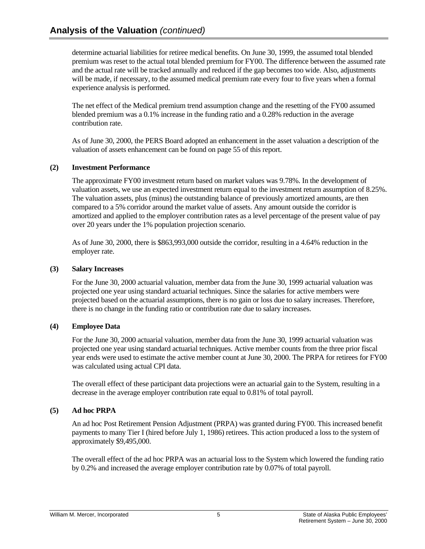determine actuarial liabilities for retiree medical benefits. On June 30, 1999, the assumed total blended premium was reset to the actual total blended premium for FY00. The difference between the assumed rate and the actual rate will be tracked annually and reduced if the gap becomes too wide. Also, adjustments will be made, if necessary, to the assumed medical premium rate every four to five years when a formal experience analysis is performed.

 The net effect of the Medical premium trend assumption change and the resetting of the FY00 assumed blended premium was a 0.1% increase in the funding ratio and a 0.28% reduction in the average contribution rate.

 As of June 30, 2000, the PERS Board adopted an enhancement in the asset valuation a description of the valuation of assets enhancement can be found on page 55 of this report.

## **(2) Investment Performance**

 The approximate FY00 investment return based on market values was 9.78%. In the development of valuation assets, we use an expected investment return equal to the investment return assumption of 8.25%. The valuation assets, plus (minus) the outstanding balance of previously amortized amounts, are then compared to a 5% corridor around the market value of assets. Any amount outside the corridor is amortized and applied to the employer contribution rates as a level percentage of the present value of pay over 20 years under the 1% population projection scenario.

 As of June 30, 2000, there is \$863,993,000 outside the corridor, resulting in a 4.64% reduction in the employer rate.

## **(3) Salary Increases**

 For the June 30, 2000 actuarial valuation, member data from the June 30, 1999 actuarial valuation was projected one year using standard actuarial techniques. Since the salaries for active members were projected based on the actuarial assumptions, there is no gain or loss due to salary increases. Therefore, there is no change in the funding ratio or contribution rate due to salary increases.

## **(4) Employee Data**

 For the June 30, 2000 actuarial valuation, member data from the June 30, 1999 actuarial valuation was projected one year using standard actuarial techniques. Active member counts from the three prior fiscal year ends were used to estimate the active member count at June 30, 2000. The PRPA for retirees for FY00 was calculated using actual CPI data.

 The overall effect of these participant data projections were an actuarial gain to the System, resulting in a decrease in the average employer contribution rate equal to 0.81% of total payroll.

## **(5) Ad hoc PRPA**

An ad hoc Post Retirement Pension Adjustment (PRPA) was granted during FY00. This increased benefit payments to many Tier I (hired before July 1, 1986) retirees. This action produced a loss to the system of approximately \$9,495,000.

The overall effect of the ad hoc PRPA was an actuarial loss to the System which lowered the funding ratio by 0.2% and increased the average employer contribution rate by 0.07% of total payroll.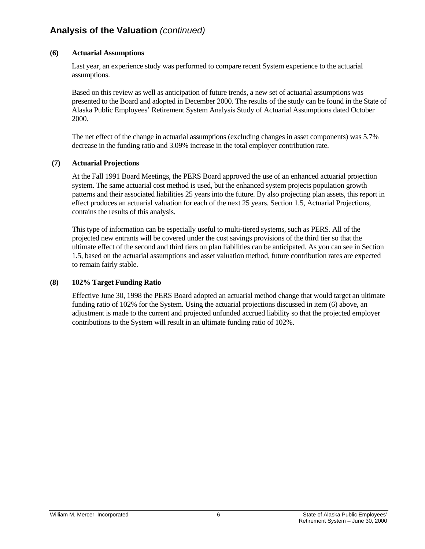#### **(6) Actuarial Assumptions**

Last year, an experience study was performed to compare recent System experience to the actuarial assumptions.

Based on this review as well as anticipation of future trends, a new set of actuarial assumptions was presented to the Board and adopted in December 2000. The results of the study can be found in the State of Alaska Public Employees' Retirement System Analysis Study of Actuarial Assumptions dated October 2000.

The net effect of the change in actuarial assumptions (excluding changes in asset components) was 5.7% decrease in the funding ratio and 3.09% increase in the total employer contribution rate.

#### **(7) Actuarial Projections**

 At the Fall 1991 Board Meetings, the PERS Board approved the use of an enhanced actuarial projection system. The same actuarial cost method is used, but the enhanced system projects population growth patterns and their associated liabilities 25 years into the future. By also projecting plan assets, this report in effect produces an actuarial valuation for each of the next 25 years. Section 1.5, Actuarial Projections, contains the results of this analysis.

 This type of information can be especially useful to multi-tiered systems, such as PERS. All of the projected new entrants will be covered under the cost savings provisions of the third tier so that the ultimate effect of the second and third tiers on plan liabilities can be anticipated. As you can see in Section 1.5, based on the actuarial assumptions and asset valuation method, future contribution rates are expected to remain fairly stable.

## **(8) 102% Target Funding Ratio**

 Effective June 30, 1998 the PERS Board adopted an actuarial method change that would target an ultimate funding ratio of 102% for the System. Using the actuarial projections discussed in item (6) above, an adjustment is made to the current and projected unfunded accrued liability so that the projected employer contributions to the System will result in an ultimate funding ratio of 102%.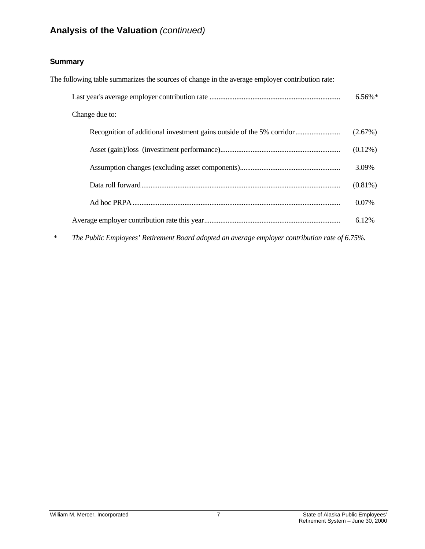## **Summary**

The following table summarizes the sources of change in the average employer contribution rate:

|        |                                                                                                | $6.56\%$ <sup>*</sup> |
|--------|------------------------------------------------------------------------------------------------|-----------------------|
|        | Change due to:                                                                                 |                       |
|        |                                                                                                | (2.67%)               |
|        |                                                                                                | $(0.12\%)$            |
|        |                                                                                                | 3.09%                 |
|        |                                                                                                | $(0.81\%)$            |
|        |                                                                                                | 0.07%                 |
|        |                                                                                                | 6.12%                 |
| $\ast$ | The Public Employees' Retirement Board adopted an average employer contribution rate of 6.75%. |                       |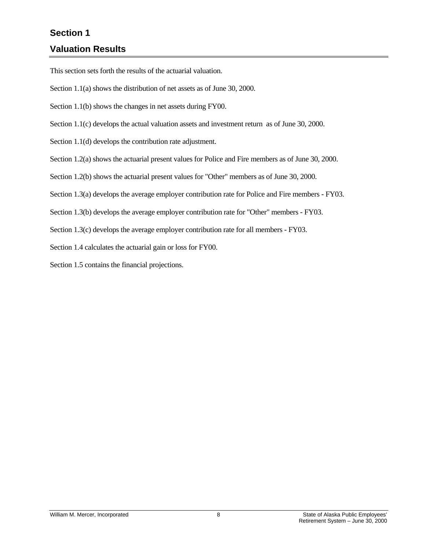# <span id="page-13-0"></span>**Section 1 Valuation Results**

This section sets forth the results of the actuarial valuation.

Section 1.1(a) shows the distribution of net assets as of June 30, 2000.

Section 1.1(b) shows the changes in net assets during FY00.

Section 1.1(c) develops the actual valuation assets and investment return as of June 30, 2000.

Section 1.1(d) develops the contribution rate adjustment.

Section 1.2(a) shows the actuarial present values for Police and Fire members as of June 30, 2000.

Section 1.2(b) shows the actuarial present values for "Other" members as of June 30, 2000.

Section 1.3(a) develops the average employer contribution rate for Police and Fire members - FY03.

Section 1.3(b) develops the average employer contribution rate for "Other" members - FY03.

Section 1.3(c) develops the average employer contribution rate for all members - FY03.

Section 1.4 calculates the actuarial gain or loss for FY00.

Section 1.5 contains the financial projections.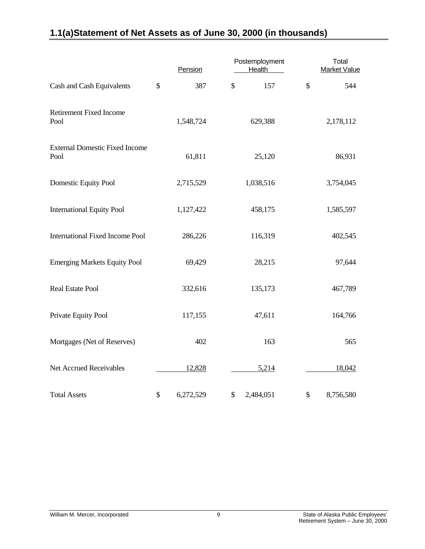# <span id="page-14-0"></span>**1.1(a) Statement of Net Assets as of June 30, 2000 (in thousands)**

|                                               | Pension         | Postemployment<br>Health | Total<br><b>Market Value</b> |
|-----------------------------------------------|-----------------|--------------------------|------------------------------|
| Cash and Cash Equivalents                     | \$<br>387       | \$<br>157                | \$<br>544                    |
| <b>Retirement Fixed Income</b><br>Pool        | 1,548,724       | 629,388                  | 2,178,112                    |
| <b>External Domestic Fixed Income</b><br>Pool | 61,811          | 25,120                   | 86,931                       |
| Domestic Equity Pool                          | 2,715,529       | 1,038,516                | 3,754,045                    |
| <b>International Equity Pool</b>              | 1,127,422       | 458,175                  | 1,585,597                    |
| <b>International Fixed Income Pool</b>        | 286,226         | 116,319                  | 402,545                      |
| <b>Emerging Markets Equity Pool</b>           | 69,429          | 28,215                   | 97,644                       |
| <b>Real Estate Pool</b>                       | 332,616         | 135,173                  | 467,789                      |
| Private Equity Pool                           | 117,155         | 47,611                   | 164,766                      |
| Mortgages (Net of Reserves)                   | 402             | 163                      | 565                          |
| Net Accrued Receivables                       | 12,828          | 5,214                    | 18,042                       |
| <b>Total Assets</b>                           | \$<br>6,272,529 | \$<br>2,484,051          | \$<br>8,756,580              |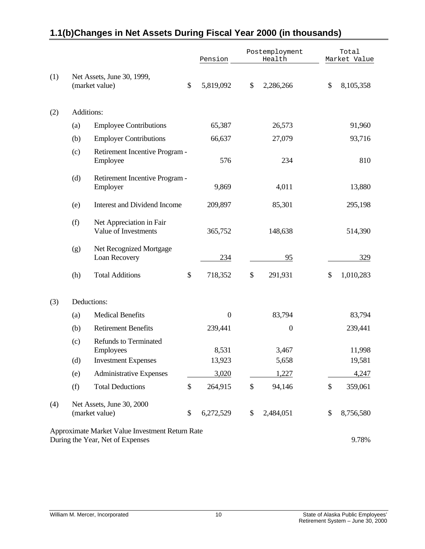|     |     |                                                                                     | Pension          |                   | Postemployment<br>Health |    | Total<br>Market Value |
|-----|-----|-------------------------------------------------------------------------------------|------------------|-------------------|--------------------------|----|-----------------------|
| (1) |     | Net Assets, June 30, 1999,<br>(market value)                                        | \$<br>5,819,092  | \$                | 2,286,266                | \$ | 8,105,358             |
| (2) |     | Additions:                                                                          |                  |                   |                          |    |                       |
|     | (a) | <b>Employee Contributions</b>                                                       | 65,387           |                   | 26,573                   |    | 91,960                |
|     | (b) | <b>Employer Contributions</b>                                                       | 66,637           |                   | 27,079                   |    | 93,716                |
|     | (c) | Retirement Incentive Program -<br>Employee                                          | 576              |                   | 234                      |    | 810                   |
|     | (d) | Retirement Incentive Program -<br>Employer                                          | 9,869            |                   | 4,011                    |    | 13,880                |
|     | (e) | <b>Interest and Dividend Income</b>                                                 | 209,897          |                   | 85,301                   |    | 295,198               |
|     | (f) | Net Appreciation in Fair<br>Value of Investments                                    | 365,752          |                   | 148,638                  |    | 514,390               |
|     | (g) | Net Recognized Mortgage<br>Loan Recovery                                            | 234              |                   | 95                       |    | 329                   |
|     | (h) | <b>Total Additions</b>                                                              | \$<br>718,352    | \$                | 291,931                  | \$ | 1,010,283             |
| (3) |     | Deductions:                                                                         |                  |                   |                          |    |                       |
|     | (a) | <b>Medical Benefits</b>                                                             | $\boldsymbol{0}$ |                   | 83,794                   |    | 83,794                |
|     | (b) | <b>Retirement Benefits</b>                                                          | 239,441          |                   | $\boldsymbol{0}$         |    | 239,441               |
|     | (c) | <b>Refunds to Terminated</b><br>Employees                                           | 8,531            |                   | 3,467                    |    | 11,998                |
|     | (d) | <b>Investment Expenses</b>                                                          | 13,923           |                   | 5,658                    |    | 19,581                |
|     | (e) | <b>Administrative Expenses</b>                                                      | 3,020            |                   | 1,227                    |    | 4,247                 |
|     | (f) | <b>Total Deductions</b>                                                             | \$<br>264,915    | $\boldsymbol{\$}$ | 94,146                   | \$ | 359,061               |
| (4) |     | Net Assets, June 30, 2000<br>(market value)                                         | \$<br>6,272,529  | \$                | 2,484,051                | \$ | 8,756,580             |
|     |     | Approximate Market Value Investment Return Rate<br>During the Year, Net of Expenses |                  |                   |                          |    | 9.78%                 |

# <span id="page-15-0"></span>**1.1(b) Changes in Net Assets During Fiscal Year 2000 (in thousands)**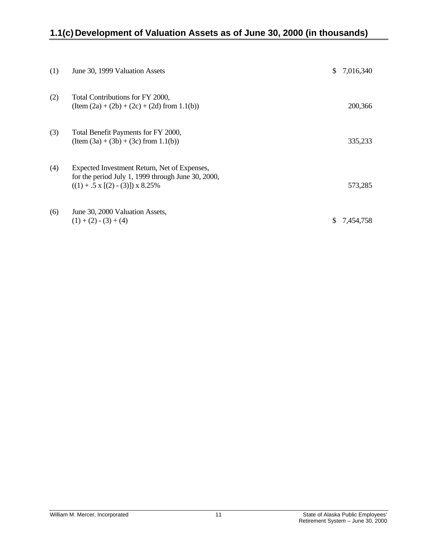# <span id="page-16-0"></span>**1.1(c) Development of Valuation Assets as of June 30, 2000 (in thousands)**

| (1) | June 30, 1999 Valuation Assets                                                                                                                      | \$  | 7,016,340 |
|-----|-----------------------------------------------------------------------------------------------------------------------------------------------------|-----|-----------|
| (2) | Total Contributions for FY 2000,<br>$(Item (2a) + (2b) + (2c) + (2d) from 1.1(b))$                                                                  |     | 200,366   |
| (3) | Total Benefit Payments for FY 2000,<br>$(Item (3a) + (3b) + (3c) from 1.1(b))$                                                                      |     | 335,233   |
| (4) | Expected Investment Return, Net of Expenses,<br>for the period July 1, 1999 through June 30, 2000,<br>$((1) + .5 \times [(2) - (3)]) \times 8.25\%$ |     | 573,285   |
| (6) | June 30, 2000 Valuation Assets,<br>$(1) + (2) - (3) + (4)$                                                                                          | \$. | 7,454,758 |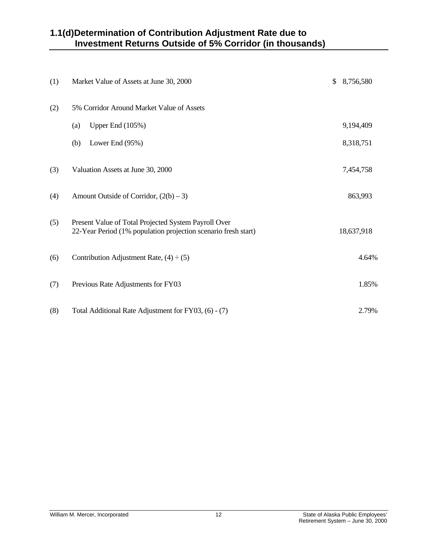# <span id="page-17-0"></span>**1.1(d) Determination of Contribution Adjustment Rate due to Investment Returns Outside of 5% Corridor (in thousands)**

| (1) | Market Value of Assets at June 30, 2000                                                                                | \$<br>8,756,580 |
|-----|------------------------------------------------------------------------------------------------------------------------|-----------------|
| (2) | 5% Corridor Around Market Value of Assets                                                                              |                 |
|     | Upper End (105%)<br>(a)                                                                                                | 9,194,409       |
|     | Lower End (95%)<br>(b)                                                                                                 | 8,318,751       |
| (3) | Valuation Assets at June 30, 2000                                                                                      | 7,454,758       |
| (4) | Amount Outside of Corridor, $(2(b) - 3)$                                                                               | 863,993         |
| (5) | Present Value of Total Projected System Payroll Over<br>22-Year Period (1% population projection scenario fresh start) | 18,637,918      |
| (6) | Contribution Adjustment Rate, $(4) \div (5)$                                                                           | 4.64%           |
| (7) | Previous Rate Adjustments for FY03                                                                                     | 1.85%           |
| (8) | Total Additional Rate Adjustment for FY03, (6) - (7)                                                                   | 2.79%           |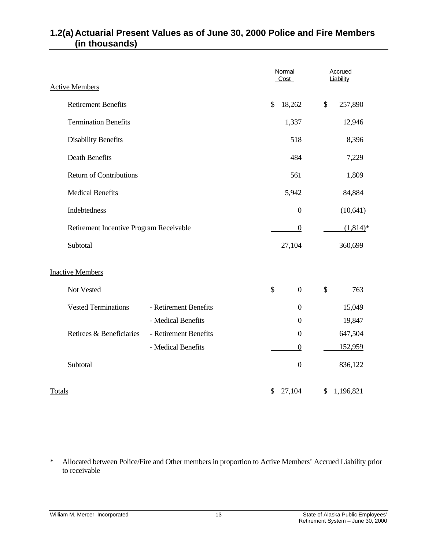|        |                                         | Normal<br>Cost        |               | Accrued<br>Liability |                           |            |
|--------|-----------------------------------------|-----------------------|---------------|----------------------|---------------------------|------------|
|        | <b>Active Members</b>                   |                       |               |                      |                           |            |
|        | <b>Retirement Benefits</b>              |                       | $\mathcal{S}$ | 18,262               | \$                        | 257,890    |
|        | <b>Termination Benefits</b>             |                       |               | 1,337                |                           | 12,946     |
|        | <b>Disability Benefits</b>              |                       |               | 518                  |                           | 8,396      |
|        | <b>Death Benefits</b>                   |                       |               | 484                  |                           | 7,229      |
|        | <b>Return of Contributions</b>          |                       |               | 561                  |                           | 1,809      |
|        | <b>Medical Benefits</b>                 |                       |               | 5,942                |                           | 84,884     |
|        | Indebtedness                            |                       |               | $\boldsymbol{0}$     |                           | (10, 641)  |
|        | Retirement Incentive Program Receivable |                       |               | $\overline{0}$       |                           | $(1,814)*$ |
|        | Subtotal                                |                       |               | 27,104               |                           | 360,699    |
|        | <b>Inactive Members</b>                 |                       |               |                      |                           |            |
|        | Not Vested                              |                       | $\mathcal{S}$ | $\overline{0}$       | $\boldsymbol{\mathsf{S}}$ | 763        |
|        | <b>Vested Terminations</b>              | - Retirement Benefits |               | $\overline{0}$       |                           | 15,049     |
|        |                                         | - Medical Benefits    |               | $\overline{0}$       |                           | 19,847     |
|        | Retirees & Beneficiaries                | - Retirement Benefits |               | $\boldsymbol{0}$     |                           | 647,504    |
|        |                                         | - Medical Benefits    |               | $\boldsymbol{0}$     |                           | 152,959    |
|        | Subtotal                                |                       |               | $\boldsymbol{0}$     |                           | 836,122    |
| Totals |                                         |                       | \$            | 27,104               | \$                        | 1,196,821  |

# <span id="page-18-0"></span>**1.2(a) Actuarial Present Values as of June 30, 2000 Police and Fire Members (in thousands)**

\* Allocated between Police/Fire and Other members in proportion to Active Members' Accrued Liability prior to receivable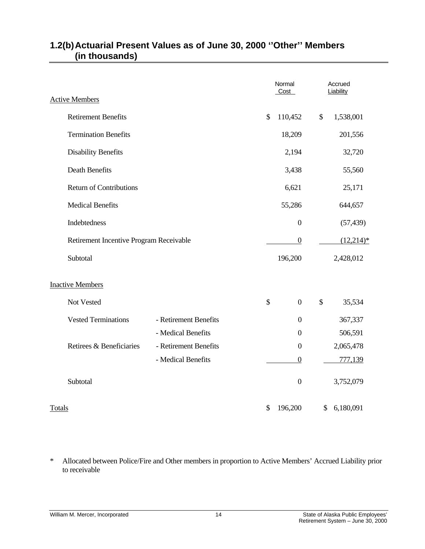|                                         |                       | Normal<br>Cost         | Accrued<br>Liability |
|-----------------------------------------|-----------------------|------------------------|----------------------|
| <b>Active Members</b>                   |                       |                        |                      |
| <b>Retirement Benefits</b>              |                       | \$<br>110,452          | \$<br>1,538,001      |
| <b>Termination Benefits</b>             |                       | 18,209                 | 201,556              |
| <b>Disability Benefits</b>              |                       | 2,194                  | 32,720               |
| Death Benefits                          |                       | 3,438                  | 55,560               |
| <b>Return of Contributions</b>          |                       | 6,621                  | 25,171               |
| <b>Medical Benefits</b>                 |                       | 55,286                 | 644,657              |
| Indebtedness                            |                       | $\boldsymbol{0}$       | (57, 439)            |
| Retirement Incentive Program Receivable |                       | $\boldsymbol{0}$       | $(12,214)*$          |
| Subtotal                                |                       | 196,200                | 2,428,012            |
| <b>Inactive Members</b>                 |                       |                        |                      |
| Not Vested                              |                       | \$<br>$\boldsymbol{0}$ | \$<br>35,534         |
| <b>Vested Terminations</b>              | - Retirement Benefits | $\boldsymbol{0}$       | 367,337              |
|                                         | - Medical Benefits    | $\boldsymbol{0}$       | 506,591              |
| Retirees & Beneficiaries                | - Retirement Benefits | $\boldsymbol{0}$       | 2,065,478            |
|                                         | - Medical Benefits    | $\boldsymbol{0}$       | 777,139              |
| Subtotal                                |                       | $\boldsymbol{0}$       | 3,752,079            |
| Totals                                  |                       | \$<br>196,200          | \$<br>6,180,091      |

## <span id="page-19-0"></span>**1.2(b) Actuarial Present Values as of June 30, 2000 ''Other'' Members (in thousands)**

\* Allocated between Police/Fire and Other members in proportion to Active Members' Accrued Liability prior to receivable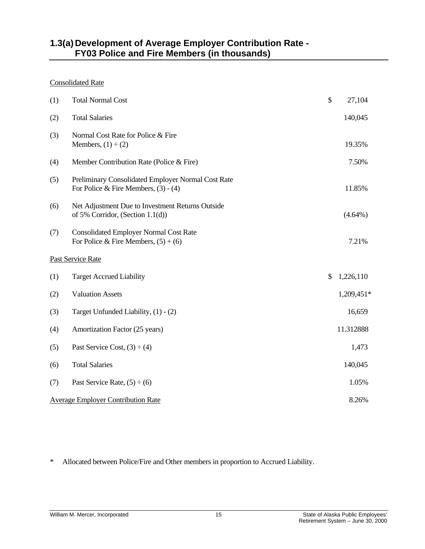## <span id="page-20-0"></span>**1.3(a) Development of Average Employer Contribution Rate - FY03 Police and Fire Members (in thousands)**

#### Consolidated Rate

| (1)                                       | <b>Total Normal Cost</b>                                                                     | \$ | 27,104     |  |  |  |
|-------------------------------------------|----------------------------------------------------------------------------------------------|----|------------|--|--|--|
| (2)                                       | <b>Total Salaries</b>                                                                        |    | 140,045    |  |  |  |
| (3)                                       | Normal Cost Rate for Police & Fire<br>Members, $(1) \div (2)$                                |    | 19.35%     |  |  |  |
| (4)                                       | Member Contribution Rate (Police & Fire)                                                     |    | 7.50%      |  |  |  |
| (5)                                       | Preliminary Consolidated Employer Normal Cost Rate<br>For Police & Fire Members, $(3) - (4)$ |    | 11.85%     |  |  |  |
| (6)                                       | Net Adjustment Due to Investment Returns Outside<br>of 5% Corridor, (Section 1.1(d))         |    | $(4.64\%)$ |  |  |  |
| (7)                                       | <b>Consolidated Employer Normal Cost Rate</b><br>For Police & Fire Members, $(5) + (6)$      |    | 7.21%      |  |  |  |
|                                           | Past Service Rate                                                                            |    |            |  |  |  |
| (1)                                       | <b>Target Accrued Liability</b>                                                              | \$ | 1,226,110  |  |  |  |
| (2)                                       | <b>Valuation Assets</b>                                                                      |    | 1,209,451* |  |  |  |
| (3)                                       | Target Unfunded Liability, (1) - (2)                                                         |    | 16,659     |  |  |  |
| (4)                                       | Amortization Factor (25 years)                                                               |    | 11.312888  |  |  |  |
| (5)                                       | Past Service Cost, $(3) \div (4)$                                                            |    | 1,473      |  |  |  |
| (6)                                       | <b>Total Salaries</b>                                                                        |    | 140,045    |  |  |  |
| (7)                                       | Past Service Rate, $(5) \div (6)$                                                            |    | 1.05%      |  |  |  |
| <b>Average Employer Contribution Rate</b> |                                                                                              |    |            |  |  |  |

\* Allocated between Police/Fire and Other members in proportion to Accrued Liability.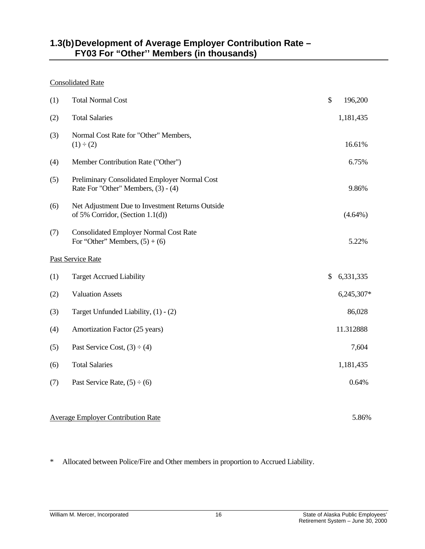## <span id="page-21-0"></span>**1.3(b) Development of Average Employer Contribution Rate – FY03 For "Other'' Members (in thousands)**

#### Consolidated Rate

| (1) | <b>Total Normal Cost</b>                                                             | \$<br>196,200   |
|-----|--------------------------------------------------------------------------------------|-----------------|
| (2) | <b>Total Salaries</b>                                                                | 1,181,435       |
| (3) | Normal Cost Rate for "Other" Members,<br>$(1) \div (2)$                              | 16.61%          |
| (4) | Member Contribution Rate ("Other")                                                   | 6.75%           |
| (5) | Preliminary Consolidated Employer Normal Cost<br>Rate For "Other" Members, (3) - (4) | 9.86%           |
| (6) | Net Adjustment Due to Investment Returns Outside<br>of 5% Corridor, (Section 1.1(d)) | $(4.64\%)$      |
| (7) | <b>Consolidated Employer Normal Cost Rate</b><br>For "Other" Members, $(5) + (6)$    | 5.22%           |
|     | Past Service Rate                                                                    |                 |
| (1) | <b>Target Accrued Liability</b>                                                      | \$<br>6,331,335 |
| (2) | <b>Valuation Assets</b>                                                              | 6,245,307*      |
| (3) | Target Unfunded Liability, (1) - (2)                                                 | 86,028          |
| (4) | Amortization Factor (25 years)                                                       | 11.312888       |
| (5) | Past Service Cost, $(3) \div (4)$                                                    | 7,604           |
| (6) | <b>Total Salaries</b>                                                                | 1,181,435       |
| (7) | Past Service Rate, $(5) \div (6)$                                                    | 0.64%           |
|     |                                                                                      |                 |

\* Allocated between Police/Fire and Other members in proportion to Accrued Liability.

Average Employer Contribution Rate 5.86%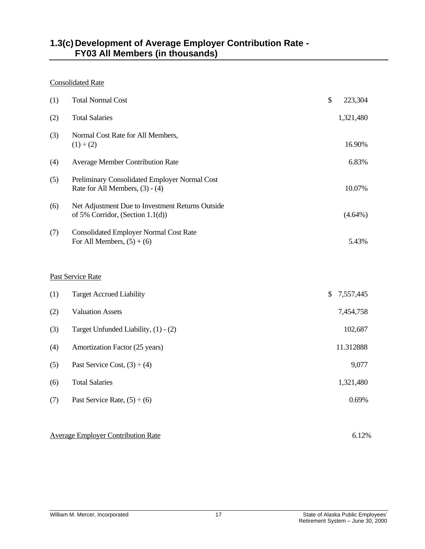## <span id="page-22-0"></span>**1.3(c) Development of Average Employer Contribution Rate - FY03 All Members (in thousands)**

## Consolidated Rate

| (1) | <b>Total Normal Cost</b>                                                             | \$<br>223,304   |
|-----|--------------------------------------------------------------------------------------|-----------------|
| (2) | <b>Total Salaries</b>                                                                | 1,321,480       |
| (3) | Normal Cost Rate for All Members,<br>$(1) \div (2)$                                  | 16.90%          |
| (4) | <b>Average Member Contribution Rate</b>                                              | 6.83%           |
| (5) | Preliminary Consolidated Employer Normal Cost<br>Rate for All Members, $(3) - (4)$   | 10.07%          |
| (6) | Net Adjustment Due to Investment Returns Outside<br>of 5% Corridor, (Section 1.1(d)) | $(4.64\%)$      |
| (7) | <b>Consolidated Employer Normal Cost Rate</b><br>For All Members, $(5) + (6)$        | 5.43%           |
|     | Past Service Rate                                                                    |                 |
| (1) | <b>Target Accrued Liability</b>                                                      | \$<br>7,557,445 |
| (2) | <b>Valuation Assets</b>                                                              | 7,454,758       |
| (3) | Target Unfunded Liability, (1) - (2)                                                 | 102,687         |
| (4) | Amortization Factor (25 years)                                                       | 11.312888       |
| (5) | Past Service Cost, $(3) \div (4)$                                                    | 9,077           |
| (6) | <b>Total Salaries</b>                                                                | 1,321,480       |
| (7) | Past Service Rate, $(5) \div (6)$                                                    | 0.69%           |
|     | <b>Average Employer Contribution Rate</b>                                            | 6.12%           |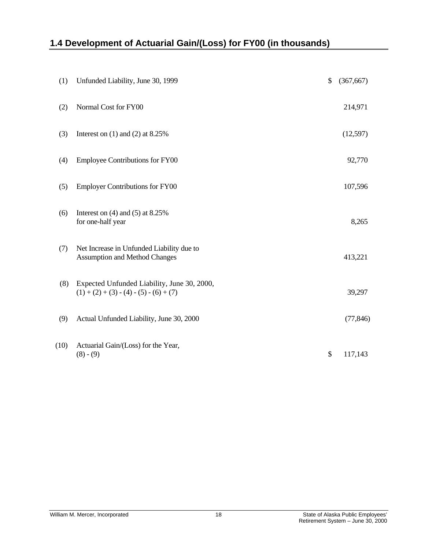# <span id="page-23-0"></span>**1.4 Development of Actuarial Gain/(Loss) for FY00 (in thousands)**

| (1)  | Unfunded Liability, June 30, 1999                                                        | \$<br>(367, 667) |
|------|------------------------------------------------------------------------------------------|------------------|
| (2)  | Normal Cost for FY00                                                                     | 214,971          |
| (3)  | Interest on $(1)$ and $(2)$ at 8.25%                                                     | (12,597)         |
| (4)  | <b>Employee Contributions for FY00</b>                                                   | 92,770           |
| (5)  | <b>Employer Contributions for FY00</b>                                                   | 107,596          |
| (6)  | Interest on $(4)$ and $(5)$ at 8.25%<br>for one-half year                                | 8,265            |
| (7)  | Net Increase in Unfunded Liability due to<br><b>Assumption and Method Changes</b>        | 413,221          |
| (8)  | Expected Unfunded Liability, June 30, 2000,<br>$(1) + (2) + (3) - (4) - (5) - (6) + (7)$ | 39,297           |
| (9)  | Actual Unfunded Liability, June 30, 2000                                                 | (77, 846)        |
| (10) | Actuarial Gain/(Loss) for the Year,<br>$(8) - (9)$                                       | \$<br>117,143    |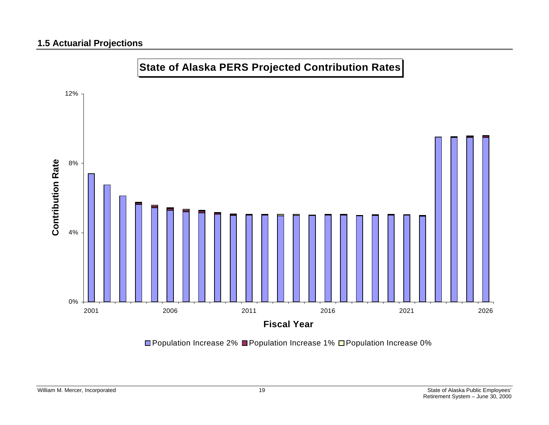## **1.5 Actuarial Projections**



**□Population Increase 2% ■Population Increase 1% □Population Increase 0%**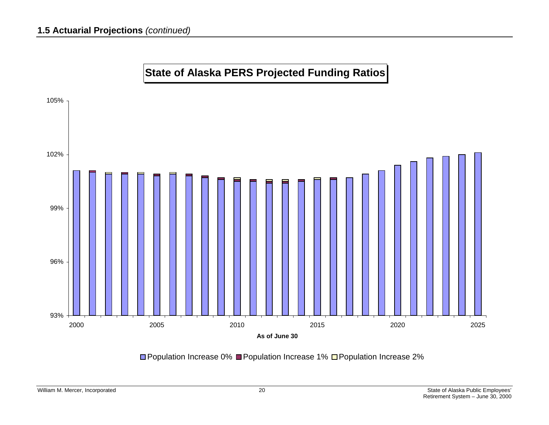

# **State of Alaska PERS Projected Funding Ratios**

**□ Population Increase 0% ■ Population Increase 1% □ Population Increase 2%**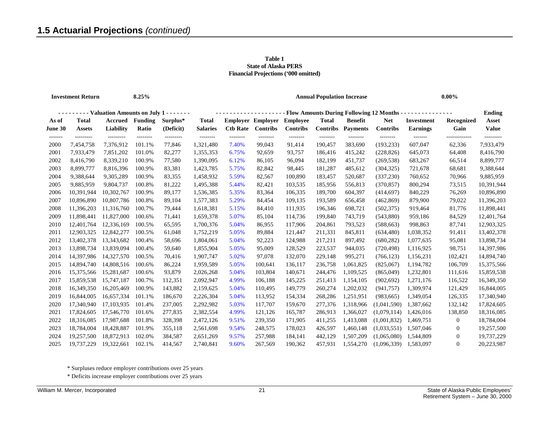#### **Table 1 State of Alaska PERS Financial Projections ('000 omitted)**

<span id="page-26-0"></span>

| <b>Investment Return</b><br>8.25% |                               |                                             |                    |                       | <b>Annual Population Increase</b>                                 |                   |                                             |                             |                          |                                   |                               | $0.00\%$                             |                         |                        |  |
|-----------------------------------|-------------------------------|---------------------------------------------|--------------------|-----------------------|-------------------------------------------------------------------|-------------------|---------------------------------------------|-----------------------------|--------------------------|-----------------------------------|-------------------------------|--------------------------------------|-------------------------|------------------------|--|
|                                   |                               | - Valuation Amounts on July 1 - - - - - - - |                    |                       | <b>Flow Amounts During Following 12 Months -</b><br><b>Ending</b> |                   |                                             |                             |                          |                                   |                               |                                      |                         |                        |  |
| As of<br><b>June 30</b>           | <b>Total</b><br><b>Assets</b> | Accrued<br>Liability                        | Funding<br>Ratio   | Surplus*<br>(Deficit) | <b>Total</b><br><b>Salaries</b>                                   | <b>Ctb Rate</b>   | <b>Employer Employer</b><br><b>Contribs</b> | <b>Employee</b><br>Contribs | <b>Total</b><br>Contribs | <b>Benefit</b><br><b>Payments</b> | <b>Net</b><br><b>Contribs</b> | <b>Investment</b><br><b>Earnings</b> | Recognized<br>Gain      | Asset<br><b>Value</b>  |  |
| -------<br>2000                   | ---------<br>7,454,758        | ---------<br>7,376,912                      | --------<br>101.1% | ---------<br>77,846   | --------<br>1,321,480                                             | --------<br>7.40% | --------<br>99,043                          | ---------<br>91,414         | --------<br>190,457      | --------<br>383,690               | --------<br>(193, 233)        | -------<br>607,047                   | -------------<br>62,336 | ---------<br>7,933,479 |  |
| 2001                              | 7,933,479                     | 7,851,202                                   | 101.0%             | 82,277                | 1,355,353                                                         | 6.75%             | 92,659                                      | 93,757                      | 186,416                  | 415,242                           | (228, 826)                    | 645,073                              | 64,408                  | 8,416,790              |  |
| 2002                              | 8,416,790                     | 8,339,210                                   | 100.9%             | 77,580                | 1,390,095                                                         | 6.12%             | 86,105                                      | 96,094                      | 182,199                  | 451,737                           | (269, 538)                    | 683,267                              | 66,514                  | 8,899,777              |  |
| 2003                              | 8,899,777                     | 8,816,396                                   | 100.9%             | 83,381                | 1,423,785                                                         | 5.75%             | 82,842                                      | 98,445                      | 181,287                  | 485,612                           | (304, 325)                    | 721,678                              | 68,681                  | 9,388,644              |  |
| 2004                              | 9,388,644                     | 9,305,289                                   | 100.9%             | 83,355                | 1,458,932                                                         | 5.59%             | 82,567                                      | 100,890                     | 183,457                  | 520,687                           | (337, 230)                    | 760,652                              | 70,966                  | 9,885,959              |  |
| 2005                              | 9,885,959                     | 9,804,737                                   | 100.8%             | 81,222                | 1,495,388                                                         | 5.44%             | 82,421                                      | 103,535                     | 185,956                  | 556,813                           | (370, 857)                    | 800,294                              | 73,515                  | 10,391,944             |  |
| 2006                              | 10,391,944                    | 10,302,767                                  | 100.9%             | 89,177                | 1,536,385                                                         | 5.35%             | 83,364                                      | 106,335                     | 189,700                  | 604,397                           | (414, 697)                    | 840,229                              | 76,269                  | 10,896,890             |  |
| 2007                              | 10,896,890                    | 10,807,786                                  | 100.8%             | 89,104                | 1,577,383                                                         | 5.29%             | 84,454                                      | 109,135                     | 193,589                  | 656,458                           | (462, 869)                    | 879,900                              | 79,022                  | 11,396,203             |  |
| 2008                              | 11,396,203                    | 11,316,760                                  | 100.7%             | 79,444                | 1,618,381                                                         | 5.15%             | 84,410                                      | 111,935                     | 196,346                  | 698,721                           | (502, 375)                    | 919,464                              | 81,776                  | 11,898,441             |  |
| 2009                              | 11,898,441                    | 11,827,000                                  | 100.6%             | 71,441                | 1,659,378                                                         | 5.07%             | 85,104                                      | 114,736                     | 199,840                  | 743,719                           | (543,880)                     | 959,186                              | 84,529                  | 12,401,764             |  |
| 2010                              | 12,401,764                    | 12,336,169                                  | 100.5%             | 65,595                | 1,700,376                                                         | 5.04%             | 86,955                                      | 117,906                     | 204,861                  | 793,523                           | (588, 663)                    | 998,863                              | 87,741                  | 12,903,325             |  |
| 2011                              | 12,903,325                    | 12,842,277                                  | 100.5%             | 61,048                | 1,752,219                                                         | 5.05%             | 89,884                                      | 121,447                     | 211,331                  | 845,811                           | (634, 480)                    | 1,038,352                            | 91,411                  | 13,402,378             |  |
| 2012                              | 13,402,378                    | 13,343,682                                  | 100.4%             | 58,696                | 1,804,061                                                         | 5.04%             | 92,223                                      | 124,988                     | 217,211                  | 897,492                           | (680, 282)                    | 1,077,635                            | 95,081                  | 13,898,734             |  |
| 2013                              | 13,898,734                    | 13,839,094                                  | 100.4%             | 59,640                | 1,855,904                                                         | 5.05%             | 95,009                                      | 128,529                     | 223,537                  | 944,035                           | (720, 498)                    | 1,116,925                            | 98,751                  | 14,397,986             |  |
| 2014                              | 14,397,986                    | 14,327,570                                  | 100.5%             | 70,416                | 1,907,747                                                         | 5.02%             | 97,078                                      | 132,070                     | 229,148                  | 995,271                           | (766, 123)                    | 1,156,231                            | 102,421                 | 14,894,740             |  |
| 2015                              | 14,894,740                    | 14,808,516                                  | 100.6%             | 86,224                | 1,959,589                                                         | 5.05%             | 100,641                                     | 136,117                     | 236,758                  | 1,061,825                         | (825,067)                     | 1,194,782                            | 106,709                 | 15,375,566             |  |
| 2016                              | 15,375,566                    | 15,281,687                                  | 100.6%             | 93,879                | 2,026,268                                                         | 5.04%             | 103,804                                     | 140,671                     | 244,476                  | 1,109,525                         | (865,049)                     | 1,232,801                            | 111,616                 | 15,859,538             |  |
| 2017                              | 15,859,538                    | 15,747,187                                  | 100.7%             | 112,351               | 2,092,947                                                         | 4.99%             | 106,188                                     | 145,225                     | 251,413                  | 1,154,105                         | (902, 692)                    | 1,271,176                            | 116,522                 | 16,349,350             |  |
| 2018                              | 16,349,350                    | 16,205,469                                  | 100.9%             | 143,882               | 2,159,625                                                         | 5.04%             | 110,495                                     | 149,779                     | 260,274                  | 1,202,032                         | (941, 757)                    | 1,309,974                            | 121,429                 | 16,844,005             |  |
| 2019                              | 16,844,005                    | 16,657,334                                  | 101.1%             | 186,670               | 2,226,304                                                         | 5.04%             | 113,952                                     | 154,334                     | 268,286                  | 1,251,951                         | (983, 665)                    | 1,349,054                            | 126,335                 | 17,340,940             |  |
| 2020                              | 17,340,940                    | 17,103,935                                  | 101.4%             | 237,005               | 2,292,982                                                         | 5.03%             | 117,707                                     | 159,670                     | 277,376                  | 1,318,966                         | (1,041,590)                   | 1,387,662                            | 132,142                 | 17,824,605             |  |
| 2021                              | 17,824,605                    | 17,546,770                                  | 101.6%             | 277,835               | 2,382,554                                                         | 4.99%             | 121,126                                     | 165,787                     | 286,913                  | 1,366,027                         | (1,079,114)                   | 1,426,016                            | 138,850                 | 18,316,085             |  |
| 2022                              | 18,316,085                    | 17,987,688                                  | 101.8%             | 328,398               | 2,472,126                                                         | 9.51%             | 239,350                                     | 171,905                     | 411,255                  | 1,413,088                         | (1,001,832)                   | 1,469,751                            | $\mathbf{0}$            | 18,784,004             |  |
| 2023                              | 18,784,004                    | 18,428,887                                  | 101.9%             | 355,118               | 2,561,698                                                         | 9.54%             | 248,575                                     | 178,023                     | 426,597                  | 1,460,148                         | (1,033,551)                   | 1,507,046                            | $\theta$                | 19,257,500             |  |
| 2024                              | 19,257,500                    | 18,872,913                                  | 102.0%             | 384,587               | 2,651,269                                                         | 9.57%             | 257,988                                     | 184,141                     | 442,129                  | 1,507,209                         | (1,065,080)                   | 1,544,809                            | $\theta$                | 19,737,229             |  |
| 2025                              | 19,737,229                    | 19,322,661                                  | 102.1%             | 414.567               | 2.740.841                                                         | 9.60%             | 267,569                                     | 190.362                     | 457.931                  | 1,554,270                         | (1,096,339)                   | 1.583.097                            | $\Omega$                | 20,223,987             |  |

\* Surpluses reduce employer contributions over 25 years

\* Deficits increase employer contributions over 25 years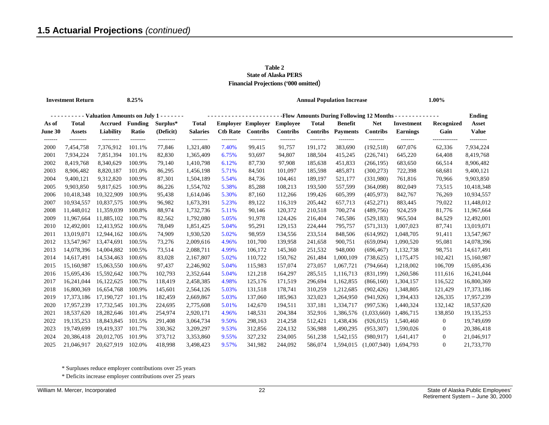#### **Table 2 State of Alaska PERS Financial Projections ('000 omitted**)

| <b>Investment Return</b> |                                               |                        | 8.25%                   |                       |                                                                                                             |                   |                                             |                                    |                                 | <b>Annual Population Increase</b> | 1.00%                   |                                      |                         |                        |
|--------------------------|-----------------------------------------------|------------------------|-------------------------|-----------------------|-------------------------------------------------------------------------------------------------------------|-------------------|---------------------------------------------|------------------------------------|---------------------------------|-----------------------------------|-------------------------|--------------------------------------|-------------------------|------------------------|
|                          | --------- Valuation Amounts on July 1 ------- |                        |                         |                       | -Flow Amounts During Following 12 Months - - - - - - - - - - - - -<br><b>Ending</b><br>-------------------- |                   |                                             |                                    |                                 |                                   |                         |                                      |                         |                        |
| As of<br>June 30         | <b>Total</b><br><b>Assets</b>                 | Accrued<br>Liability   | <b>Funding</b><br>Ratio | Surplus*<br>(Deficit) | <b>Total</b><br><b>Salaries</b>                                                                             | <b>Ctb Rate</b>   | <b>Employer Employer</b><br><b>Contribs</b> | <b>Employee</b><br><b>Contribs</b> | <b>Total</b><br><b>Contribs</b> | <b>Benefit</b><br><b>Payments</b> | <b>Net</b><br>Contribs  | <b>Investment</b><br><b>Earnings</b> | Recognized<br>Gain      | Asset<br><b>Value</b>  |
| -------<br>2000          | ---------<br>7,454,758                        | ---------<br>7,376,912 | --------<br>101.1%      | ---------<br>77,846   | --------<br>1,321,480                                                                                       | --------<br>7.40% | --------<br>99,415                          | --------<br>91,757                 | --------<br>191,172             | --------<br>383,690               | --------<br>(192, 518)  | -------<br>607,076                   | -------------<br>62,336 | ---------<br>7,934,224 |
| 2001                     | 7,934,224                                     | 7,851,394              | 101.1%                  | 82,830                | 1,365,409                                                                                                   | 6.75%             | 93,697                                      | 94,807                             | 188,504                         | 415,245                           | (226,741)               | 645,220                              | 64,408                  | 8,419,768              |
| 2002                     | 8,419,768                                     | 8,340,629              | 100.9%                  | 79,140                | 1,410,798                                                                                                   | 6.12%             | 87,730                                      | 97,908                             | 185,638                         | 451,833                           | (266, 195)              | 683,650                              | 66,514                  | 8,906,482              |
| 2003                     | 8,906,482                                     | 8,820,187              | 101.0%                  | 86,295                | 1,456,198                                                                                                   | 5.71%             | 84,501                                      | 101,097                            | 185,598                         | 485,871                           | (300, 273)              | 722,398                              | 68,681                  | 9,400,121              |
| 2004                     | 9,400,121                                     | 9,312,820              | 100.9%                  | 87,301                | 1,504,189                                                                                                   | 5.54%             | 84,736                                      | 104,461                            | 189,197                         | 521,177                           | (331,980)               | 761,816                              | 70,966                  | 9,903,850              |
| 2005                     | 9,903,850                                     | 9,817,625              | 100.9%                  | 86,226                | 1,554,702                                                                                                   | 5.38%             | 85,288                                      | 108,213                            | 193,500                         | 557,599                           | (364,098)               | 802,049                              | 73,515                  | 10,418,348             |
| 2006                     | 10,418,348                                    | 10,322,909             | 100.9%                  | 95,438                | 1,614,046                                                                                                   | 5.30%             | 87,160                                      | 112,266                            | 199,426                         | 605,399                           | (405, 973)              | 842,767                              | 76,269                  | 10,934,557             |
| 2007                     | 10,934,557                                    | 10,837,575             | 100.9%                  | 96,982                | 1,673,391                                                                                                   | 5.23%             | 89,122                                      | 116,319                            | 205,442                         | 657,713                           | (452, 271)              | 883,445                              | 79,022                  | 11,448,012             |
| 2008                     | 11,448,012                                    | 11,359,039             | 100.8%                  | 88,974                | 1,732,736                                                                                                   | 5.11%             | 90,146                                      | 120,372                            | 210,518                         | 700,274                           | (489, 756)              | 924,259                              | 81,776                  | 11,967,664             |
| 2009                     | 11,967,664                                    | 11,885,102             | 100.7%                  | 82,562                | 1,792,080                                                                                                   | 5.05%             | 91,978                                      | 124,426                            | 216,404                         | 745,586                           | (529, 183)              | 965,504                              | 84,529                  | 12,492,001             |
| 2010                     | 12,492,001                                    | 12,413,952             | 100.6%                  | 78,049                | 1,851,425                                                                                                   | 5.04%             | 95,291                                      | 129,153                            | 224,444                         | 795,757                           | (571, 313)              | 1,007,023                            | 87,741                  | 13,019,071             |
| 2011                     | 13,019,071                                    | 12,944,162             | 100.6%                  | 74,909                | 1,930,520                                                                                                   | 5.02%             | 98,959                                      | 134,556                            | 233,514                         | 848,506                           | (614,992)               | 1,048,705                            | 91,411                  | 13,547,967             |
| 2012                     | 13,547,967                                    | 13,474,691             | 100.5%                  | 73,276                | 2,009,616                                                                                                   | 4.96%             | 101,700                                     | 139,958                            | 241,658                         | 900,751                           | (659,094)               | 1,090,520                            | 95,081                  | 14,078,396             |
| 2013                     | 14,078,396                                    | 14,004,882             | 100.5%                  | 73,514                | 2,088,711                                                                                                   | 4.99%             | 106,172                                     | 145,360                            | 251,532                         | 948,000                           | (696, 467)              | 1,132,738                            | 98,751                  | 14,617,491             |
| 2014                     | 14,617,491                                    | 14,534,463             | 100.6%                  | 83,028                | 2,167,807                                                                                                   | 5.02%             | 110,722                                     | 150,762                            | 261,484                         | 1,000,109                         | (738, 625)              | 1,175,475                            | 102,421                 | 15,160,987             |
| 2015                     | 15,160,987                                    | 15,063,550             | 100.6%                  | 97,437                | 2,246,902                                                                                                   | 5.04%             | 115,983                                     | 157,074                            | 273,057                         | 1,067,721                         | (794, 664)              | 1,218,002                            | 106,709                 | 15,695,436             |
| 2016                     | 15,695,436                                    | 15,592,642             | 100.7%                  | 102,793               | 2,352,644                                                                                                   | 5.04%             | 121,218                                     | 164,297                            | 285,515                         | 1,116,713                         | (831,199)               | 1,260,586                            | 111,616                 | 16,241,044             |
| 2017                     | 16,241,044                                    | 16,122,625             | 100.7%                  | 118,419               | 2,458,385                                                                                                   | 4.98%             | 125,176                                     | 171,519                            | 296,694                         | 1,162,855                         | (866, 160)              | 1,304,157                            | 116,522                 | 16,800,369             |
| 2018                     | 16,800,369                                    | 16,654,768             | 100.9%                  | 145,601               | 2,564,126                                                                                                   | 5.03%             | 131,518                                     | 178,741                            | 310,259                         | 1,212,685                         | (902, 426)              | 1,348,805                            | 121,429                 | 17,373,186             |
| 2019                     | 17,373,186                                    | 17,190,727             | 101.1%                  | 182,459               | 2,669,867                                                                                                   | 5.03%             | 137,060                                     | 185,963                            | 323,023                         | 1,264,950                         | (941, 926)              | 1,394,433                            | 126,335                 | 17,957,239             |
| 2020                     | 17,957,239                                    | 17,732,545             | 101.3%                  | 224,695               | 2,775,608                                                                                                   | 5.01%             | 142,670                                     | 194,511                            | 337,181                         | 1,334,717                         | (997, 536)              | 1,440,324                            | 132,142                 | 18,537,620             |
| 2021                     | 18,537,620                                    | 18,282,646             | 101.4%                  | 254,974               | 2,920,171                                                                                                   | 4.96%             | 148,531                                     | 204,384                            | 352,916                         | 1,386,576                         | (1,033,660)             | 1,486,715                            | 138,850                 | 19,135,253             |
| 2022                     | 19,135,253                                    | 18,843,845             | 101.5%                  | 291,408               | 3,064,734                                                                                                   | 9.50%             | 298,163                                     | 214,258                            | 512,421                         | 1,438,436                         | (926, 015)              | 1,540,460                            | $\bf{0}$                | 19,749,699             |
| 2023                     | 19,749,699                                    | 19,419,337             | 101.7%                  | 330,362               | 3,209,297                                                                                                   | 9.53%             | 312,856                                     | 224,132                            | 536,988                         | 1,490,295                         | (953, 307)              | 1,590,026                            | $\bf{0}$                | 20,386,418             |
| 2024                     | 20,386,418                                    | 20,012,705             | 101.9%                  | 373,712               | 3,353,860                                                                                                   | 9.55%             | 327,232                                     | 234,005                            | 561,238                         | 1,542,155                         | (980.917)               | 1,641,417                            | $\mathbf{0}$            | 21,046,917             |
| 2025                     | 21,046,917                                    | 20,627,919             | 102.0%                  | 418.998               | 3.498.423                                                                                                   | 9.57%             | 341.982                                     | 244.092                            | 586,074                         | 1.594.015                         | $(1,007,940)$ 1,694,793 |                                      | $\Omega$                | 21,733,770             |

\* Surpluses reduce employer contributions over 25 years

\* Deficits increase employer contributions over 25 years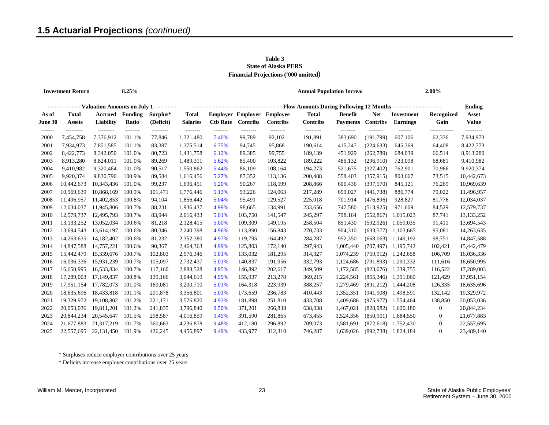| Table 3                                     |
|---------------------------------------------|
| <b>State of Alaska PERS</b>                 |
| <b>Financial Projections ('000 omitted)</b> |

| <b>Investment Return</b> |                                               |                               | 8.25%                  |                        |                             |                                                                                    |                             |                             | <b>Annual Population Increas</b> |                             | 2.00%                       |                            |                       |                    |
|--------------------------|-----------------------------------------------|-------------------------------|------------------------|------------------------|-----------------------------|------------------------------------------------------------------------------------|-----------------------------|-----------------------------|----------------------------------|-----------------------------|-----------------------------|----------------------------|-----------------------|--------------------|
|                          | --------- Valuation Amounts on July 1 ------- |                               |                        |                        |                             | --------------------------- Flow Amounts During Following 12 Months -------------- |                             |                             |                                  |                             |                             |                            |                       |                    |
| As of                    | <b>Total</b>                                  |                               | <b>Accrued</b> Funding | Surplus*               | <b>Total</b>                |                                                                                    | <b>Employer Employer</b>    | <b>Employee</b>             | <b>Total</b>                     | <b>Benefit</b>              | <b>Net</b>                  | Investment                 | Recognized            | Asset              |
| June 30<br>-------       | <b>Assets</b><br>---------                    | <b>Liability</b><br>--------- | Ratio<br>--------      | (Deficit)<br>--------- | <b>Salaries</b><br>-------- | <b>Ctb Rate</b><br>--------                                                        | <b>Contribs</b><br>-------- | <b>Contribs</b><br>-------- | <b>Contribs</b><br>--------      | <b>Payments</b><br>-------- | <b>Contribs</b><br>-------- | <b>Earnings</b><br>------- | Gain<br>------------- | Value<br>--------- |
| 2000                     | 7,454,758                                     | 7,376,912                     | 101.1%                 | 77,846                 | 1,321,480                   | 7.40%                                                                              | 99,789                      | 92,102                      | 191,891                          | 383,690                     | (191.799)                   | 607,106                    | 62,336                | 7,934,973          |
| 2001                     | 7,934,973                                     | 7,851,585                     | 101.1%                 | 83,387                 | 1,375,514                   | 6.75%                                                                              | 94,745                      | 95,868                      | 190,614                          | 415,247                     | (224, 633)                  | 645,369                    | 64,408                | 8,422,773          |
| 2002                     | 8,422,773                                     | 8,342,050                     | 101.0%                 | 80,723                 | 1,431,758                   | 6.12%                                                                              | 89,385                      | 99,755                      | 189,139                          | 451,929                     | (262,789)                   | 684,039                    | 66,514                | 8,913,280          |
| 2003                     | 8,913,280                                     | 8,824,011                     | 101.0%                 | 89,269                 | 1,489,311                   | 5.62%                                                                              | 85,400                      | 103,822                     | 189,222                          | 486,132                     | (296,910)                   | 723,098                    | 68,681                | 9,410,982          |
| 2004                     | 9,410,982                                     | 9,320,464                     | 101.0%                 | 90,517                 | 1,550,862                   | 5.44%                                                                              | 86,109                      | 108,164                     | 194,273                          | 521,675                     | (327, 402)                  | 762,901                    | 70,966                | 9,920,374          |
| 2005                     | 9,920,374                                     | 9,830,790                     | 100.9%                 | 89,584                 | 1,616,456                   | 5.27%                                                                              | 87,352                      | 113,136                     | 200,488                          | 558,403                     | (357, 915)                  | 803,667                    | 73,515                | 10,442,673         |
| 2006                     | 10,442,673                                    | 10,343,436                    | 101.0%                 | 99,237                 | 1,696,451                   | 5.20%                                                                              | 90,267                      | 118,599                     | 208,866                          | 606,436                     | (397,570)                   | 845,121                    | 76,269                | 10,969,639         |
| 2007                     | 10.969.639                                    | 10.868.169                    | 100.9%                 | 101,471                | 1,776,446                   | 5.13%                                                                              | 93,226                      | 124,063                     | 217,289                          | 659,027                     | (441, 738)                  | 886,774                    | 79,022                | 11,496,957         |
| 2008                     | 11,496,957                                    | 11,402,853                    | 100.8%                 | 94,104                 | 1,856,442                   | 5.04%                                                                              | 95,491                      | 129,527                     | 225,018                          | 701,914                     | (476, 896)                  | 928,827                    | 81,776                | 12,034,037         |
| 2009                     | 12,034,037                                    | 11,945,806                    | 100.7%                 | 88,231                 | 1,936,437                   | 4.99%                                                                              | 98,665                      | 134,991                     | 233,656                          | 747,580                     | (513, 925)                  | 971,609                    | 84,529                | 12,579,737         |
| 2010                     | 12,579,737                                    | 12,495,793                    | 100.7%                 | 83,944                 | 2,016,433                   | 5.01%                                                                              | 103,750                     | 141,547                     | 245,297                          | 798,164                     | (552, 867)                  | 1,015,023                  | 87,741                | 13,133,252         |
| 2011                     | 13, 133, 252                                  | 13,052,034                    | 100.6%                 | 81,218                 | 2,128,415                   | 5.00%                                                                              | 109,309                     | 149,195                     | 258,504                          | 851,430                     | (592, 926)                  | 1,059,035                  | 91,411                | 13,694,543         |
| 2012                     | 13,694,543                                    | 13,614,197                    | 100.6%                 | 80,346                 | 2,240,398                   | 4.96%                                                                              | 113,890                     | 156,843                     | 270,733                          | 904,310                     | (633, 577)                  | 1,103,665                  | 95,081                | 14,263,635         |
| 2013                     | 14,263,635                                    | 14,182,402                    | 100.6%                 | 81,232                 | 2,352,380                   | 4.97%                                                                              | 119,795                     | 164,492                     | 284,287                          | 952,350                     | (668,063)                   | 1,149,192                  | 98,751                | 14,847,588         |
| 2014                     | 14,847,588                                    | 14,757,221                    | 100.6%                 | 90,367                 | 2,464,363                   | 4.99%                                                                              | 125,803                     | 172,140                     | 297,943                          | 1,005,440                   | (707, 497)                  | 1,195,742                  | 102,421               | 15,442,479         |
| 2015                     | 15,442,479                                    | 15,339,676                    | 100.7%                 | 102,803                | 2,576,346                   | 5.01%                                                                              | 133,032                     | 181,295                     | 314,327                          | 1,074,239                   | (759, 912)                  | 1,242,658                  | 106,709               | 16,036,336         |
| 2016                     | 16,036,336                                    | 15,931,239                    | 100.7%                 | 105,097                | 2,732,437                   | 5.01%                                                                              | 140,837                     | 191,956                     | 332,793                          | 1,124,686                   | (791, 893)                  | 1,290,332                  | 111,616               | 16,650,995         |
| 2017                     | 16,650,995                                    | 16,533,834                    | 100.7%                 | 117,160                | 2,888,528                   | 4.95%                                                                              | 146,892                     | 202,617                     | 349,509                          | 1,172,585                   | (823,076)                   | 1,339,755                  | 116,522               | 17,289,003         |
| 2018                     | 17,289,003                                    | 17,149,837                    | 100.8%                 | 139,166                | 3,044,619                   | 4.99%                                                                              | 155,937                     | 213,278                     | 369,215                          | 1,224,561                   | (855, 346)                  | 1,391,060                  | 121,429               | 17,951,154         |
| 2019                     | 17,951,154                                    | 17,782,073                    | 101.0%                 | 169,081                | 3,200,710                   | 5.01%                                                                              | 164,318                     | 223,939                     | 388,257                          | 1,279,469                   | (891,212)                   | 1,444,208                  | 126,335               | 18,635,696         |
| 2020                     | 18,635,696                                    | 18,433,818                    | 101.1%                 | 201,878                | 3,356,801                   | 5.01%                                                                              | 173,659                     | 236,783                     | 410,443                          | 1,352,351                   | (941,908)                   | 1,498,591                  | 132,142               | 19,329,972         |
| 2021                     | 19,329,972                                    | 19,108,802                    | 101.2%                 | 221,171                | 3,576,820                   | 4.93%                                                                              | 181,898                     | 251,810                     | 433,708                          | 1,409,686                   | (975, 977)                  | 1,554,464                  | 138,850               | 20,053,036         |
| 2022                     | 20,053,036                                    | 19,811,201                    | 101.2%                 | 241,835                | 3,796,840                   | 9.50%                                                                              | 371,201                     | 266,838                     | 638,038                          | 1,467,021                   | (828,982)                   | 1,620,180                  | $\mathbf{0}$          | 20,844,234         |
| 2023                     | 20,844,234                                    | 20,545,647                    | 101.5%                 | 298,587                | 4,016,859                   | 9.49%                                                                              | 391,590                     | 281,865                     | 673,455                          | 1,524,356                   | (850,901)                   | 1,684,550                  | $\bf{0}$              | 21,677,883         |
| 2024                     | 21,677,883                                    | 21,317,219                    | 101.7%                 | 360,663                | 4,236,878                   | 9.48%                                                                              | 412,180                     | 296,892                     | 709,073                          | 1,581,691                   | (872, 618)                  | 1,752,430                  | $\overline{0}$        | 22,557,695         |
| 2025                     | 22,557,695                                    | 22,131,450                    | 101.9%                 | 426,245                | 4,456,897                   | 9.49%                                                                              | 433.977                     | 312,310                     | 746,287                          | 1.639.026                   | (892.738)                   | 1,824,184                  | $\Omega$              | 23,489,140         |

\* Surpluses reduce employer contributions over 25 years

\* Deficits increase employer contributions over 25 years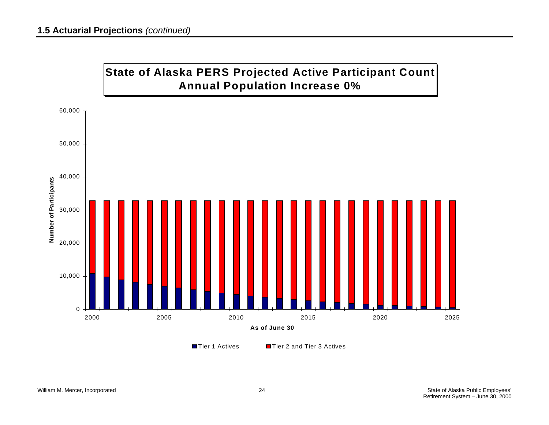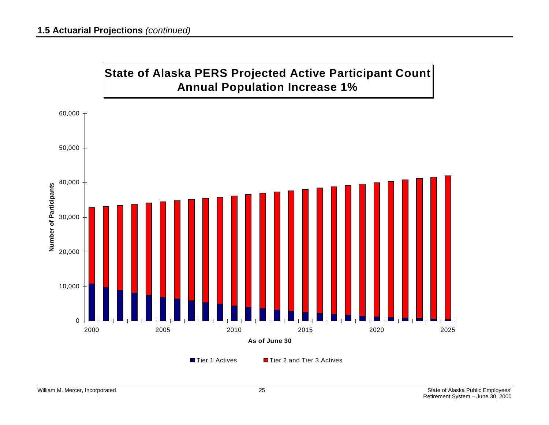

Tier 1 Actives

■Tier 2 and Tier 3 Actives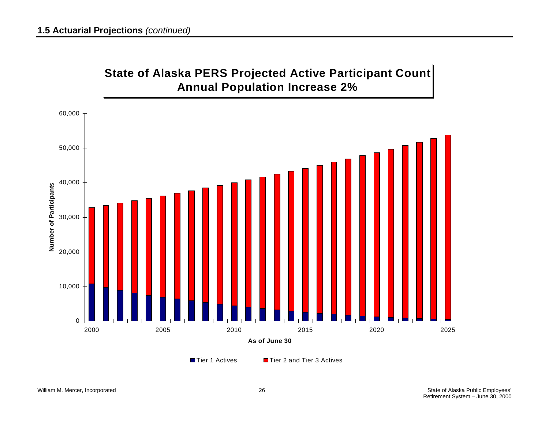

Tier 1 Actives

■Tier 2 and Tier 3 Actives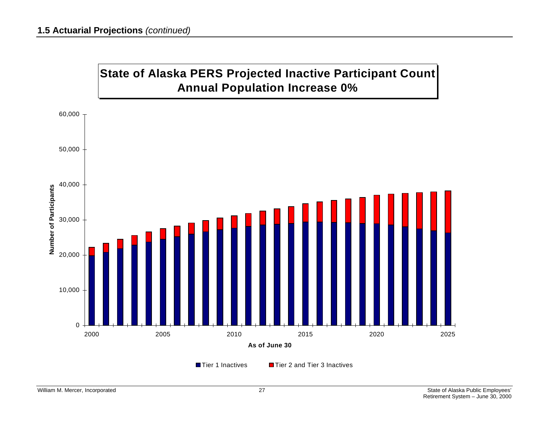



Tier 1 Inactives

**■ Tier 2 and Tier 3 Inactives**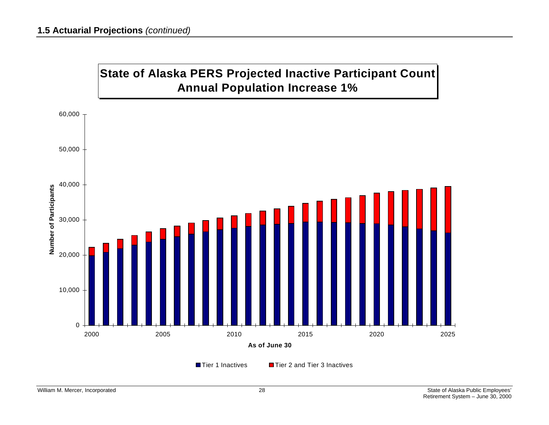



Tier 1 Inactives

**■ Tier 2 and Tier 3 Inactives**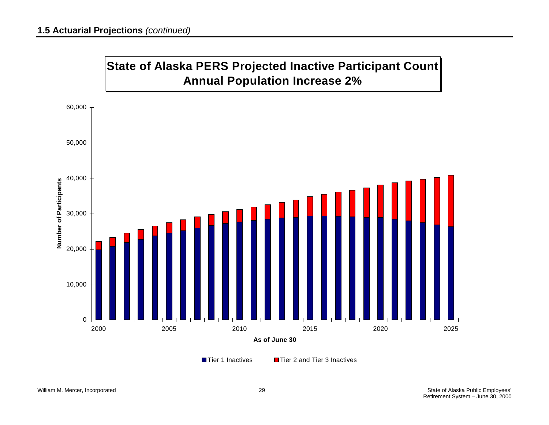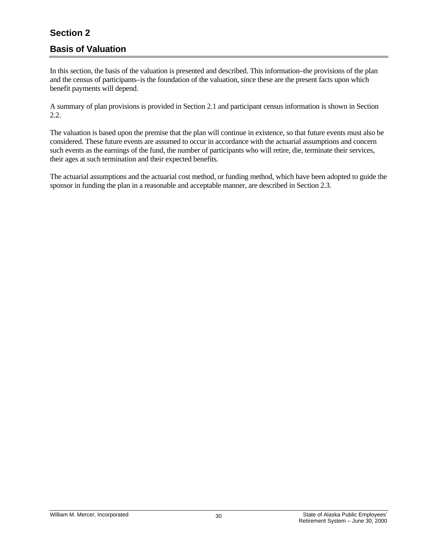## <span id="page-35-0"></span>**Section 2**

## **Basis of Valuation**

In this section, the basis of the valuation is presented and described. This information–the provisions of the plan and the census of participants–is the foundation of the valuation, since these are the present facts upon which benefit payments will depend.

A summary of plan provisions is provided in Section 2.1 and participant census information is shown in Section 2.2.

The valuation is based upon the premise that the plan will continue in existence, so that future events must also be considered. These future events are assumed to occur in accordance with the actuarial assumptions and concern such events as the earnings of the fund, the number of participants who will retire, die, terminate their services, their ages at such termination and their expected benefits.

The actuarial assumptions and the actuarial cost method, or funding method, which have been adopted to guide the sponsor in funding the plan in a reasonable and acceptable manner, are described in Section 2.3.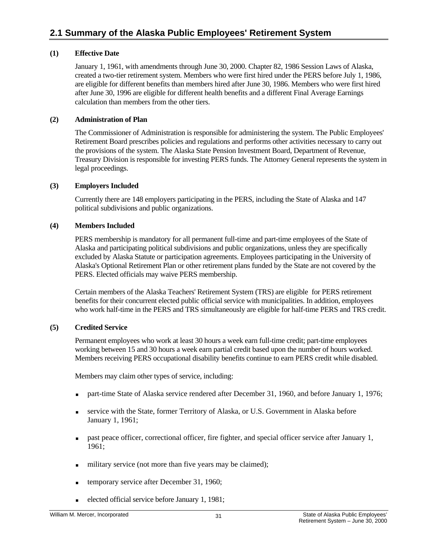#### **(1) Effective Date**

 January 1, 1961, with amendments through June 30, 2000. Chapter 82, 1986 Session Laws of Alaska, created a two-tier retirement system. Members who were first hired under the PERS before July 1, 1986, are eligible for different benefits than members hired after June 30, 1986. Members who were first hired after June 30, 1996 are eligible for different health benefits and a different Final Average Earnings calculation than members from the other tiers.

#### **(2) Administration of Plan**

 The Commissioner of Administration is responsible for administering the system. The Public Employees' Retirement Board prescribes policies and regulations and performs other activities necessary to carry out the provisions of the system. The Alaska State Pension Investment Board, Department of Revenue, Treasury Division is responsible for investing PERS funds. The Attorney General represents the system in legal proceedings.

#### **(3) Employers Included**

 Currently there are 148 employers participating in the PERS, including the State of Alaska and 147 political subdivisions and public organizations.

#### **(4) Members Included**

 PERS membership is mandatory for all permanent full-time and part-time employees of the State of Alaska and participating political subdivisions and public organizations, unless they are specifically excluded by Alaska Statute or participation agreements. Employees participating in the University of Alaska's Optional Retirement Plan or other retirement plans funded by the State are not covered by the PERS. Elected officials may waive PERS membership.

 Certain members of the Alaska Teachers' Retirement System (TRS) are eligible for PERS retirement benefits for their concurrent elected public official service with municipalities. In addition, employees who work half-time in the PERS and TRS simultaneously are eligible for half-time PERS and TRS credit.

#### **(5) Credited Service**

 Permanent employees who work at least 30 hours a week earn full-time credit; part-time employees working between 15 and 30 hours a week earn partial credit based upon the number of hours worked. Members receiving PERS occupational disability benefits continue to earn PERS credit while disabled.

Members may claim other types of service, including:

- part-time State of Alaska service rendered after December 31, 1960, and before January 1, 1976;
- service with the State, former Territory of Alaska, or U.S. Government in Alaska before January 1, 1961;
- past peace officer, correctional officer, fire fighter, and special officer service after January 1, 1961;
- military service (not more than five years may be claimed);
- **temporary service after December 31, 1960;**
- elected official service before January 1, 1981;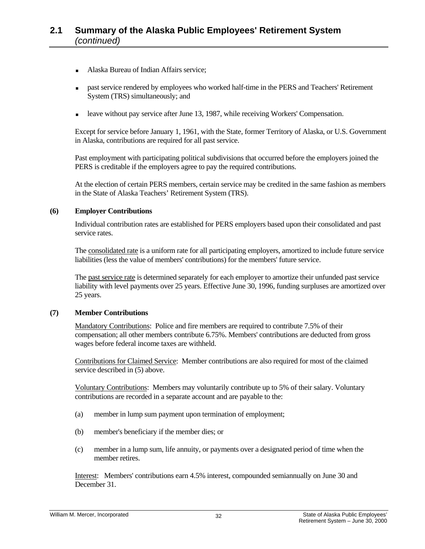- Alaska Bureau of Indian Affairs service;
- past service rendered by employees who worked half-time in the PERS and Teachers' Retirement System (TRS) simultaneously; and
- leave without pay service after June 13, 1987, while receiving Workers' Compensation.

 Except for service before January 1, 1961, with the State, former Territory of Alaska, or U.S. Government in Alaska, contributions are required for all past service.

 Past employment with participating political subdivisions that occurred before the employers joined the PERS is creditable if the employers agree to pay the required contributions.

 At the election of certain PERS members, certain service may be credited in the same fashion as members in the State of Alaska Teachers' Retirement System (TRS).

#### **(6) Employer Contributions**

 Individual contribution rates are established for PERS employers based upon their consolidated and past service rates.

 The consolidated rate is a uniform rate for all participating employers, amortized to include future service liabilities (less the value of members' contributions) for the members' future service.

 The past service rate is determined separately for each employer to amortize their unfunded past service liability with level payments over 25 years. Effective June 30, 1996, funding surpluses are amortized over 25 years.

#### **(7) Member Contributions**

Mandatory Contributions: Police and fire members are required to contribute 7.5% of their compensation; all other members contribute 6.75%. Members' contributions are deducted from gross wages before federal income taxes are withheld.

 Contributions for Claimed Service: Member contributions are also required for most of the claimed service described in (5) above.

 Voluntary Contributions: Members may voluntarily contribute up to 5% of their salary. Voluntary contributions are recorded in a separate account and are payable to the:

- (a) member in lump sum payment upon termination of employment;
- (b) member's beneficiary if the member dies; or
- (c) member in a lump sum, life annuity, or payments over a designated period of time when the member retires.

 Interest: Members' contributions earn 4.5% interest, compounded semiannually on June 30 and December 31.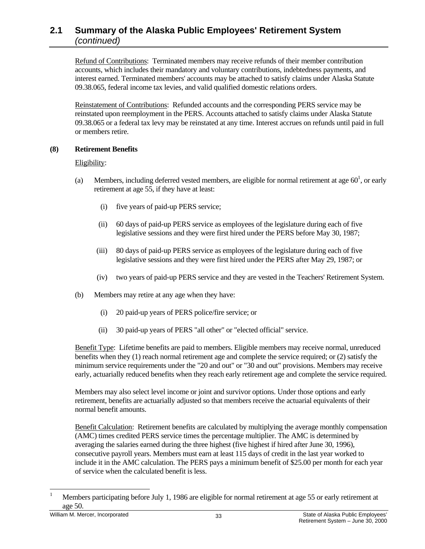Refund of Contributions: Terminated members may receive refunds of their member contribution accounts, which includes their mandatory and voluntary contributions, indebtedness payments, and interest earned. Terminated members' accounts may be attached to satisfy claims under Alaska Statute 09.38.065, federal income tax levies, and valid qualified domestic relations orders.

 Reinstatement of Contributions: Refunded accounts and the corresponding PERS service may be reinstated upon reemployment in the PERS. Accounts attached to satisfy claims under Alaska Statute 09.38.065 or a federal tax levy may be reinstated at any time. Interest accrues on refunds until paid in full or members retire.

### **(8) Retirement Benefits**

### Eligibility:

- (a) Members, including deferred vested members, are eligible for normal retirement at age  $60<sup>1</sup>$ , or early retirement at age 55, if they have at least:
	- (i) five years of paid-up PERS service;
	- (ii) 60 days of paid-up PERS service as employees of the legislature during each of five legislative sessions and they were first hired under the PERS before May 30, 1987;
	- (iii) 80 days of paid-up PERS service as employees of the legislature during each of five legislative sessions and they were first hired under the PERS after May 29, 1987; or
	- (iv) two years of paid-up PERS service and they are vested in the Teachers' Retirement System.
	- (b) Members may retire at any age when they have:
		- (i) 20 paid-up years of PERS police/fire service; or
		- (ii) 30 paid-up years of PERS "all other" or "elected official" service.

 Benefit Type: Lifetime benefits are paid to members. Eligible members may receive normal, unreduced benefits when they (1) reach normal retirement age and complete the service required; or (2) satisfy the minimum service requirements under the "20 and out" or "30 and out" provisions. Members may receive early, actuarially reduced benefits when they reach early retirement age and complete the service required.

 Members may also select level income or joint and survivor options. Under those options and early retirement, benefits are actuarially adjusted so that members receive the actuarial equivalents of their normal benefit amounts.

 Benefit Calculation: Retirement benefits are calculated by multiplying the average monthly compensation (AMC) times credited PERS service times the percentage multiplier. The AMC is determined by averaging the salaries earned during the three highest (five highest if hired after June 30, 1996), consecutive payroll years. Members must earn at least 115 days of credit in the last year worked to include it in the AMC calculation. The PERS pays a minimum benefit of \$25.00 per month for each year of service when the calculated benefit is less.

l 1 Members participating before July 1, 1986 are eligible for normal retirement at age 55 or early retirement at age 50.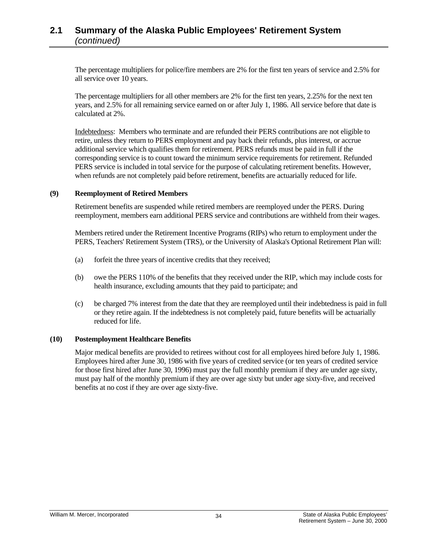The percentage multipliers for police/fire members are 2% for the first ten years of service and 2.5% for all service over 10 years.

 The percentage multipliers for all other members are 2% for the first ten years, 2.25% for the next ten years, and 2.5% for all remaining service earned on or after July 1, 1986. All service before that date is calculated at 2%.

 Indebtedness: Members who terminate and are refunded their PERS contributions are not eligible to retire, unless they return to PERS employment and pay back their refunds, plus interest, or accrue additional service which qualifies them for retirement. PERS refunds must be paid in full if the corresponding service is to count toward the minimum service requirements for retirement. Refunded PERS service is included in total service for the purpose of calculating retirement benefits. However, when refunds are not completely paid before retirement, benefits are actuarially reduced for life.

#### **(9) Reemployment of Retired Members**

 Retirement benefits are suspended while retired members are reemployed under the PERS. During reemployment, members earn additional PERS service and contributions are withheld from their wages.

 Members retired under the Retirement Incentive Programs (RIPs) who return to employment under the PERS, Teachers' Retirement System (TRS), or the University of Alaska's Optional Retirement Plan will:

- (a) forfeit the three years of incentive credits that they received;
- (b) owe the PERS 110% of the benefits that they received under the RIP, which may include costs for health insurance, excluding amounts that they paid to participate; and
- (c) be charged 7% interest from the date that they are reemployed until their indebtedness is paid in full or they retire again. If the indebtedness is not completely paid, future benefits will be actuarially reduced for life.

#### **(10) Postemployment Healthcare Benefits**

Major medical benefits are provided to retirees without cost for all employees hired before July 1, 1986. Employees hired after June 30, 1986 with five years of credited service (or ten years of credited service for those first hired after June 30, 1996) must pay the full monthly premium if they are under age sixty, must pay half of the monthly premium if they are over age sixty but under age sixty-five, and received benefits at no cost if they are over age sixty-five.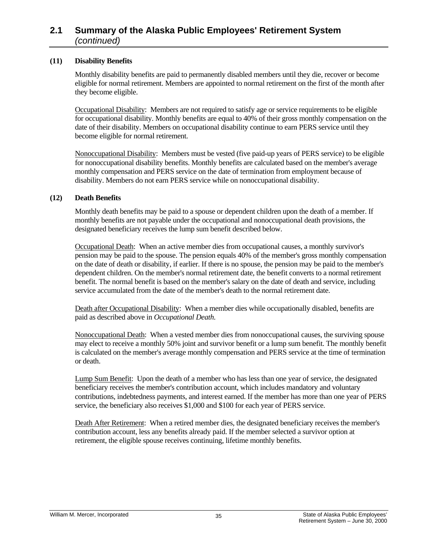#### **(11) Disability Benefits**

 Monthly disability benefits are paid to permanently disabled members until they die, recover or become eligible for normal retirement. Members are appointed to normal retirement on the first of the month after they become eligible.

 Occupational Disability: Members are not required to satisfy age or service requirements to be eligible for occupational disability. Monthly benefits are equal to 40% of their gross monthly compensation on the date of their disability. Members on occupational disability continue to earn PERS service until they become eligible for normal retirement.

 Nonoccupational Disability: Members must be vested (five paid-up years of PERS service) to be eligible for nonoccupational disability benefits. Monthly benefits are calculated based on the member's average monthly compensation and PERS service on the date of termination from employment because of disability. Members do not earn PERS service while on nonoccupational disability.

#### **(12) Death Benefits**

 Monthly death benefits may be paid to a spouse or dependent children upon the death of a member. If monthly benefits are not payable under the occupational and nonoccupational death provisions, the designated beneficiary receives the lump sum benefit described below.

 Occupational Death: When an active member dies from occupational causes, a monthly survivor's pension may be paid to the spouse. The pension equals 40% of the member's gross monthly compensation on the date of death or disability, if earlier. If there is no spouse, the pension may be paid to the member's dependent children. On the member's normal retirement date, the benefit converts to a normal retirement benefit. The normal benefit is based on the member's salary on the date of death and service, including service accumulated from the date of the member's death to the normal retirement date.

Death after Occupational Disability: When a member dies while occupationally disabled, benefits are paid as described above in *Occupational Death.*

 Nonoccupational Death: When a vested member dies from nonoccupational causes, the surviving spouse may elect to receive a monthly 50% joint and survivor benefit or a lump sum benefit. The monthly benefit is calculated on the member's average monthly compensation and PERS service at the time of termination or death.

 Lump Sum Benefit: Upon the death of a member who has less than one year of service, the designated beneficiary receives the member's contribution account, which includes mandatory and voluntary contributions, indebtedness payments, and interest earned. If the member has more than one year of PERS service, the beneficiary also receives \$1,000 and \$100 for each year of PERS service.

 Death After Retirement: When a retired member dies, the designated beneficiary receives the member's contribution account, less any benefits already paid. If the member selected a survivor option at retirement, the eligible spouse receives continuing, lifetime monthly benefits.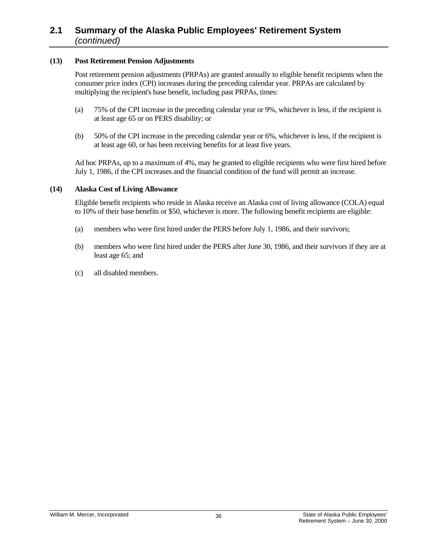#### **(13) Post Retirement Pension Adjustments**

 Post retirement pension adjustments (PRPAs) are granted annually to eligible benefit recipients when the consumer price index (CPI) increases during the preceding calendar year. PRPAs are calculated by multiplying the recipient's base benefit, including past PRPAs, times:

- (a) 75% of the CPI increase in the preceding calendar year or 9%, whichever is less, if the recipient is at least age 65 or on PERS disability; or
- (b) 50% of the CPI increase in the preceding calendar year or 6%, whichever is less, if the recipient is at least age 60, or has been receiving benefits for at least five years.

 Ad hoc PRPAs, up to a maximum of 4%, may be granted to eligible recipients who were first hired before July 1, 1986, if the CPI increases and the financial condition of the fund will permit an increase.

#### **(14) Alaska Cost of Living Allowance**

 Eligible benefit recipients who reside in Alaska receive an Alaska cost of living allowance (COLA) equal to 10% of their base benefits or \$50, whichever is more. The following benefit recipients are eligible:

- (a) members who were first hired under the PERS before July 1, 1986, and their survivors;
- (b) members who were first hired under the PERS after June 30, 1986, and their survivors if they are at least age 65; and
- (c) all disabled members.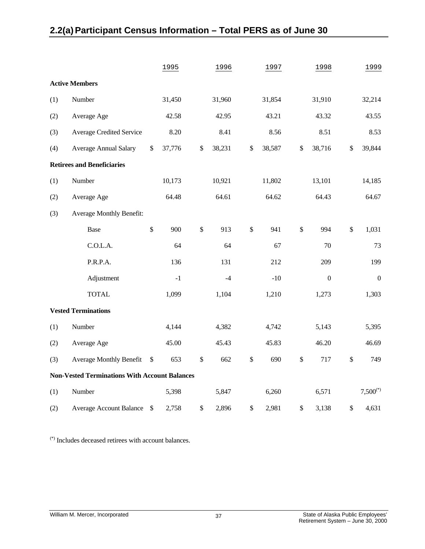# **2.2(a) Participant Census Information – Total PERS as of June 30**

|     |                                                      | 1995         |              | 1996   |              | 1997   |               | 1998             | 1999             |
|-----|------------------------------------------------------|--------------|--------------|--------|--------------|--------|---------------|------------------|------------------|
|     | <b>Active Members</b>                                |              |              |        |              |        |               |                  |                  |
| (1) | Number                                               | 31,450       |              | 31,960 |              | 31,854 |               | 31,910           | 32,214           |
| (2) | Average Age                                          | 42.58        |              | 42.95  |              | 43.21  |               | 43.32            | 43.55            |
| (3) | <b>Average Credited Service</b>                      | 8.20         |              | 8.41   |              | 8.56   |               | 8.51             | 8.53             |
| (4) | <b>Average Annual Salary</b>                         | \$<br>37,776 | \$           | 38,231 | \$           | 38,587 | $\mathcal{S}$ | 38,716           | \$<br>39,844     |
|     | <b>Retirees and Beneficiaries</b>                    |              |              |        |              |        |               |                  |                  |
| (1) | Number                                               | 10,173       |              | 10,921 |              | 11,802 |               | 13,101           | 14,185           |
| (2) | Average Age                                          | 64.48        |              | 64.61  |              | 64.62  |               | 64.43            | 64.67            |
| (3) | <b>Average Monthly Benefit:</b>                      |              |              |        |              |        |               |                  |                  |
|     | <b>Base</b>                                          | \$<br>900    | $\$\,$       | 913    | $\mathbb{S}$ | 941    | $\$\,$        | 994              | \$<br>1,031      |
|     | C.O.L.A.                                             | 64           |              | 64     |              | 67     |               | 70               | 73               |
|     | P.R.P.A.                                             | 136          |              | 131    |              | 212    |               | 209              | 199              |
|     | Adjustment                                           | $-1$         |              | $-4$   |              | $-10$  |               | $\boldsymbol{0}$ | $\boldsymbol{0}$ |
|     | <b>TOTAL</b>                                         | 1,099        |              | 1,104  |              | 1,210  |               | 1,273            | 1,303            |
|     | <b>Vested Terminations</b>                           |              |              |        |              |        |               |                  |                  |
| (1) | Number                                               | 4,144        |              | 4,382  |              | 4,742  |               | 5,143            | 5,395            |
| (2) | Average Age                                          | 45.00        |              | 45.43  |              | 45.83  |               | 46.20            | 46.69            |
| (3) | <b>Average Monthly Benefit</b>                       | \$<br>653    | $\mathbb{S}$ | 662    | \$           | 690    | $\$\,$        | 717              | \$<br>749        |
|     | <b>Non-Vested Terminations With Account Balances</b> |              |              |        |              |        |               |                  |                  |
| (1) | Number                                               | 5,398        |              | 5,847  |              | 6,260  |               | 6,571            | $7,500^{(*)}$    |
| (2) | <b>Average Account Balance</b>                       | \$<br>2,758  | \$           | 2,896  | $\$$         | 2,981  | $\$$          | 3,138            | \$<br>4,631      |

(\*) Includes deceased retirees with account balances.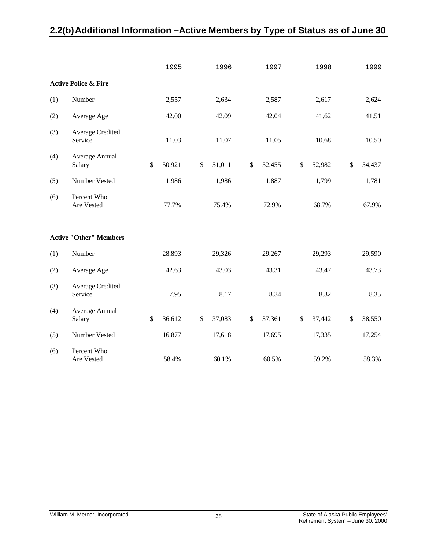# **2.2(b) Additional Information –Active Members by Type of Status as of June 30**

|     |                                 |      | 1995   |              | 1996   |      | 1997   |      | 1998   |      | 1999   |
|-----|---------------------------------|------|--------|--------------|--------|------|--------|------|--------|------|--------|
|     | <b>Active Police &amp; Fire</b> |      |        |              |        |      |        |      |        |      |        |
| (1) | Number                          |      | 2,557  |              | 2,634  |      | 2,587  |      | 2,617  |      | 2,624  |
| (2) | Average Age                     |      | 42.00  |              | 42.09  |      | 42.04  |      | 41.62  |      | 41.51  |
| (3) | Average Credited<br>Service     |      | 11.03  |              | 11.07  |      | 11.05  |      | 10.68  |      | 10.50  |
| (4) | Average Annual<br>Salary        | \$   | 50,921 | $\$$         | 51,011 | \$   | 52,455 | \$   | 52,982 | \$   | 54,437 |
| (5) | Number Vested                   |      | 1,986  |              | 1,986  |      | 1,887  |      | 1,799  |      | 1,781  |
| (6) | Percent Who<br>Are Vested       |      | 77.7%  |              | 75.4%  |      | 72.9%  |      | 68.7%  |      | 67.9%  |
|     | <b>Active "Other" Members</b>   |      |        |              |        |      |        |      |        |      |        |
| (1) | Number                          |      | 28,893 |              | 29,326 |      | 29,267 |      | 29,293 |      | 29,590 |
| (2) | Average Age                     |      | 42.63  |              | 43.03  |      | 43.31  |      | 43.47  |      | 43.73  |
| (3) | Average Credited<br>Service     |      | 7.95   |              | 8.17   |      | 8.34   |      | 8.32   |      | 8.35   |
| (4) | Average Annual<br>Salary        | $\$$ | 36,612 | $\mathbb{S}$ | 37,083 | $\$$ | 37,361 | $\$$ | 37,442 | $\$$ | 38,550 |
| (5) | Number Vested                   |      | 16,877 |              | 17,618 |      | 17,695 |      | 17,335 |      | 17,254 |
| (6) | Percent Who<br>Are Vested       |      | 58.4%  |              | 60.1%  |      | 60.5%  |      | 59.2%  |      | 58.3%  |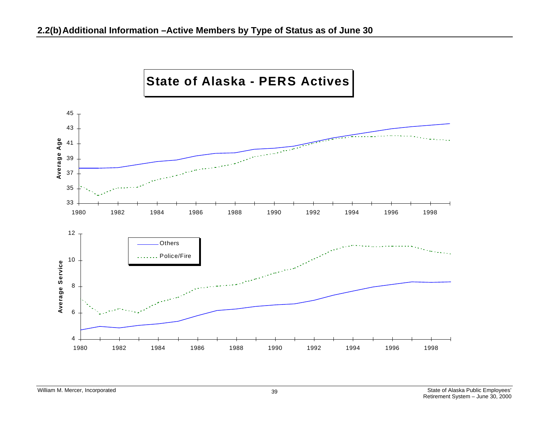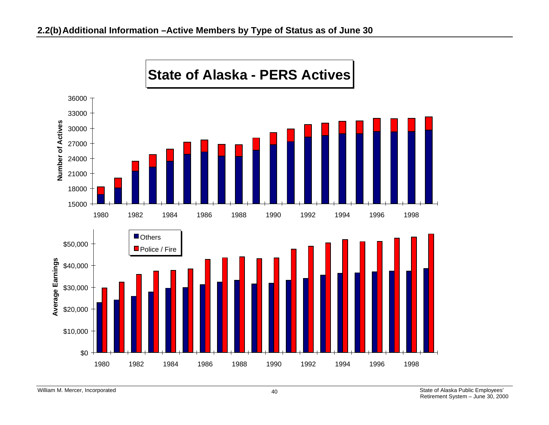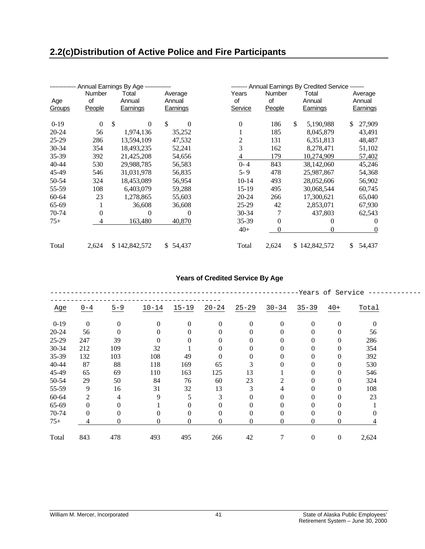|           |              | Annual Earnings By Age ------------ |                          |             |              | Annual Earnings By Credited Service ------- |                   |
|-----------|--------------|-------------------------------------|--------------------------|-------------|--------------|---------------------------------------------|-------------------|
| Age       | Number<br>of | Total<br>Annual                     | Average<br>Annual        | Years<br>0f | Number<br>0f | Total<br>Annual                             | Average<br>Annual |
| Groups    | People       | Earnings                            | Earnings                 | Service     | People       | Earnings                                    | Earnings          |
| $0-19$    | $\Omega$     | <sup>\$</sup><br>$\Omega$           | $\mathbb{S}$<br>$\Omega$ | $\Omega$    | 186          | \$<br>5,190,988                             | \$<br>27,909      |
| 20-24     | 56           | 1,974,136                           | 35,252                   |             | 185          | 8,045,879                                   | 43,491            |
| $25-29$   | 286          | 13,594,109                          | 47,532                   | 2           | 131          | 6,351,813                                   | 48,487            |
| $30 - 34$ | 354          | 18,493,235                          | 52,241                   | 3           | 162          | 8,278,471                                   | 51,102            |
| 35-39     | 392          | 21,425,208                          | 54,656                   | 4           | 179          | 10,274,909                                  | 57,402            |
| 40-44     | 530          | 29,988,785                          | 56,583                   | $0 - 4$     | 843          | 38,142,060                                  | 45,246            |
| 45-49     | 546          | 31,031,978                          | 56,835                   | $5 - 9$     | 478          | 25,987,867                                  | 54,368            |
| 50-54     | 324          | 18,453,089                          | 56,954                   | $10-14$     | 493          | 28,052,606                                  | 56,902            |
| 55-59     | 108          | 6,403,079                           | 59,288                   | $15-19$     | 495          | 30,068,544                                  | 60,745            |
| $60 - 64$ | 23           | 1,278,865                           | 55,603                   | $20 - 24$   | 266          | 17,300,621                                  | 65,040            |
| 65-69     | 1            | 36,608                              | 36,608                   | $25-29$     | 42           | 2,853,071                                   | 67,930            |
| 70-74     | $\Omega$     | $\theta$                            | 0                        | $30 - 34$   | 7            | 437,803                                     | 62,543            |
| $75+$     | 4            | 163,480                             | 40,870                   | 35-39       | 0            | $\theta$                                    | $\theta$          |
|           |              |                                     |                          | $40+$       | 0            | 0                                           | $\overline{0}$    |
| Total     | 2,624        | \$142,842,572                       | \$54,437                 | Total       | 2,624        | \$142,842,572                               | \$<br>54,437      |

### **Years of Credited Service By Age**

|           |                |          |           |                |                |                |           |                  | -Years of Service |          |
|-----------|----------------|----------|-----------|----------------|----------------|----------------|-----------|------------------|-------------------|----------|
| Age       | $0 - 4$        | $5 - 9$  | $10 - 14$ | $15 - 19$      | $20 - 24$      | $25 - 29$      | $30 - 34$ | $35 - 39$        | $40+$             | Total    |
| $0-19$    | $\overline{0}$ | $\theta$ | $\Omega$  | $\overline{0}$ | $\overline{0}$ | $\overline{0}$ | $\Omega$  | $\mathbf{0}$     | $\mathbf{0}$      | $\theta$ |
| $20 - 24$ | 56             | 0        |           | 0              | $\theta$       | $\Omega$       |           | 0                | $\mathbf{0}$      | 56       |
| 25-29     | 247            | 39       | 0         |                | 0              | $\theta$       |           | 0                | $\theta$          | 286      |
| 30-34     | 212            | 109      | 32        |                | 0              | $\Omega$       |           | 0                | $\theta$          | 354      |
| 35-39     | 132            | 103      | 108       | 49             | $\theta$       | $\theta$       |           | 0                | $\theta$          | 392      |
| 40-44     | 87             | 88       | 118       | 169            | 65             | 3              |           | $\mathbf{0}$     | $\theta$          | 530      |
| 45-49     | 65             | 69       | 110       | 163            | 125            | 13             |           | 0                | $\theta$          | 546      |
| 50-54     | 29             | 50       | 84        | 76             | 60             | 23             | 2         | 0                | $\theta$          | 324      |
| 55-59     | 9              | 16       | 31        | 32             | 13             | 3              | 4         | $\theta$         | $\theta$          | 108      |
| 60-64     | 2              | 4        | 9         | 5              | 3              | $\Omega$       | $\Omega$  | $\theta$         | $\theta$          | 23       |
| 65-69     | $\mathbf{0}$   | 0        |           | 0              | $\mathbf{0}$   | $\theta$       | $\Omega$  | $\theta$         | $\mathbf{0}$      |          |
| 70-74     | $\overline{0}$ | 0        | 0         | $\overline{0}$ | $\mathbf{0}$   | $\theta$       | $\Omega$  | $\theta$         | $\mathbf{0}$      |          |
| $75+$     | 4              | 0        | 0         | 0              | $\overline{0}$ | $\overline{0}$ | $\Omega$  | 0                | $\mathbf{0}$      |          |
| Total     | 843            | 478      | 493       | 495            | 266            | 42             |           | $\boldsymbol{0}$ | $\boldsymbol{0}$  | 2,624    |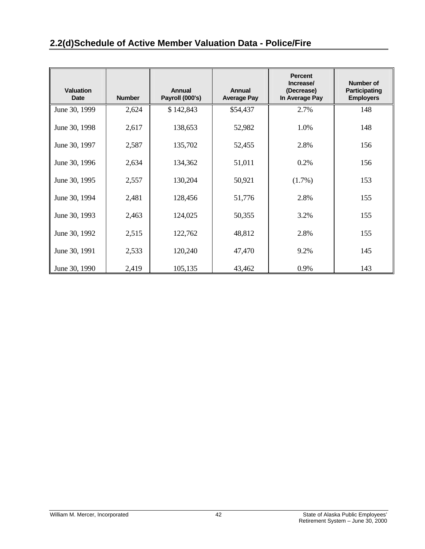# **2.2(d) Schedule of Active Member Valuation Data - Police/Fire**

| <b>Valuation</b><br><b>Date</b> | <b>Number</b> | Annual<br>Payroll (000's) | Annual<br><b>Average Pay</b> | <b>Percent</b><br>Increase/<br>(Decrease)<br>In Average Pay | Number of<br><b>Participating</b><br><b>Employers</b> |
|---------------------------------|---------------|---------------------------|------------------------------|-------------------------------------------------------------|-------------------------------------------------------|
| June 30, 1999                   | 2,624         | \$142,843                 | \$54,437                     | 2.7%                                                        | 148                                                   |
| June 30, 1998                   | 2,617         | 138,653                   | 52,982                       | 1.0%                                                        | 148                                                   |
| June 30, 1997                   | 2,587         | 135,702                   | 52,455                       | 2.8%                                                        | 156                                                   |
| June 30, 1996                   | 2,634         | 134,362                   | 51,011                       | 0.2%                                                        | 156                                                   |
| June 30, 1995                   | 2,557         | 130,204                   | 50,921                       | $(1.7\%)$                                                   | 153                                                   |
| June 30, 1994                   | 2,481         | 128,456                   | 51,776                       | 2.8%                                                        | 155                                                   |
| June 30, 1993                   | 2,463         | 124,025                   | 50,355                       | 3.2%                                                        | 155                                                   |
| June 30, 1992                   | 2,515         | 122,762                   | 48,812                       | 2.8%                                                        | 155                                                   |
| June 30, 1991                   | 2,533         | 120,240                   | 47,470                       | 9.2%                                                        | 145                                                   |
| June 30, 1990                   | 2,419         | 105,135                   | 43,462                       | 0.9%                                                        | 143                                                   |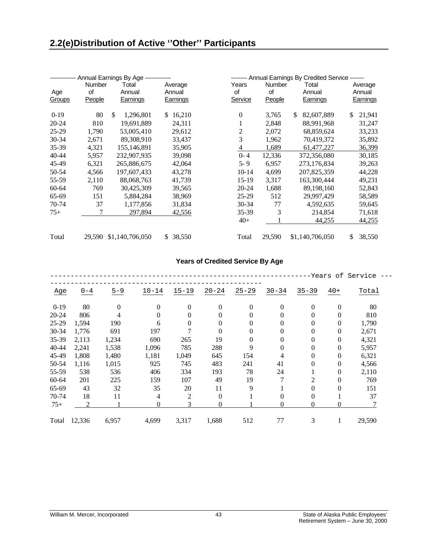|           |              | Annual Earnings By Age ------------ |                   |             |              | ------- Annual Earnings By Credited Service ------- |                   |
|-----------|--------------|-------------------------------------|-------------------|-------------|--------------|-----------------------------------------------------|-------------------|
| Age       | Number<br>of | Total<br>Annual                     | Average<br>Annual | Years<br>0f | Number<br>of | Total<br>Annual                                     | Average<br>Annual |
| Groups    | People       | Earnings                            | Earnings          | Service     | People       | Earnings                                            | Earnings          |
| $0-19$    | 80           | \$<br>1,296,801                     | 16,210<br>SS.     | $\theta$    | 3,765        | \$<br>82,607,889                                    | 21,941<br>\$      |
| $20 - 24$ | 810          | 19,691,889                          | 24,311            |             | 2,848        | 88,991,968                                          | 31,247            |
| $25-29$   | 1,790        | 53,005,410                          | 29,612            | 2           | 2,072        | 68,859,624                                          | 33,233            |
| 30-34     | 2,671        | 89,308,910                          | 33,437            | 3           | 1,962        | 70,419,372                                          | 35,892            |
| 35-39     | 4,321        | 155,146,891                         | 35,905            | 4           | 1,689        | 61,477,227                                          | 36,399            |
| 40-44     | 5,957        | 232,907,935                         | 39,098            | $0 - 4$     | 12,336       | 372,356,080                                         | 30,185            |
| 45-49     | 6,321        | 265,886,675                         | 42,064            | $5 - 9$     | 6,957        | 273,176,834                                         | 39,263            |
| 50-54     | 4,566        | 197,607,433                         | 43,278            | $10-14$     | 4,699        | 207,825,359                                         | 44,228            |
| 55-59     | 2,110        | 88,068,763                          | 41,739            | $15-19$     | 3,317        | 163,300,444                                         | 49,231            |
| 60-64     | 769          | 30,425,309                          | 39,565            | 20-24       | 1,688        | 89,198,160                                          | 52,843            |
| 65-69     | 151          | 5,884,284                           | 38,969            | $25-29$     | 512          | 29,997,429                                          | 58,589            |
| 70-74     | 37           | 1,177,856                           | 31,834            | $30 - 34$   | 77           | 4,592,635                                           | 59,645            |
| $75+$     |              | 297,894                             | 42,556            | 35-39       | 3            | 214,854                                             | 71,618            |
|           |              |                                     |                   | $40+$       |              | 44,255                                              | 44,255            |
| Total     | 29.590       | \$1,140,706,050                     | 38,550<br>S.      | Total       | 29,590       | \$1,140,706,050                                     | \$<br>38,550      |

## **Years of Credited Service By Age**

|           |         |              |                |              |           |           |           |                |                | -Years of Service |
|-----------|---------|--------------|----------------|--------------|-----------|-----------|-----------|----------------|----------------|-------------------|
| Age       | $0 - 4$ | $5 - 9$      | $10 - 14$      | $15 - 19$    | $20 - 24$ | $25 - 29$ | $30 - 34$ | $35 - 39$      | $40+$          | Total             |
| $0-19$    | 80      | $\mathbf{0}$ | $\Omega$       | $\mathbf{0}$ | $\theta$  | $\theta$  | $\Omega$  | $\theta$       | $\mathbf{0}$   | 80                |
| $20 - 24$ | 806     | 4            | $\Omega$       | $\theta$     | $\theta$  | 0         | $\theta$  | $\overline{0}$ | 0              | 810               |
| 25-29     | 1,594   | 190          | 6              | 0            | $\theta$  | 0         | $\theta$  | 0              | 0              | 1,790             |
| 30-34     | 1,776   | 691          | 197            |              | $\Omega$  | 0         | $\Omega$  | 0              | 0              | 2,671             |
| 35-39     | 2,113   | 1,234        | 690            | 265          | 19        | 0         | $\theta$  | 0              | 0              | 4,321             |
| 40-44     | 2,241   | 1,538        | 1,096          | 785          | 288       | 9         | $\Omega$  | 0              | $\mathbf{0}$   | 5,957             |
| 45-49     | 1,808   | 1,480        | 1,181          | 1,049        | 645       | 154       | 4         | $\overline{0}$ | $\mathbf{0}$   | 6,321             |
| 50-54     | 1,116   | 1,015        | 925            | 745          | 483       | 241       | 41        | $\Omega$       | $\mathbf{0}$   | 4,566             |
| 55-59     | 538     | 536          | 406            | 334          | 193       | 78        | 24        |                | $\overline{0}$ | 2,110             |
| 60-64     | 201     | 225          | 159            | 107          | 49        | 19        | 7         | 2              | $\theta$       | 769               |
| 65-69     | 43      | 32           | 35             | 20           | 11        | 9         |           | $\theta$       | $\theta$       | 151               |
| 70-74     | 18      | 11           | $\overline{4}$ | 2            | $\Omega$  |           | $\Omega$  | $\theta$       |                | 37                |
| $75+$     | 2       |              | $\Omega$       | 3            | $\theta$  |           | $\theta$  | $\theta$       | 0              |                   |
| Total     | 12,336  | 6,957        | 4,699          | 3,317        | 1,688     | 512       | 77        | 3              | 1              | 29,590            |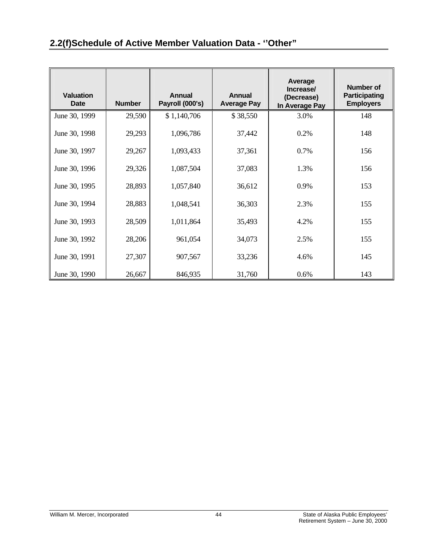| <b>Valuation</b><br>Date | <b>Number</b> | Annual<br>Payroll (000's) | Annual<br><b>Average Pay</b> | Average<br>Increase/<br>(Decrease)<br>In Average Pay | <b>Number of</b><br><b>Participating</b><br><b>Employers</b> |
|--------------------------|---------------|---------------------------|------------------------------|------------------------------------------------------|--------------------------------------------------------------|
| June 30, 1999            | 29,590        | \$1,140,706               | \$38,550                     | 3.0%                                                 | 148                                                          |
| June 30, 1998            | 29,293        | 1,096,786                 | 37,442                       | 0.2%                                                 | 148                                                          |
| June 30, 1997            | 29,267        | 1,093,433                 | 37,361                       | 0.7%                                                 | 156                                                          |
| June 30, 1996            | 29,326        | 1,087,504                 | 37,083                       | 1.3%                                                 | 156                                                          |
| June 30, 1995            | 28,893        | 1,057,840                 | 36,612                       | 0.9%                                                 | 153                                                          |
| June 30, 1994            | 28,883        | 1,048,541                 | 36,303                       | 2.3%                                                 | 155                                                          |
| June 30, 1993            | 28,509        | 1,011,864                 | 35,493                       | 4.2%                                                 | 155                                                          |
| June 30, 1992            | 28,206        | 961,054                   | 34,073                       | 2.5%                                                 | 155                                                          |
| June 30, 1991            | 27,307        | 907,567                   | 33,236                       | 4.6%                                                 | 145                                                          |
| June 30, 1990            | 26,667        | 846,935                   | 31,760                       | 0.6%                                                 | 143                                                          |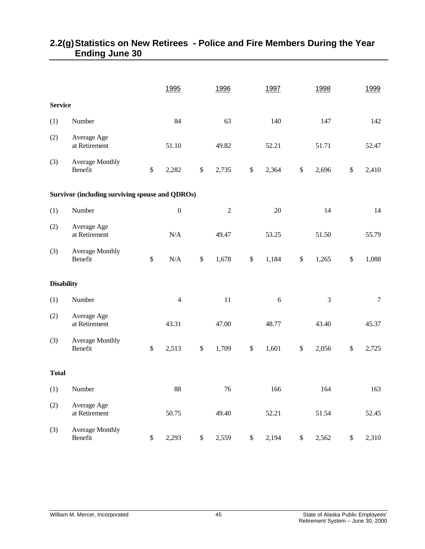|                   |                                                        |               | 1995             |      | 1996       | 1997        |              | 1998  |      | 1999   |
|-------------------|--------------------------------------------------------|---------------|------------------|------|------------|-------------|--------------|-------|------|--------|
| <b>Service</b>    |                                                        |               |                  |      |            |             |              |       |      |        |
| (1)               | Number                                                 |               | 84               |      | 63         | 140         |              | 147   |      | 142    |
| (2)               | Average Age<br>at Retirement                           |               | 51.10            |      | 49.82      | 52.21       |              | 51.71 |      | 52.47  |
| (3)               | Average Monthly<br>Benefit                             | $\mathbb{S}$  | 2,282            | \$   | 2,735      | \$<br>2,364 | $\$$         | 2,696 | \$   | 2,410  |
|                   | <b>Survivor (including surviving spouse and QDROs)</b> |               |                  |      |            |             |              |       |      |        |
| (1)               | Number                                                 |               | $\boldsymbol{0}$ |      | $\sqrt{2}$ | $20\,$      |              | 14    |      | 14     |
| (2)               | Average Age<br>at Retirement                           |               | N/A              |      | 49.47      | 53.25       |              | 51.50 |      | 55.79  |
| (3)               | <b>Average Monthly</b><br>Benefit                      | $\mathcal{S}$ | $\rm N/A$        | \$   | 1,678      | \$<br>1,184 | \$           | 1,265 | \$   | 1,088  |
| <b>Disability</b> |                                                        |               |                  |      |            |             |              |       |      |        |
| (1)               | Number                                                 |               | $\overline{4}$   |      | $11\,$     | $\sqrt{6}$  |              | 3     |      | $\tau$ |
| (2)               | Average Age<br>at Retirement                           |               | 43.31            |      | 47.00      | 48.77       |              | 43.40 |      | 45.37  |
| (3)               | Average Monthly<br>Benefit                             | $\$$          | 2,513            | \$   | 1,709      | \$<br>1,601 | \$           | 2,056 | $\$$ | 2,725  |
| <b>Total</b>      |                                                        |               |                  |      |            |             |              |       |      |        |
| (1)               | Number                                                 |               | 88               |      | 76         | 166         |              | 164   |      | 163    |
| (2)               | Average Age<br>at Retirement                           |               | 50.75            |      | 49.40      | 52.21       |              | 51.54 |      | 52.45  |
| (3)               | <b>Average Monthly</b><br>Benefit                      | $\$$          | 2,293            | $\$$ | 2,559      | \$<br>2,194 | $\mathbb{S}$ | 2,562 | $\$$ | 2,310  |

# **2.2(g) Statistics on New Retirees - Police and Fire Members During the Year Ending June 30**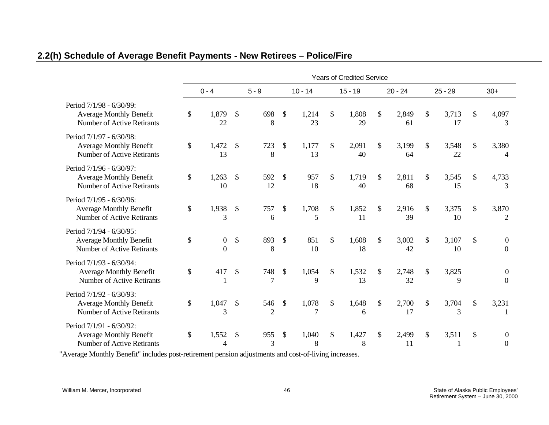|                                                                                                 |               | <b>Years of Credited Service</b> |                           |                       |                           |             |               |             |               |             |    |             |                           |                                      |
|-------------------------------------------------------------------------------------------------|---------------|----------------------------------|---------------------------|-----------------------|---------------------------|-------------|---------------|-------------|---------------|-------------|----|-------------|---------------------------|--------------------------------------|
|                                                                                                 |               | $0 - 4$                          |                           | $5 - 9$               |                           | $10 - 14$   |               | $15 - 19$   |               | $20 - 24$   |    | $25 - 29$   |                           | $30+$                                |
| Period 7/1/98 - 6/30/99:<br><b>Average Monthly Benefit</b><br><b>Number of Active Retirants</b> | \$            | 1,879<br>22                      | \$                        | 698<br>8              | $\mathcal{S}$             | 1,214<br>23 | \$            | 1,808<br>29 | \$            | 2,849<br>61 | \$ | 3,713<br>17 | \$                        | 4,097<br>3                           |
| Period 7/1/97 - 6/30/98:<br><b>Average Monthly Benefit</b><br><b>Number of Active Retirants</b> | $\mathcal{S}$ | 1,472<br>13                      | \$                        | 723<br>8              | \$                        | 1,177<br>13 | $\mathcal{S}$ | 2,091<br>40 | \$            | 3,199<br>64 | \$ | 3,548<br>22 | \$                        | 3,380<br>4                           |
| Period 7/1/96 - 6/30/97:<br><b>Average Monthly Benefit</b><br><b>Number of Active Retirants</b> | \$            | 1,263<br>10                      | $\mathcal{S}$             | 592<br>12             | $\mathcal{S}$             | 957<br>18   | $\mathcal{S}$ | 1,719<br>40 | $\mathcal{S}$ | 2,811<br>68 | \$ | 3,545<br>15 | \$                        | 4,733<br>3                           |
| Period 7/1/95 - 6/30/96:<br><b>Average Monthly Benefit</b><br>Number of Active Retirants        | \$            | 1,938<br>3                       | $\mathcal{S}$             | 757<br>6              | \$                        | 1,708<br>5  | $\mathcal{S}$ | 1,852<br>11 | \$            | 2,916<br>39 | \$ | 3,375<br>10 | \$                        | 3,870<br>$\overline{2}$              |
| Period 7/1/94 - 6/30/95:<br><b>Average Monthly Benefit</b><br>Number of Active Retirants        | \$            | $\boldsymbol{0}$<br>$\theta$     | $\boldsymbol{\mathsf{S}}$ | 893<br>8              | $\mathcal{S}$             | 851<br>10   | $\mathbb{S}$  | 1,608<br>18 | $\mathbb{S}$  | 3,002<br>42 | \$ | 3,107<br>10 | \$                        | $\overline{0}$<br>$\overline{0}$     |
| Period 7/1/93 - 6/30/94:<br><b>Average Monthly Benefit</b><br><b>Number of Active Retirants</b> | \$            | 417                              | $\boldsymbol{\mathsf{S}}$ | 748<br>7              | $\boldsymbol{\mathsf{S}}$ | 1,054<br>9  | $\mathcal{S}$ | 1,532<br>13 | \$            | 2,748<br>32 | \$ | 3,825<br>9  |                           | $\boldsymbol{0}$<br>$\boldsymbol{0}$ |
| Period 7/1/92 - 6/30/93:<br><b>Average Monthly Benefit</b><br><b>Number of Active Retirants</b> | \$            | 1,047<br>3                       | $\mathcal{S}$             | 546<br>$\overline{2}$ | $\mathcal{S}$             | 1,078<br>7  | \$            | 1,648<br>6  | \$            | 2,700<br>17 | \$ | 3,704<br>3  | $\boldsymbol{\mathsf{S}}$ | 3,231                                |
| Period 7/1/91 - 6/30/92:<br><b>Average Monthly Benefit</b><br><b>Number of Active Retirants</b> | \$            | 1,552<br>4                       | \$                        | 955<br>3              | \$                        | 1,040<br>8  | \$            | 1,427<br>8  | \$            | 2,499<br>11 | \$ | 3,511       | \$                        | $\overline{0}$<br>$\overline{0}$     |

# **2.2(h) Schedule of Average Benefit Payments - New Retirees – Police/Fire**

"Average Monthly Benefit" includes post-retirement pension adjustments and cost-of-living increases.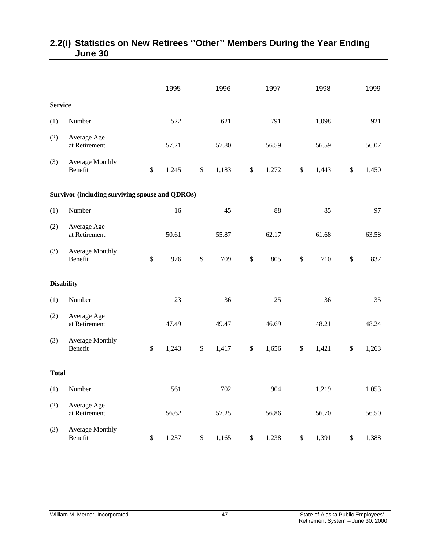|                   |                                                        |      | 1995  |      | 1996  |      | 1997  |      | 1998  |        | 1999  |
|-------------------|--------------------------------------------------------|------|-------|------|-------|------|-------|------|-------|--------|-------|
| <b>Service</b>    |                                                        |      |       |      |       |      |       |      |       |        |       |
| (1)               | Number                                                 |      | 522   |      | 621   |      | 791   |      | 1,098 |        | 921   |
| (2)               | Average Age<br>at Retirement                           |      | 57.21 |      | 57.80 |      | 56.59 |      | 56.59 |        | 56.07 |
| (3)               | <b>Average Monthly</b><br>Benefit                      | $\$$ | 1,245 | $\$$ | 1,183 | \$   | 1,272 | $\$$ | 1,443 | $\$\,$ | 1,450 |
|                   | <b>Survivor (including surviving spouse and QDROs)</b> |      |       |      |       |      |       |      |       |        |       |
| (1)               | Number                                                 |      | 16    |      | 45    |      | 88    |      | 85    |        | 97    |
| (2)               | Average Age<br>at Retirement                           |      | 50.61 |      | 55.87 |      | 62.17 |      | 61.68 |        | 63.58 |
| (3)               | <b>Average Monthly</b><br>Benefit                      | $\$$ | 976   | $\$$ | 709   | $\$$ | 805   | $\$$ | 710   | $\$$   | 837   |
| <b>Disability</b> |                                                        |      |       |      |       |      |       |      |       |        |       |
| (1)               | Number                                                 |      | 23    |      | 36    |      | 25    |      | 36    |        | 35    |
| (2)               | Average Age<br>at Retirement                           |      | 47.49 |      | 49.47 |      | 46.69 |      | 48.21 |        | 48.24 |
| (3)               | <b>Average Monthly</b><br>Benefit                      | \$   | 1,243 | \$   | 1,417 | \$   | 1,656 | $\$$ | 1,421 | \$     | 1,263 |
| <b>Total</b>      |                                                        |      |       |      |       |      |       |      |       |        |       |
| (1)               | Number                                                 |      | 561   |      | 702   |      | 904   |      | 1,219 |        | 1,053 |
| (2)               | Average Age<br>at Retirement                           |      | 56.62 |      | 57.25 |      | 56.86 |      | 56.70 |        | 56.50 |
| (3)               | <b>Average Monthly</b><br>Benefit                      | $\$$ | 1,237 | $\$$ | 1,165 | \$   | 1,238 | $\$$ | 1,391 | $\$$   | 1,388 |

# **2.2(i) Statistics on New Retirees ''Other'' Members During the Year Ending June 30**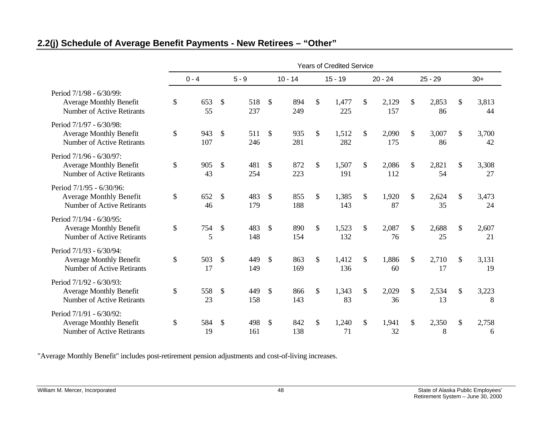# **2.2(j) Schedule of Average Benefit Payments - New Retirees – "Other"**

|                                                                                                 | <b>Years of Credited Service</b> |            |                           |            |               |            |               |              |    |              |               |             |               |             |
|-------------------------------------------------------------------------------------------------|----------------------------------|------------|---------------------------|------------|---------------|------------|---------------|--------------|----|--------------|---------------|-------------|---------------|-------------|
|                                                                                                 |                                  | $0 - 4$    |                           | $5 - 9$    |               | $10 - 14$  |               | $15 - 19$    |    | $20 - 24$    |               | $25 - 29$   |               | $30+$       |
| Period 7/1/98 - 6/30/99:<br><b>Average Monthly Benefit</b><br><b>Number of Active Retirants</b> | \$                               | 653<br>55  | $\mathbb{S}$              | 518<br>237 | $\mathcal{S}$ | 894<br>249 | \$            | 1,477<br>225 | \$ | 2,129<br>157 | \$            | 2,853<br>86 | \$            | 3,813<br>44 |
| Period 7/1/97 - 6/30/98:<br><b>Average Monthly Benefit</b><br><b>Number of Active Retirants</b> | \$                               | 943<br>107 | $\mathcal{S}$             | 511<br>246 | $\mathcal{S}$ | 935<br>281 | $\mathsf{\$}$ | 1,512<br>282 | \$ | 2,090<br>175 | $\mathcal{S}$ | 3,007<br>86 | \$            | 3,700<br>42 |
| Period 7/1/96 - 6/30/97:<br><b>Average Monthly Benefit</b><br><b>Number of Active Retirants</b> | \$                               | 905<br>43  | \$                        | 481<br>254 | $\mathcal{S}$ | 872<br>223 | \$            | 1,507<br>191 | \$ | 2,086<br>112 | \$            | 2,821<br>54 | $\mathcal{S}$ | 3,308<br>27 |
| Period 7/1/95 - 6/30/96:<br><b>Average Monthly Benefit</b><br><b>Number of Active Retirants</b> | \$                               | 652<br>46  | $\mathbb{S}$              | 483<br>179 | $\mathcal{S}$ | 855<br>188 | $\mathbb{S}$  | 1,385<br>143 | \$ | 1,920<br>87  | $\mathcal{S}$ | 2,624<br>35 | \$            | 3,473<br>24 |
| Period 7/1/94 - 6/30/95:<br><b>Average Monthly Benefit</b><br><b>Number of Active Retirants</b> | \$                               | 754<br>5   | $\boldsymbol{\mathsf{S}}$ | 483<br>148 | $\mathcal{S}$ | 890<br>154 | \$            | 1,523<br>132 | \$ | 2,087<br>76  | \$            | 2,688<br>25 | $\mathcal{S}$ | 2,607<br>21 |
| Period 7/1/93 - 6/30/94:<br><b>Average Monthly Benefit</b><br><b>Number of Active Retirants</b> | \$                               | 503<br>17  | $\mathcal{S}$             | 449<br>149 | $\mathcal{S}$ | 863<br>169 | $\mathbb{S}$  | 1,412<br>136 | \$ | 1,886<br>60  | \$            | 2,710<br>17 | $\mathbb{S}$  | 3,131<br>19 |
| Period 7/1/92 - 6/30/93:<br><b>Average Monthly Benefit</b><br><b>Number of Active Retirants</b> | \$                               | 558<br>23  | $\mathcal{S}$             | 449<br>158 | $\mathcal{S}$ | 866<br>143 | $\mathbb{S}$  | 1,343<br>83  | \$ | 2,029<br>36  | \$            | 2,534<br>13 | $\mathcal{S}$ | 3,223<br>8  |
| Period 7/1/91 - 6/30/92:<br><b>Average Monthly Benefit</b><br><b>Number of Active Retirants</b> | \$                               | 584<br>19  | $\mathcal{S}$             | 498<br>161 | $\mathbb{S}$  | 842<br>138 | $\mathbb{S}$  | 1,240<br>71  | \$ | 1,941<br>32  | \$            | 2,350<br>8  | $\mathcal{S}$ | 2,758<br>6  |

"Average Monthly Benefit" includes post-retirement pension adjustments and cost-of-living increases.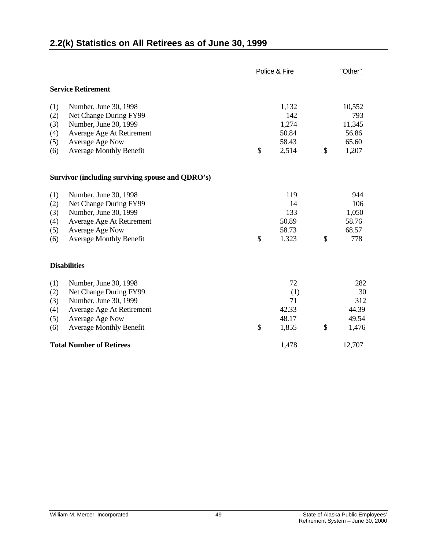# **2.2(k) Statistics on All Retirees as of June 30, 1999**

|     |                                                  | Police & Fire | "Other"     |
|-----|--------------------------------------------------|---------------|-------------|
|     | <b>Service Retirement</b>                        |               |             |
| (1) | Number, June 30, 1998                            | 1,132         | 10,552      |
| (2) | Net Change During FY99                           | 142           | 793         |
| (3) | Number, June 30, 1999                            | 1,274         | 11,345      |
| (4) | Average Age At Retirement                        | 50.84         | 56.86       |
| (5) | Average Age Now                                  | 58.43         | 65.60       |
| (6) | <b>Average Monthly Benefit</b>                   | \$<br>2,514   | \$<br>1,207 |
|     | Survivor (including surviving spouse and QDRO's) |               |             |
| (1) | Number, June 30, 1998                            | 119           | 944         |
| (2) | Net Change During FY99                           | 14            | 106         |
| (3) | Number, June 30, 1999                            | 133           | 1,050       |
| (4) | Average Age At Retirement                        | 50.89         | 58.76       |
| (5) | Average Age Now                                  | 58.73         | 68.57       |
| (6) | <b>Average Monthly Benefit</b>                   | \$<br>1,323   | \$<br>778   |
|     | <b>Disabilities</b>                              |               |             |
| (1) | Number, June 30, 1998                            | 72            | 282         |
| (2) | Net Change During FY99                           | (1)           | 30          |
| (3) | Number, June 30, 1999                            | 71            | 312         |
| (4) | Average Age At Retirement                        | 42.33         | 44.39       |
| (5) | Average Age Now                                  | 48.17         | 49.54       |
| (6) | <b>Average Monthly Benefit</b>                   | \$<br>1,855   | \$<br>1,476 |
|     | <b>Total Number of Retirees</b>                  | 1,478         | 12,707      |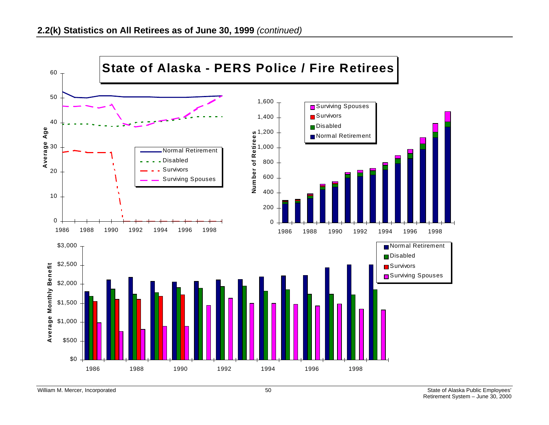

William M. Mercer, Incorporated **Employees'** 50 State of Alaska Public Employees'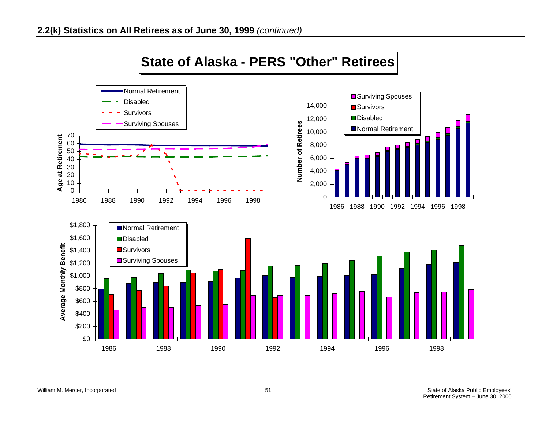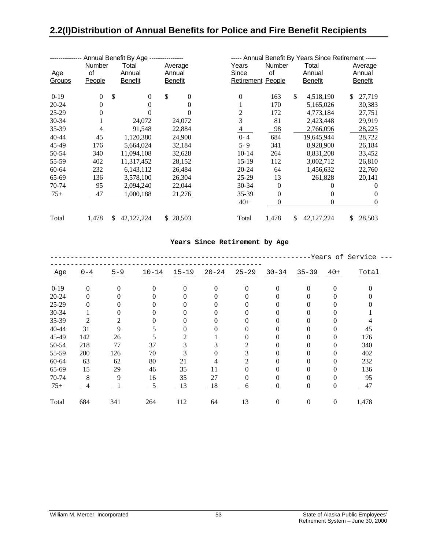# **2.2(l) Distribution of Annual Benefits for Police and Fire Benefit Recipients**

|               |          | Annual Benefit By Age --------------- |                                |           |                          |                    | ----- Annual Benefit By Years Since Retirement ----- |
|---------------|----------|---------------------------------------|--------------------------------|-----------|--------------------------|--------------------|------------------------------------------------------|
|               | Number   | Total                                 | Average                        | Years     | Number                   | Total              | Average                                              |
| Age           | of       | Annual                                | Annual                         | Since     | of                       | Annual             | Annual                                               |
| <b>Groups</b> | People   | <b>Benefit</b>                        | <b>Benefit</b>                 |           | <b>Retirement People</b> | <b>Benefit</b>     | <b>Benefit</b>                                       |
|               |          |                                       |                                |           |                          |                    |                                                      |
| $0-19$        | $\Omega$ | \$                                    | \$<br>$\mathbf{0}$<br>$\Omega$ | $\theta$  | 163                      | \$<br>4,518,190    | 27,719<br>S                                          |
| $20 - 24$     | $\Omega$ |                                       | 0<br>0                         |           | 170                      | 5,165,026          | 30,383                                               |
| $25-29$       |          |                                       | 0                              | 2         | 172                      | 4,773,184          | 27,751                                               |
| 30-34         |          | 24,072                                | 24,072                         | 3         | 81                       | 2,423,448          | 29,919                                               |
| 35-39         | 4        | 91,548                                | 22,884                         | 4         | 98                       | 2,766,096          | 28,225                                               |
| 40-44         | 45       | 1,120,380                             | 24,900                         | $0 - 4$   | 684                      | 19,645,944         | 28,722                                               |
| 45-49         | 176      | 5,664,024                             | 32,184                         | $5 - 9$   | 341                      | 8,928,900          | 26,184                                               |
| 50-54         | 340      | 11,094,108                            | 32,628                         | $10 - 14$ | 264                      | 8,831,208          | 33,452                                               |
| 55-59         | 402      | 11,317,452                            | 28,152                         | 15-19     | 112                      | 3,002,712          | 26,810                                               |
| 60-64         | 232      | 6,143,112                             | 26,484                         | 20-24     | 64                       | 1,456,632          | 22,760                                               |
| 65-69         | 136      | 3,578,100                             | 26,304                         | $25-29$   | 13                       | 261,828            | 20,141                                               |
| 70-74         | 95       | 2,094,240                             | 22,044                         | $30 - 34$ | $\theta$                 |                    | $\theta$                                             |
| $75+$         | 47       | 1,000,188                             | 21,276                         | 35-39     | $\Omega$                 |                    | $\Omega$<br>0                                        |
|               |          |                                       |                                | $40+$     | 0                        |                    | 0<br>$\overline{0}$                                  |
| Total         | 1,478    | \$<br>42, 127, 224                    | \$28,503                       | Total     | 1,478                    | \$<br>42, 127, 224 | 28,503<br>\$                                         |

#### **Years Since Retirement by Age**

|        |                |                |                 |                |           |           |                |                  |                  | -Years of Service |
|--------|----------------|----------------|-----------------|----------------|-----------|-----------|----------------|------------------|------------------|-------------------|
| Age    | $0 - 4$        | $5 - 9$        | $10 - 14$       | $15 - 19$      | $20 - 24$ | $25 - 29$ | $30 - 34$      | $35 - 39$        | $40+$            | Total             |
| $0-19$ | $\overline{0}$ | $\Omega$       | $\Omega$        | $\Omega$       | $\Omega$  | $\Omega$  | $\Omega$       | $\Omega$         | $\theta$         | 0                 |
| 20-24  | $\theta$       | $\Omega$       | 0               | 0              | 0         | 0         |                | 0                | 0                |                   |
| 25-29  | $\Omega$       | 0              |                 | 0              | 0         | 0         |                | 0                | 0                |                   |
| 30-34  |                | 0              |                 | $\theta$       | 0         | 0         |                | 0                | 0                |                   |
| 35-39  | $\overline{c}$ | $\mathfrak{D}$ |                 | 0              | 0         | 0         |                | 0                | 0                |                   |
| 40-44  | 31             | 9              | 5               | 0              | 0         | 0         |                | 0                | $\Omega$         | 45                |
| 45-49  | 142            | 26             | 5               | $\mathfrak{D}$ |           | 0         |                | 0                | $\theta$         | 176               |
| 50-54  | 218            | 77             | 37              | 3              |           | 2         |                | 0                | $\theta$         | 340               |
| 55-59  | 200            | 126            | 70              | 3              | 0         | 3         | 0              | 0                | $\theta$         | 402               |
| 60-64  | 63             | 62             | 80              | 21             | 4         | 2         |                | $\Omega$         | $\theta$         | 232               |
| 65-69  | 15             | 29             | 46              | 35             | 11        | 0         | 0              | 0                | $\theta$         | 136               |
| 70-74  | 8              | 9              | 16              | 35             | 27        | 0         | 0              | $\theta$         | $\theta$         | 95                |
| $75+$  | $\overline{4}$ |                | $\overline{-5}$ | 13             | 18        | - 6       | $\overline{0}$ | $\overline{0}$   | $\overline{0}$   | 47                |
| Total  | 684            | 341            | 264             | 112            | 64        | 13        | $\theta$       | $\boldsymbol{0}$ | $\boldsymbol{0}$ | 1,478             |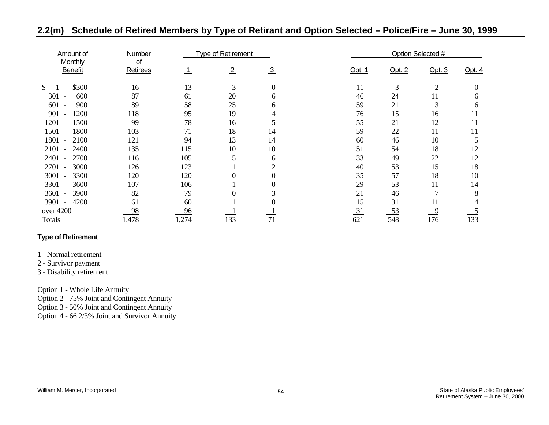| Amount of                                | Number         |       | <b>Type of Retirement</b> |               |                 |           | Option Selected # |              |
|------------------------------------------|----------------|-------|---------------------------|---------------|-----------------|-----------|-------------------|--------------|
| Monthly<br><b>Benefit</b>                | οf<br>Retirees |       | $\frac{2}{ }$             | $\frac{3}{2}$ | Opt. 1          | Opt. 2    | Opt. $3$          | Opt. $4$     |
| \$300<br>\$<br>$\overline{\phantom{a}}$  | 16             | 13    | 3                         | 0             | 11              | 3         | $\overline{2}$    |              |
| 301<br>600<br>$\overline{\phantom{a}}$   | 87             | 61    | 20                        | h.            | 46              | 24        | 11                | <sub>0</sub> |
| 601<br>900                               | 89             | 58    | 25                        | h             | 59              | 21        | 3                 | 6            |
| 901<br>1200<br>$\overline{\phantom{a}}$  | 118            | 95    | 19                        |               | 76              | 15        | 16                | 11           |
| 1500<br>1201<br>$\overline{\phantom{a}}$ | 99             | 78    | 16                        |               | 55              | 21        | 12                | 11           |
| 1501<br>1800<br>$\overline{\phantom{a}}$ | 103            | 71    | 18                        | 14            | 59              | 22        | 11                | 11           |
| 1801<br>2100<br>$\overline{a}$           | 121            | 94    | 13                        | 14            | 60              | 46        | 10                |              |
| 2101<br>2400<br>$\overline{\phantom{a}}$ | 135            | 115   | 10                        | 10            | 51              | 54        | 18                | 12           |
| 2700<br>2401                             | 116            | 105   | 5                         | 6             | 33              | 49        | 22                | 12           |
| 2701<br>3000<br>$\overline{\phantom{a}}$ | 126            | 123   |                           | ◠             | 40              | 53        | 15                | 18           |
| 3001<br>3300<br>$\overline{\phantom{a}}$ | 120            | 120   | 0                         |               | 35              | 57        | 18                | 10           |
| 3301<br>3600<br>$\overline{\phantom{0}}$ | 107            | 106   |                           |               | 29              | 53        | 11                | 14           |
| 3601<br>3900<br>$\overline{\phantom{a}}$ | 82             | 79    | 0                         |               | 21              | 46        | $\overline{7}$    | 8            |
| 3901<br>4200<br>$\overline{\phantom{a}}$ | 61             | 60    |                           |               | 15              | 31        | 11                |              |
| over 4200                                | 98             | 96    |                           |               | $\overline{31}$ | <u>53</u> | 9                 |              |
| Totals                                   | 1,478          | 1,274 | 133                       | 71            | 621             | 548       | 176               | 133          |

# **2.2(m) Schedule of Retired Members by Type of Retirant and Option Selected – Police/Fire – June 30, 1999**

### **Type of Retirement**

- 1 Normal retirement
- 2 Survivor payment
- 3 Disability retirement

Option 1 - Whole Life Annuity

Option 2 - 75% Joint and Contingent Annuity

Option 3 - 50% Joint and Contingent Annuity

Option 4 - 66 2/3% Joint and Survivor Annuity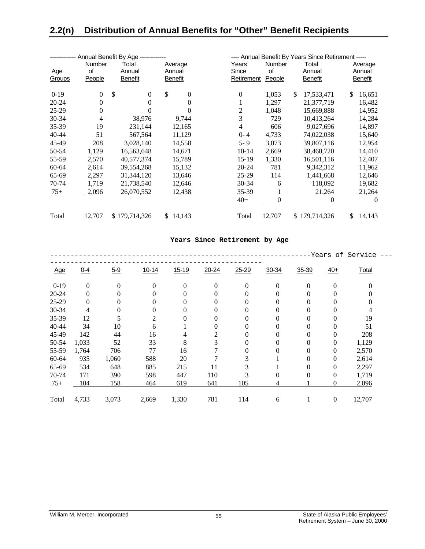|           |               | ----------- Annual Benefit By Age ------------- |              |          |              |               | ---- Annual Benefit By Years Since Retirement ----- |                |
|-----------|---------------|-------------------------------------------------|--------------|----------|--------------|---------------|-----------------------------------------------------|----------------|
|           | <b>Number</b> | Total                                           | Average      |          | Years        | <b>Number</b> | Total                                               | Average        |
| Age       | of            | Annual                                          | Annual       |          | Since        | οf            | Annual                                              | Annual         |
| Groups    | People        | <b>Benefit</b>                                  | Benefit      |          | Retirement   | People        | <b>Benefit</b>                                      | <b>Benefit</b> |
|           |               |                                                 |              |          |              |               |                                                     |                |
| $0-19$    | $\mathbf{0}$  | \$<br>$\mathbf{0}$                              | \$           | $\theta$ | $\mathbf{0}$ | 1,053         | \$<br>17,533,471                                    | \$<br>16,651   |
| $20 - 24$ | $\mathbf{0}$  | $\mathbf{0}$                                    |              | $\theta$ | T            | 1,297         | 21,377,719                                          | 16,482         |
| $25-29$   | $\mathbf{0}$  | 0                                               |              | $\Omega$ | 2            | 1,048         | 15,669,888                                          | 14,952         |
| 30-34     | 4             | 38,976                                          | 9,744        |          | 3            | 729           | 10,413,264                                          | 14,284         |
| 35-39     | 19            | 231,144                                         | 12,165       |          | 4            | 606           | 9,027,696                                           | 14,897         |
| 40-44     | 51            | 567,564                                         | 11,129       |          | $0 - 4$      | 4,733         | 74,022,038                                          | 15,640         |
| 45-49     | 208           | 3,028,140                                       | 14,558       |          | 5-9          | 3,073         | 39,807,116                                          | 12,954         |
| 50-54     | 1,129         | 16,563,648                                      | 14,671       |          | $10-14$      | 2,669         | 38,460,720                                          | 14,410         |
| 55-59     | 2,570         | 40,577,374                                      | 15,789       |          | $15-19$      | 1,330         | 16,501,116                                          | 12,407         |
| 60-64     | 2,614         | 39,554,268                                      | 15,132       |          | $20 - 24$    | 781           | 9,342,312                                           | 11,962         |
| 65-69     | 2,297         | 31,344,120                                      | 13,646       |          | $25-29$      | 114           | 1,441,668                                           | 12,646         |
| 70-74     | 1,719         | 21,738,540                                      | 12,646       |          | $30 - 34$    | 6             | 118,092                                             | 19,682         |
| $75+$     | 2,096         | 26,070,552                                      | 12,438       |          | 35-39        |               | 21,264                                              | 21,264         |
|           |               |                                                 |              |          | $40+$        | 0             | 0                                                   | $\theta$       |
| Total     | 12,707        | \$179,714,326                                   | 14,143<br>S. |          | Total        | 12,707        | \$179,714,326                                       | \$<br>14,143   |

#### **Years Since Retirement by Age**

|            |                |         |           |           |                |           |           |          |                  | -Years of Service |
|------------|----------------|---------|-----------|-----------|----------------|-----------|-----------|----------|------------------|-------------------|
| <u>Age</u> | $0 - 4$        | $5 - 9$ | $10 - 14$ | $15 - 19$ | $20 - 24$      | $25 - 29$ | $30 - 34$ | 35-39    | $40+$            | Total             |
| $0-19$     | $\overline{0}$ | 0       | $\Omega$  | $\Omega$  | $\theta$       | $\theta$  | $\Omega$  | $\theta$ | $\theta$         | 0                 |
| $20 - 24$  | 0              | 0       | $\Omega$  | $\Omega$  | 0              |           | 0         | $\theta$ | 0                | 0                 |
| 25-29      | 0              | 0       | 0         | $\Omega$  | 0              | 0         | 0         | $\theta$ | $\theta$         | 0                 |
| 30-34      | 4              | 0       | 0         | $\Omega$  | $\theta$       | 0         | $\theta$  | $\theta$ | $\theta$         | 4                 |
| 35-39      | 12             |         | 2         | $\Omega$  | $\theta$       | 0         | $\theta$  | 0        | $\theta$         | 19                |
| 40-44      | 34             | 10      | 6         |           | $\theta$       | 0         | 0         | $\theta$ | $\theta$         | 51                |
| 45-49      | 142            | 44      | 16        | 4         | $\overline{2}$ | 0         | 0         | $\theta$ | $\overline{0}$   | 208               |
| 50-54      | 1,033          | 52      | 33        | 8         | 3              | 0         | 0         | $\theta$ | $\theta$         | 1,129             |
| 55-59      | 1,764          | 706     | 77        | 16        |                | 0         | $\theta$  | $\theta$ | $\overline{0}$   | 2,570             |
| 60-64      | 935            | 1,060   | 588       | 20        |                | 3         |           | 0        | $\theta$         | 2,614             |
| 65-69      | 534            | 648     | 885       | 215       | 11             | 3         |           | $\theta$ | $\theta$         | 2,297             |
| 70-74      | 171            | 390     | 598       | 447       | 110            | 3         | 0         | $\theta$ | $\overline{0}$   | 1,719             |
| $75+$      | 104            | 158     | 464       | 619       | 641            | 105       | 4         |          | $\overline{0}$   | 2,096             |
| Total      | 4,733          | 3,073   | 2,669     | 1,330     | 781            | 114       | 6         |          | $\boldsymbol{0}$ | 12,707            |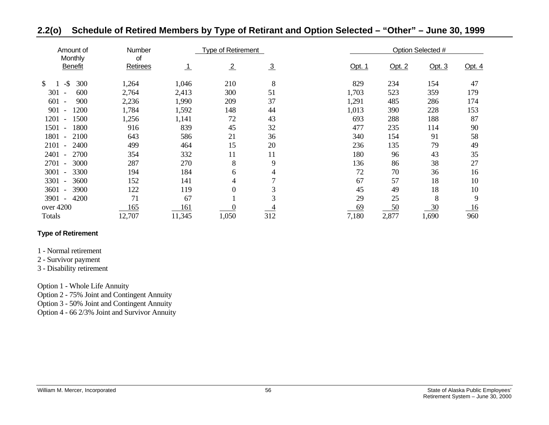| Amount of<br>Monthly                     | Number<br>0f |           | Type of Retirement |               |        |        | Option Selected # |          |
|------------------------------------------|--------------|-----------|--------------------|---------------|--------|--------|-------------------|----------|
| <b>Benefit</b>                           | Retirees     | <u>_1</u> | $\overline{2}$     | $\frac{3}{2}$ | Opt. 1 | Opt. 2 | Opt. $3$          | Opt. $4$ |
| $-$ \$<br>300<br>\$                      | 1,264        | 1,046     | 210                | 8             | 829    | 234    | 154               | 47       |
| 301<br>600                               | 2,764        | 2,413     | 300                | 51            | 1,703  | 523    | 359               | 179      |
| 601<br>900<br>$\overline{\phantom{a}}$   | 2,236        | 1,990     | 209                | 37            | 1,291  | 485    | 286               | 174      |
| 901<br>1200                              | 1,784        | 1,592     | 148                | 44            | 1,013  | 390    | 228               | 153      |
| 1201<br>1500<br>$\overline{\phantom{a}}$ | 1,256        | 1,141     | 72                 | 43            | 693    | 288    | 188               | 87       |
| 1501<br>1800<br>$\overline{\phantom{a}}$ | 916          | 839       | 45                 | 32            | 477    | 235    | 114               | 90       |
| 1801 -<br>2100                           | 643          | 586       | 21                 | 36            | 340    | 154    | 91                | 58       |
| 2101<br>2400<br>$\overline{\phantom{a}}$ | 499          | 464       | 15                 | 20            | 236    | 135    | 79                | 49       |
| 2401<br>2700                             | 354          | 332       | 11                 | 11            | 180    | 96     | 43                | 35       |
| 2701<br>3000                             | 287          | 270       | 8                  | 9             | 136    | 86     | 38                | 27       |
| 3001<br>3300<br>$\overline{\phantom{0}}$ | 194          | 184       | 6                  | 4             | 72     | 70     | 36                | 16       |
| 3301<br>3600<br>$\overline{\phantom{a}}$ | 152          | 141       | 4                  | ⇁             | 67     | 57     | 18                | 10       |
| 3601<br>3900<br>$\overline{\phantom{a}}$ | 122          | 119       | $\boldsymbol{0}$   | 3             | 45     | 49     | 18                | 10       |
| 3901<br>4200<br>$\overline{\phantom{a}}$ | 71           | 67        |                    | 3             | 29     | 25     | 8                 | 9        |
| over 4200                                | 165          | 161       |                    |               | 69     | 50     | 30                | 16       |
| Totals                                   | 12,707       | 11,345    | 1,050              | 312           | 7,180  | 2,877  | 1,690             | 960      |

# **2.2(o) Schedule of Retired Members by Type of Retirant and Option Selected – "Other" – June 30, 1999**

#### **Type of Retirement**

#### 1 - Normal retirement

### 2 - Survivor payment

### 3 - Disability retirement

Option 1 - Whole Life Annuity

Option 2 - 75% Joint and Contingent Annuity

Option 3 - 50% Joint and Contingent Annuity

Option 4 - 66 2/3% Joint and Survivor Annuity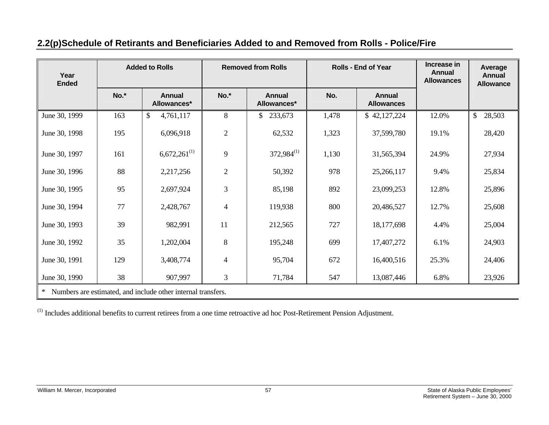| <b>Added to Rolls</b><br>Year<br><b>Ended</b> |      |                                                              | <b>Removed from Rolls</b> |                              | <b>Rolls - End of Year</b> | Increase in<br><b>Annual</b><br><b>Allowances</b> | Average<br><b>Annual</b><br><b>Allowance</b> |                        |
|-----------------------------------------------|------|--------------------------------------------------------------|---------------------------|------------------------------|----------------------------|---------------------------------------------------|----------------------------------------------|------------------------|
|                                               | No.* | <b>Annual</b><br>Allowances*                                 | No.*                      | <b>Annual</b><br>Allowances* | No.                        | <b>Annual</b><br><b>Allowances</b>                |                                              |                        |
| June 30, 1999                                 | 163  | \$<br>4,761,117                                              | 8                         | \$233,673                    | 1,478                      | \$42,127,224                                      | 12.0%                                        | $\mathbb{S}$<br>28,503 |
| June 30, 1998                                 | 195  | 6,096,918                                                    | $\mathfrak{2}$            | 62,532                       | 1,323                      | 37,599,780                                        | 19.1%                                        | 28,420                 |
| June 30, 1997                                 | 161  | $6,672,261^{(1)}$                                            | 9                         | $372,984^{(1)}$              | 1,130                      | 31,565,394                                        | 24.9%                                        | 27,934                 |
| June 30, 1996                                 | 88   | 2,217,256                                                    | $\mathfrak{2}$            | 50,392                       | 978                        | 25,266,117                                        | 9.4%                                         | 25,834                 |
| June 30, 1995                                 | 95   | 2,697,924                                                    | 3                         | 85,198                       | 892                        | 23,099,253                                        | 12.8%                                        | 25,896                 |
| June 30, 1994                                 | 77   | 2,428,767                                                    | $\overline{4}$            | 119,938                      | 800                        | 20,486,527                                        | 12.7%                                        | 25,608                 |
| June 30, 1993                                 | 39   | 982,991                                                      | 11                        | 212,565                      | 727                        | 18, 177, 698                                      | 4.4%                                         | 25,004                 |
| June 30, 1992                                 | 35   | 1,202,004                                                    | $\,8\,$                   | 195,248                      | 699                        | 17,407,272                                        | 6.1%                                         | 24,903                 |
| June 30, 1991                                 | 129  | 3,408,774                                                    | $\overline{4}$            | 95,704                       | 672                        | 16,400,516                                        | 25.3%                                        | 24,406                 |
| June 30, 1990                                 | 38   | 907,997                                                      | $\overline{3}$            | 71,784                       | 547                        | 13,087,446                                        | 6.8%                                         | 23,926                 |
| $\ast$                                        |      | Numbers are estimated, and include other internal transfers. |                           |                              |                            |                                                   |                                              |                        |

# **2.2(p) Schedule of Retirants and Beneficiaries Added to and Removed from Rolls - Police/Fire**

(1) Includes additional benefits to current retirees from a one time retroactive ad hoc Post-Retirement Pension Adjustment.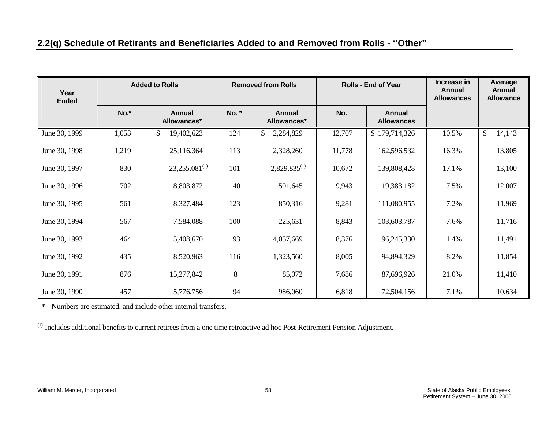# **2.2(q) Schedule of Retirants and Beneficiaries Added to and Removed from Rolls - ''Other"**

| Year<br><b>Ended</b> | <b>Added to Rolls</b><br><b>Removed from Rolls</b><br><b>Rolls - End of Year</b> |                                                              | Increase in<br><b>Annual</b><br><b>Allowances</b> | Average<br><b>Annual</b><br><b>Allowance</b> |        |                             |       |              |
|----------------------|----------------------------------------------------------------------------------|--------------------------------------------------------------|---------------------------------------------------|----------------------------------------------|--------|-----------------------------|-------|--------------|
|                      | $No.*$                                                                           | <b>Annual</b><br>Allowances*                                 | No. *                                             | <b>Annual</b><br>Allowances*                 | No.    | Annual<br><b>Allowances</b> |       |              |
| June 30, 1999        | 1,053                                                                            | \$<br>19,402,623                                             | 124                                               | \$<br>2,284,829                              | 12,707 | \$179,714,326               | 10.5% | \$<br>14,143 |
| June 30, 1998        | 1,219                                                                            | 25,116,364                                                   | 113                                               | 2,328,260                                    | 11,778 | 162,596,532                 | 16.3% | 13,805       |
| June 30, 1997        | 830                                                                              | $23,255,081^{(1)}$                                           | 101                                               | $2,829,835^{(1)}$                            | 10,672 | 139,808,428                 | 17.1% | 13,100       |
| June 30, 1996        | 702                                                                              | 8,803,872                                                    | 40                                                | 501,645                                      | 9,943  | 119,383,182                 | 7.5%  | 12,007       |
| June 30, 1995        | 561                                                                              | 8,327,484                                                    | 123                                               | 850,316                                      | 9,281  | 111,080,955                 | 7.2%  | 11,969       |
| June 30, 1994        | 567                                                                              | 7,584,088                                                    | 100                                               | 225,631                                      | 8,843  | 103,603,787                 | 7.6%  | 11,716       |
| June 30, 1993        | 464                                                                              | 5,408,670                                                    | 93                                                | 4,057,669                                    | 8,376  | 96,245,330                  | 1.4%  | 11,491       |
| June 30, 1992        | 435                                                                              | 8,520,963                                                    | 116                                               | 1,323,560                                    | 8,005  | 94,894,329                  | 8.2%  | 11,854       |
| June 30, 1991        | 876                                                                              | 15,277,842                                                   | $8\,$                                             | 85,072                                       | 7,686  | 87,696,926                  | 21.0% | 11,410       |
| June 30, 1990        | 457                                                                              | 5,776,756                                                    | 94                                                | 986,060                                      | 6,818  | 72,504,156                  | 7.1%  | 10,634       |
| $\ast$               |                                                                                  | Numbers are estimated, and include other internal transfers. |                                                   |                                              |        |                             |       |              |

(1) Includes additional benefits to current retirees from a one time retroactive ad hoc Post-Retirement Pension Adjustment.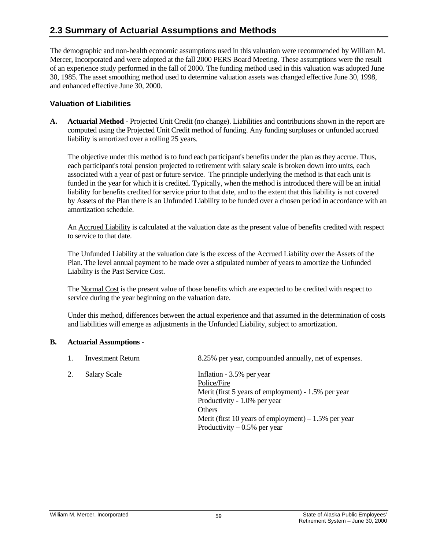# **2.3Summary of Actuarial Assumptions and Methods**

The demographic and non-health economic assumptions used in this valuation were recommended by William M. Mercer, Incorporated and were adopted at the fall 2000 PERS Board Meeting. These assumptions were the result of an experience study performed in the fall of 2000. The funding method used in this valuation was adopted June 30, 1985. The asset smoothing method used to determine valuation assets was changed effective June 30, 1998, and enhanced effective June 30, 2000.

### **Valuation of Liabilities**

**A. Actuarial Method -** Projected Unit Credit (no change). Liabilities and contributions shown in the report are computed using the Projected Unit Credit method of funding. Any funding surpluses or unfunded accrued liability is amortized over a rolling 25 years.

 The objective under this method is to fund each participant's benefits under the plan as they accrue. Thus, each participant's total pension projected to retirement with salary scale is broken down into units, each associated with a year of past or future service. The principle underlying the method is that each unit is funded in the year for which it is credited. Typically, when the method is introduced there will be an initial liability for benefits credited for service prior to that date, and to the extent that this liability is not covered by Assets of the Plan there is an Unfunded Liability to be funded over a chosen period in accordance with an amortization schedule.

 An Accrued Liability is calculated at the valuation date as the present value of benefits credited with respect to service to that date.

 The Unfunded Liability at the valuation date is the excess of the Accrued Liability over the Assets of the Plan. The level annual payment to be made over a stipulated number of years to amortize the Unfunded Liability is the Past Service Cost.

The Normal Cost is the present value of those benefits which are expected to be credited with respect to service during the year beginning on the valuation date.

 Under this method, differences between the actual experience and that assumed in the determination of costs and liabilities will emerge as adjustments in the Unfunded Liability, subject to amortization.

#### **B. Actuarial Assumptions** -

- 1. Investment Return 8.25% per year, compounded annually, net of expenses.
- 2. Salary Scale Inflation 3.5% per year Police/Fire Merit (first 5 years of employment) - 1.5% per year Productivity - 1.0% per year **Others Others** Merit (first 10 years of employment)  $-1.5%$  per year Productivity  $-0.5%$  per year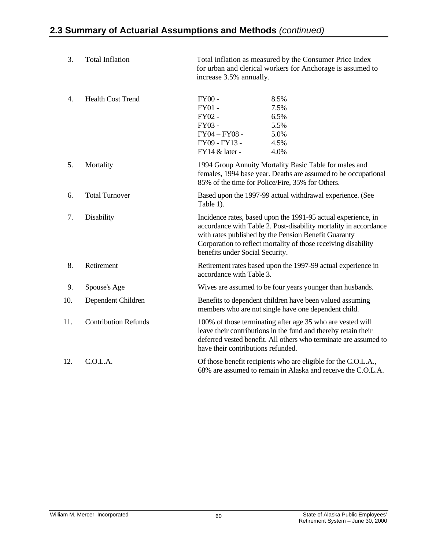| 3.  | <b>Total Inflation</b>      | Total inflation as measured by the Consumer Price Index<br>for urban and clerical workers for Anchorage is assumed to<br>increase 3.5% annually.                                                                                                                                               |
|-----|-----------------------------|------------------------------------------------------------------------------------------------------------------------------------------------------------------------------------------------------------------------------------------------------------------------------------------------|
| 4.  | <b>Health Cost Trend</b>    | $FY00 -$<br>8.5%<br>FY01-<br>7.5%<br>FY02 -<br>6.5%<br>FY03-<br>5.5%<br>$FY04 - FY08 -$<br>5.0%<br>FY09 - FY13 -<br>4.5%<br>FY14 & later -<br>4.0%                                                                                                                                             |
| 5.  | Mortality                   | 1994 Group Annuity Mortality Basic Table for males and<br>females, 1994 base year. Deaths are assumed to be occupational<br>85% of the time for Police/Fire, 35% for Others.                                                                                                                   |
| 6.  | <b>Total Turnover</b>       | Based upon the 1997-99 actual withdrawal experience. (See<br>Table 1).                                                                                                                                                                                                                         |
| 7.  | Disability                  | Incidence rates, based upon the 1991-95 actual experience, in<br>accordance with Table 2. Post-disability mortality in accordance<br>with rates published by the Pension Benefit Guaranty<br>Corporation to reflect mortality of those receiving disability<br>benefits under Social Security. |
| 8.  | Retirement                  | Retirement rates based upon the 1997-99 actual experience in<br>accordance with Table 3.                                                                                                                                                                                                       |
| 9.  | Spouse's Age                | Wives are assumed to be four years younger than husbands.                                                                                                                                                                                                                                      |
| 10. | Dependent Children          | Benefits to dependent children have been valued assuming<br>members who are not single have one dependent child.                                                                                                                                                                               |
| 11. | <b>Contribution Refunds</b> | 100% of those terminating after age 35 who are vested will<br>leave their contributions in the fund and thereby retain their<br>deferred vested benefit. All others who terminate are assumed to<br>have their contributions refunded.                                                         |
| 12. | C.O.L.A.                    | Of those benefit recipients who are eligible for the C.O.L.A.,<br>68% are assumed to remain in Alaska and receive the C.O.L.A.                                                                                                                                                                 |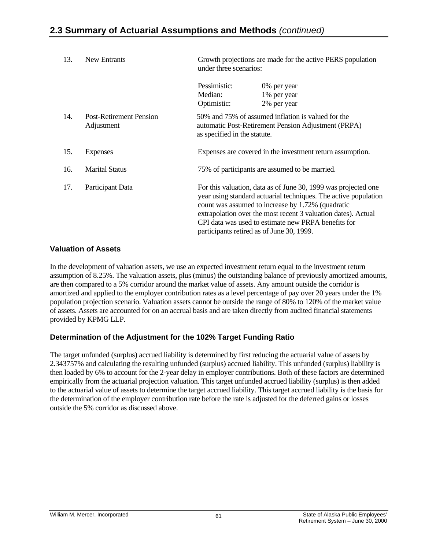| 13. | New Entrants                                 | Growth projections are made for the active PERS population<br>under three scenarios: |                                                                                                                                                                                                                                                                                                                                                             |  |
|-----|----------------------------------------------|--------------------------------------------------------------------------------------|-------------------------------------------------------------------------------------------------------------------------------------------------------------------------------------------------------------------------------------------------------------------------------------------------------------------------------------------------------------|--|
|     |                                              | Pessimistic:<br>Median:<br>Optimistic:                                               | 0% per year<br>1% per year<br>2% per year                                                                                                                                                                                                                                                                                                                   |  |
| 14. | <b>Post-Retirement Pension</b><br>Adjustment | as specified in the statute.                                                         | 50% and 75% of assumed inflation is valued for the<br>automatic Post-Retirement Pension Adjustment (PRPA)                                                                                                                                                                                                                                                   |  |
| 15. | <b>Expenses</b>                              |                                                                                      | Expenses are covered in the investment return assumption.                                                                                                                                                                                                                                                                                                   |  |
| 16. | <b>Marital Status</b>                        |                                                                                      | 75% of participants are assumed to be married.                                                                                                                                                                                                                                                                                                              |  |
| 17. | Participant Data                             |                                                                                      | For this valuation, data as of June 30, 1999 was projected one<br>year using standard actuarial techniques. The active population<br>count was assumed to increase by 1.72% (quadratic<br>extrapolation over the most recent 3 valuation dates). Actual<br>CPI data was used to estimate new PRPA benefits for<br>participants retired as of June 30, 1999. |  |

### **Valuation of Assets**

In the development of valuation assets, we use an expected investment return equal to the investment return assumption of 8.25%. The valuation assets, plus (minus) the outstanding balance of previously amortized amounts, are then compared to a 5% corridor around the market value of assets. Any amount outside the corridor is amortized and applied to the employer contribution rates as a level percentage of pay over 20 years under the 1% population projection scenario. Valuation assets cannot be outside the range of 80% to 120% of the market value of assets. Assets are accounted for on an accrual basis and are taken directly from audited financial statements provided by KPMG LLP.

## **Determination of the Adjustment for the 102% Target Funding Ratio**

The target unfunded (surplus) accrued liability is determined by first reducing the actuarial value of assets by 2.343757% and calculating the resulting unfunded (surplus) accrued liability. This unfunded (surplus) liability is then loaded by 6% to account for the 2-year delay in employer contributions. Both of these factors are determined empirically from the actuarial projection valuation. This target unfunded accrued liability (surplus) is then added to the actuarial value of assets to determine the target accrued liability. This target accrued liability is the basis for the determination of the employer contribution rate before the rate is adjusted for the deferred gains or losses outside the 5% corridor as discussed above.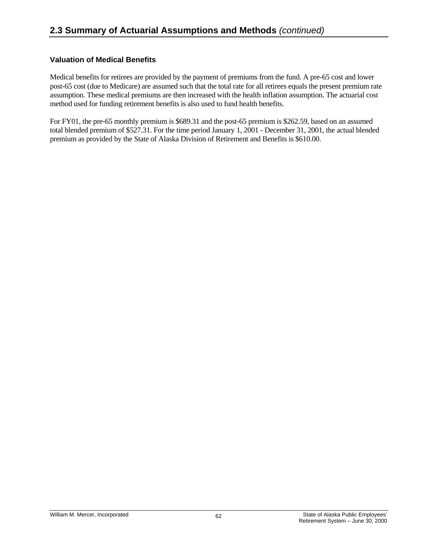## **Valuation of Medical Benefits**

Medical benefits for retirees are provided by the payment of premiums from the fund. A pre-65 cost and lower post-65 cost (due to Medicare) are assumed such that the total rate for all retirees equals the present premium rate assumption. These medical premiums are then increased with the health inflation assumption. The actuarial cost method used for funding retirement benefits is also used to fund health benefits.

For FY01, the pre-65 monthly premium is \$689.31 and the post-65 premium is \$262.59, based on an assumed total blended premium of \$527.31. For the time period January 1, 2001 - December 31, 2001, the actual blended premium as provided by the State of Alaska Division of Retirement and Benefits is \$610.00.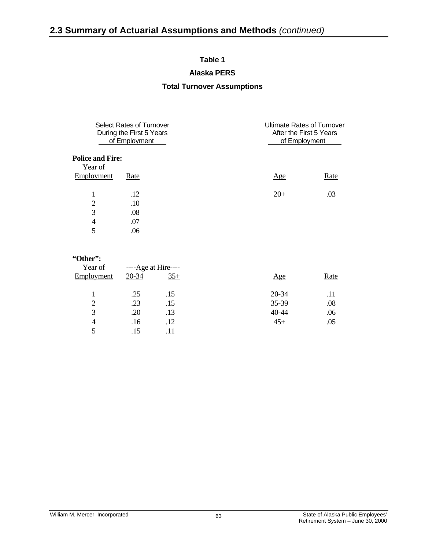## **Table 1**

#### **Alaska PERS**

### **Total Turnover Assumptions**

|                         | <b>Select Rates of Turnover</b><br>During the First 5 Years<br>of Employment |                | <b>Ultimate Rates of Turnover</b><br>After the First 5 Years<br>of Employment |
|-------------------------|------------------------------------------------------------------------------|----------------|-------------------------------------------------------------------------------|
| <b>Police and Fire:</b> |                                                                              |                |                                                                               |
| Year of                 |                                                                              |                |                                                                               |
| Employment              | Rate                                                                         | $\mathbf{Age}$ | Rate                                                                          |
| 1                       | .12                                                                          | $20+$          | .03                                                                           |
| $\overline{2}$          | .10                                                                          |                |                                                                               |
|                         |                                                                              |                |                                                                               |
| 3                       | .08                                                                          |                |                                                                               |
| 4                       | .07                                                                          |                |                                                                               |
| 5                       | .06                                                                          |                |                                                                               |
|                         |                                                                              |                |                                                                               |
|                         |                                                                              |                |                                                                               |

#### **"Other":**

| Year of        | ----Age at Hire---- |       |       |             |
|----------------|---------------------|-------|-------|-------------|
| Employment     | 20-34               | $35+$ | Age   | <b>Rate</b> |
|                | .25                 | .15   | 20-34 | .11         |
| $\overline{2}$ | .23                 | .15   | 35-39 | .08         |
| 3              | .20                 | .13   | 40-44 | .06         |
| 4              | .16                 | .12   | $45+$ | .05         |
|                | .15                 |       |       |             |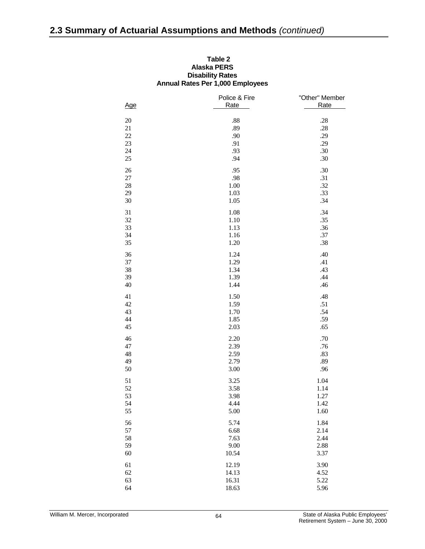| Table 2                                 |
|-----------------------------------------|
| Alaska PERS                             |
| <b>Disability Rates</b>                 |
| <b>Annual Rates Per 1,000 Employees</b> |

| Age         | Police & Fire<br>Rate | "Other" Member<br>Rate |
|-------------|-----------------------|------------------------|
| $20\,$      | $.88\,$               | .28                    |
| $21\,$      | .89                   | .28                    |
| $22\,$      | .90                   | .29                    |
| $23\,$      | .91                   | .29                    |
| 24          | .93                   | .30                    |
| $25\,$      | .94                   | .30                    |
|             |                       |                        |
| $26\,$      | .95                   | .30                    |
| $27\,$      | .98                   | .31                    |
| $28\,$      | 1.00                  | .32                    |
| 29          | 1.03                  | .33                    |
| $30\,$      | 1.05                  | .34                    |
| 31          | 1.08                  | .34                    |
| $32\,$      | 1.10                  | .35                    |
| 33          | 1.13                  | .36                    |
| 34          | 1.16                  | $.37\,$                |
| 35          | 1.20                  | .38                    |
| 36          | 1.24                  | .40                    |
| 37          | 1.29                  | .41                    |
| 38          | 1.34                  | .43                    |
| 39          | 1.39                  | .44                    |
| $40\,$      | 1.44                  | .46                    |
| 41          | 1.50                  | $.48$                  |
| $42\,$      | 1.59                  | .51                    |
| 43          | 1.70                  | .54                    |
| $44\,$      | 1.85                  | .59                    |
| 45          | 2.03                  | .65                    |
| 46          | 2.20                  | .70                    |
| $47\,$      | 2.39                  |                        |
|             | 2.59                  | .76                    |
| $\sqrt{48}$ |                       | .83                    |
| 49          | 2.79                  | .89                    |
| 50          | 3.00                  | .96                    |
| 51          | 3.25                  | 1.04                   |
| 52          | 3.58                  | 1.14                   |
| 53          | 3.98                  | 1.27                   |
| 54          | 4.44                  | 1.42                   |
| 55          | 5.00                  | 1.60                   |
| 56          | 5.74                  | 1.84                   |
| 57          | 6.68                  | 2.14                   |
| 58          | 7.63                  | 2.44                   |
| 59          | 9.00                  | 2.88                   |
| 60          | 10.54                 | 3.37                   |
| 61          | 12.19                 | 3.90                   |
| 62          | 14.13                 | 4.52                   |
| 63          | 16.31                 | 5.22                   |
| 64          | 18.63                 | 5.96                   |
|             |                       |                        |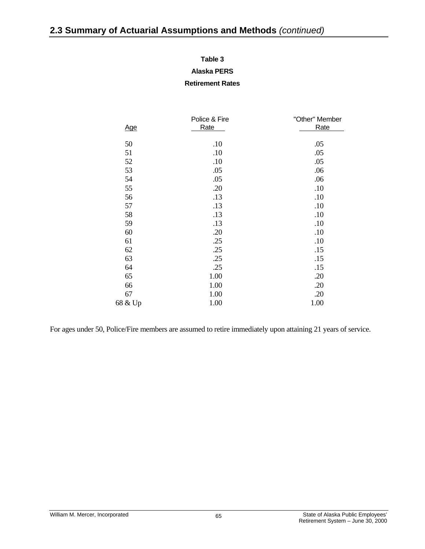#### **Table 3**

#### **Alaska PERS**

#### **Retirement Rates**

|            | Police & Fire | "Other" Member |  |
|------------|---------------|----------------|--|
| <u>Age</u> | Rate          | <b>Rate</b>    |  |
|            |               |                |  |
| 50         | .10           | .05            |  |
| 51         | .10           | .05            |  |
| 52         | .10           | .05            |  |
| 53         | .05           | .06            |  |
| 54         | .05           | .06            |  |
| 55         | .20           | .10            |  |
| 56         | .13           | .10            |  |
| 57         | .13           | .10            |  |
| 58         | .13           | .10            |  |
| 59         | .13           | .10            |  |
| 60         | .20           | .10            |  |
| 61         | .25           | .10            |  |
| 62         | .25           | .15            |  |
| 63         | .25           | .15            |  |
| 64         | .25           | .15            |  |
| 65         | 1.00          | .20            |  |
| 66         | 1.00          | .20            |  |
| 67         | 1.00          | .20            |  |
| 68 & Up    | 1.00          | 1.00           |  |

For ages under 50, Police/Fire members are assumed to retire immediately upon attaining 21 years of service.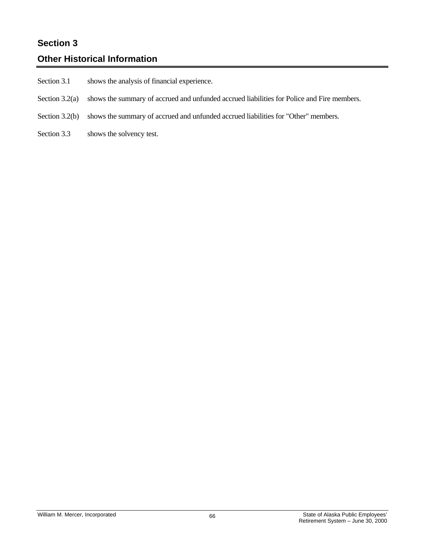# **Section 3**

# **Other Historical Information**

- Section 3.1 shows the analysis of financial experience.
- Section 3.2(a) shows the summary of accrued and unfunded accrued liabilities for Police and Fire members.
- Section 3.2(b) shows the summary of accrued and unfunded accrued liabilities for "Other" members.
- Section 3.3 shows the solvency test.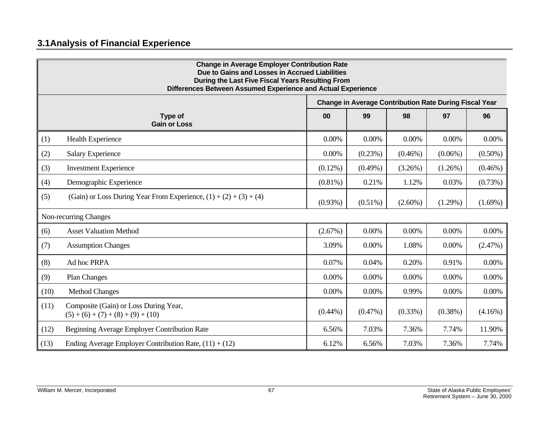## **3.1 Analysis of Financial Experience**

| <b>Change in Average Employer Contribution Rate</b><br>Due to Gains and Losses in Accrued Liabilities<br>During the Last Five Fiscal Years Resulting From<br>Differences Between Assumed Experience and Actual Experience |                                                                               |                                                               |            |            |            |            |  |  |  |
|---------------------------------------------------------------------------------------------------------------------------------------------------------------------------------------------------------------------------|-------------------------------------------------------------------------------|---------------------------------------------------------------|------------|------------|------------|------------|--|--|--|
|                                                                                                                                                                                                                           |                                                                               | <b>Change in Average Contribution Rate During Fiscal Year</b> |            |            |            |            |  |  |  |
|                                                                                                                                                                                                                           | Type of<br><b>Gain or Loss</b>                                                | 00                                                            | 99         | 98         | 97         | 96         |  |  |  |
| (1)                                                                                                                                                                                                                       | Health Experience                                                             | $0.00\%$                                                      | 0.00%      | 0.00%      | 0.00%      | 0.00%      |  |  |  |
| (2)                                                                                                                                                                                                                       | <b>Salary Experience</b>                                                      | $0.00\%$                                                      | (0.23%)    | $(0.46\%)$ | $(0.06\%)$ | $(0.50\%)$ |  |  |  |
| (3)                                                                                                                                                                                                                       | <b>Investment Experience</b>                                                  | $(0.12\%)$                                                    | $(0.49\%)$ | (3.26%)    | $(1.26\%)$ | $(0.46\%)$ |  |  |  |
| (4)                                                                                                                                                                                                                       | Demographic Experience                                                        | $(0.81\%)$                                                    | 0.21%      | 1.12%      | 0.03%      | (0.73%)    |  |  |  |
| (5)                                                                                                                                                                                                                       | (Gain) or Loss During Year From Experience, $(1) + (2) + (3) + (4)$           | $(0.93\%)$                                                    | $(0.51\%)$ | $(2.60\%)$ | $(1.29\%)$ | $(1.69\%)$ |  |  |  |
| Non-recurring Changes                                                                                                                                                                                                     |                                                                               |                                                               |            |            |            |            |  |  |  |
| (6)                                                                                                                                                                                                                       | <b>Asset Valuation Method</b>                                                 | (2.67%)                                                       | $0.00\%$   | 0.00%      | 0.00%      | 0.00%      |  |  |  |
| (7)                                                                                                                                                                                                                       | <b>Assumption Changes</b>                                                     | 3.09%                                                         | 0.00%      | 1.08%      | 0.00%      | (2.47%)    |  |  |  |
| (8)                                                                                                                                                                                                                       | Ad hoc PRPA                                                                   | 0.07%                                                         | 0.04%      | 0.20%      | 0.91%      | 0.00%      |  |  |  |
| (9)                                                                                                                                                                                                                       | <b>Plan Changes</b>                                                           | $0.00\%$                                                      | 0.00%      | 0.00%      | 0.00%      | 0.00%      |  |  |  |
| (10)                                                                                                                                                                                                                      | <b>Method Changes</b>                                                         | 0.00%                                                         | 0.00%      | 0.99%      | 0.00%      | 0.00%      |  |  |  |
| (11)                                                                                                                                                                                                                      | Composite (Gain) or Loss During Year,<br>$(5) + (6) + (7) + (8) + (9) + (10)$ | $(0.44\%)$                                                    | $(0.47\%)$ | $(0.33\%)$ | $(0.38\%)$ | $(4.16\%)$ |  |  |  |
| (12)                                                                                                                                                                                                                      | Beginning Average Employer Contribution Rate                                  | 6.56%                                                         | 7.03%      | 7.36%      | 7.74%      | 11.90%     |  |  |  |
| (13)                                                                                                                                                                                                                      | Ending Average Employer Contribution Rate, $(11) + (12)$                      | 6.12%                                                         | 6.56%      | 7.03%      | 7.36%      | 7.74%      |  |  |  |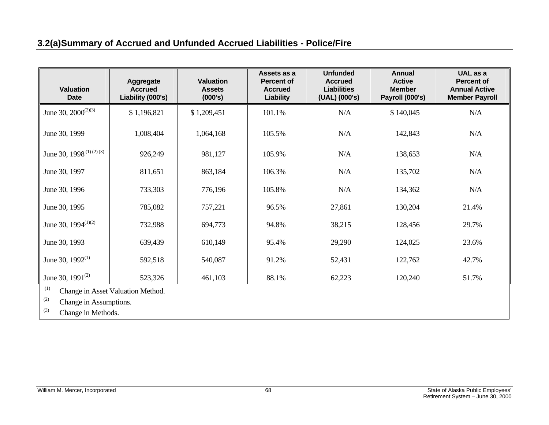## **3.2(a) Summary of Accrued and Unfunded Accrued Liabilities - Police/Fire**

| <b>Valuation</b><br><b>Date</b>                                                                        | Aggregate<br><b>Accrued</b><br>Liability (000's) | <b>Valuation</b><br><b>Assets</b><br>(000's) | Assets as a<br><b>Percent of</b><br><b>Accrued</b><br><b>Liability</b> | <b>Unfunded</b><br><b>Accrued</b><br><b>Liabilities</b><br>(UAL) (000's) | <b>Annual</b><br><b>Active</b><br><b>Member</b><br>Payroll (000's) | UAL as a<br><b>Percent of</b><br><b>Annual Active</b><br><b>Member Payroll</b> |  |
|--------------------------------------------------------------------------------------------------------|--------------------------------------------------|----------------------------------------------|------------------------------------------------------------------------|--------------------------------------------------------------------------|--------------------------------------------------------------------|--------------------------------------------------------------------------------|--|
| June 30, $2000^{(2)(3)}$                                                                               | \$1,196,821                                      | \$1,209,451                                  | 101.1%                                                                 | N/A                                                                      | \$140,045                                                          | N/A                                                                            |  |
| June 30, 1999                                                                                          | 1,008,404                                        | 1,064,168                                    | 105.5%                                                                 | N/A                                                                      | 142,843                                                            | N/A                                                                            |  |
| June 30, 1998 <sup>(1)(2)(3)</sup>                                                                     | 926,249                                          | 981,127                                      | 105.9%                                                                 | N/A                                                                      | 138,653                                                            | N/A                                                                            |  |
| June 30, 1997                                                                                          | 811,651                                          | 863,184                                      | 106.3%                                                                 | N/A                                                                      | 135,702                                                            | N/A                                                                            |  |
| June 30, 1996                                                                                          | 733,303                                          | 776,196                                      | 105.8%                                                                 | N/A                                                                      | 134,362                                                            | N/A                                                                            |  |
| June 30, 1995                                                                                          | 785,082                                          | 757,221                                      | 96.5%                                                                  | 27,861                                                                   | 130,204                                                            | 21.4%                                                                          |  |
| June 30, $1994^{(1)(2)}$                                                                               | 732,988                                          | 694,773                                      | 94.8%                                                                  | 38,215                                                                   | 128,456                                                            | 29.7%                                                                          |  |
| June 30, 1993                                                                                          | 639,439                                          | 610,149                                      | 95.4%                                                                  | 29,290                                                                   | 124,025                                                            | 23.6%                                                                          |  |
| June 30, $1992^{(1)}$                                                                                  | 592,518                                          | 540,087                                      | 91.2%                                                                  | 52,431                                                                   | 122,762                                                            | 42.7%                                                                          |  |
| June 30, $1991^{(2)}$                                                                                  | 523,326                                          | 461,103                                      | 88.1%                                                                  | 62,223                                                                   | 120,240                                                            | 51.7%                                                                          |  |
| (1)<br>Change in Asset Valuation Method.<br>(2)<br>Change in Assumptions.<br>(3)<br>Change in Methods. |                                                  |                                              |                                                                        |                                                                          |                                                                    |                                                                                |  |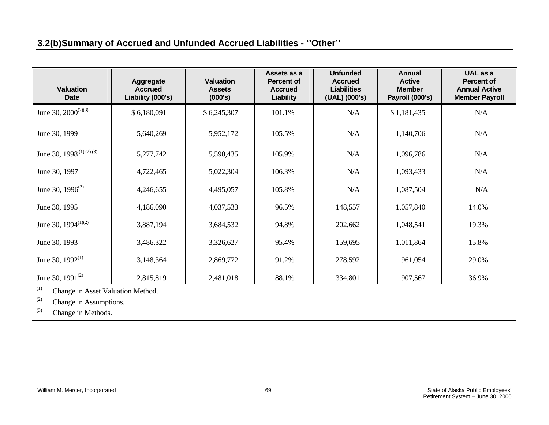## **3.2(b) Summary of Accrued and Unfunded Accrued Liabilities - ''Other''**

| <b>Valuation</b><br><b>Date</b>    | Aggregate<br><b>Accrued</b><br>Liability (000's) | <b>Valuation</b><br><b>Assets</b><br>(000's) | Assets as a<br>Percent of<br><b>Accrued</b><br>Liability | <b>Unfunded</b><br><b>Accrued</b><br><b>Liabilities</b><br>(UAL) (000's) | <b>Annual</b><br><b>Active</b><br><b>Member</b><br>Payroll (000's) | UAL as a<br><b>Percent of</b><br><b>Annual Active</b><br><b>Member Payroll</b> |
|------------------------------------|--------------------------------------------------|----------------------------------------------|----------------------------------------------------------|--------------------------------------------------------------------------|--------------------------------------------------------------------|--------------------------------------------------------------------------------|
| June 30, $2000^{(2)(3)}$           | \$6,180,091                                      | \$6,245,307                                  | 101.1%                                                   | N/A                                                                      | \$1,181,435                                                        | N/A                                                                            |
| June 30, 1999                      | 5,640,269                                        | 5,952,172                                    | 105.5%                                                   | N/A                                                                      | 1,140,706                                                          | N/A                                                                            |
| June 30, 1998 <sup>(1)(2)(3)</sup> | 5,277,742                                        | 5,590,435                                    | 105.9%                                                   | N/A                                                                      | 1,096,786                                                          | N/A                                                                            |
| June 30, 1997                      | 4,722,465                                        | 5,022,304                                    | 106.3%                                                   | N/A                                                                      | 1,093,433                                                          | N/A                                                                            |
| June 30, $1996^{(2)}$              | 4,246,655                                        | 4,495,057                                    | 105.8%                                                   | N/A                                                                      | 1,087,504                                                          | N/A                                                                            |
| June 30, 1995                      | 4,186,090                                        | 4,037,533                                    | 96.5%                                                    | 148,557                                                                  | 1,057,840                                                          | 14.0%                                                                          |
| June 30, $1994^{(1)(2)}$           | 3,887,194                                        | 3,684,532                                    | 94.8%                                                    | 202,662                                                                  | 1,048,541                                                          | 19.3%                                                                          |
| June 30, 1993                      | 3,486,322                                        | 3,326,627                                    | 95.4%                                                    | 159,695                                                                  | 1,011,864                                                          | 15.8%                                                                          |
| June 30, $1992^{(1)}$              | 3,148,364                                        | 2,869,772                                    | 91.2%                                                    | 278,592                                                                  | 961,054                                                            | 29.0%                                                                          |
| June 30, $1991^{(2)}$              | 2,815,819                                        | 2,481,018                                    | 88.1%                                                    | 334,801                                                                  | 907,567                                                            | 36.9%                                                                          |

(1) Change in Asset Valuation Method.

(2) Change in Assumptions.

(3) Change in Methods.